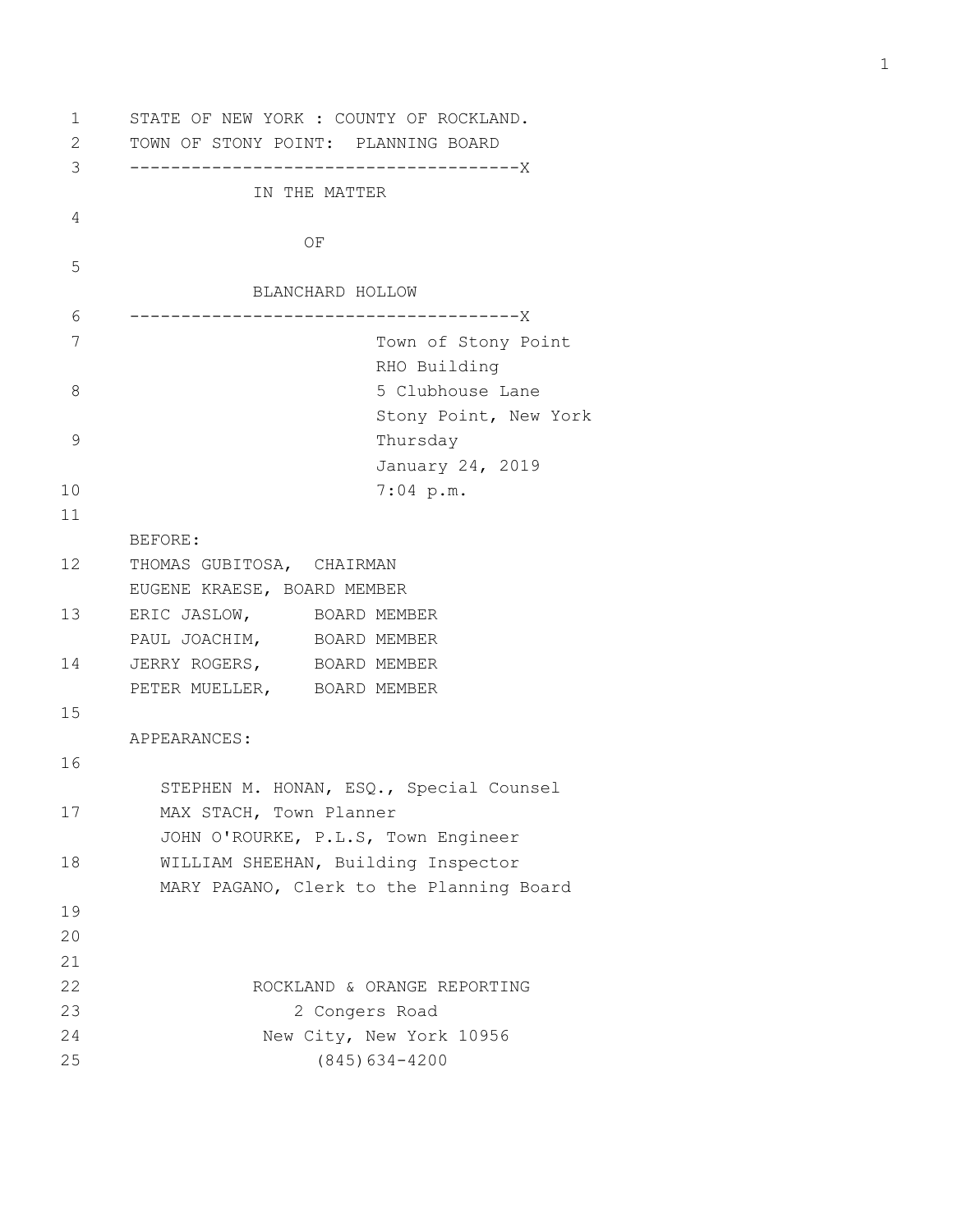```
1 STATE OF NEW YORK : COUNTY OF ROCKLAND.
2 TOWN OF STONY POINT: PLANNING BOARD
3 --------------------------------------X
               IN THE MATTER
4 
   OF OF
5 
               BLANCHARD HOLLOW
6 --------------------------------------X
7 Town of Stony Point
                        RHO Building
8 5 Clubhouse Lane
                        Stony Point, New York
9 Thursday
                        January 24, 2019
10 7:04 p.m.
11 
      BEFORE:
12 THOMAS GUBITOSA, CHAIRMAN
      EUGENE KRAESE, BOARD MEMBER
13 ERIC JASLOW, BOARD MEMBER
     PAUL JOACHIM, BOARD MEMBER
14 JERRY ROGERS, BOARD MEMBER
      PETER MUELLER, BOARD MEMBER
15 
      APPEARANCES:
16 
        STEPHEN M. HONAN, ESQ., Special Counsel
17 MAX STACH, Town Planner
        JOHN O'ROURKE, P.L.S, Town Engineer
18 WILLIAM SHEEHAN, Building Inspector
        MARY PAGANO, Clerk to the Planning Board
19 
20 
21 
22 ROCKLAND & ORANGE REPORTING
23 2 Congers Road
24 New City, New York 10956
25 (845)634-4200
```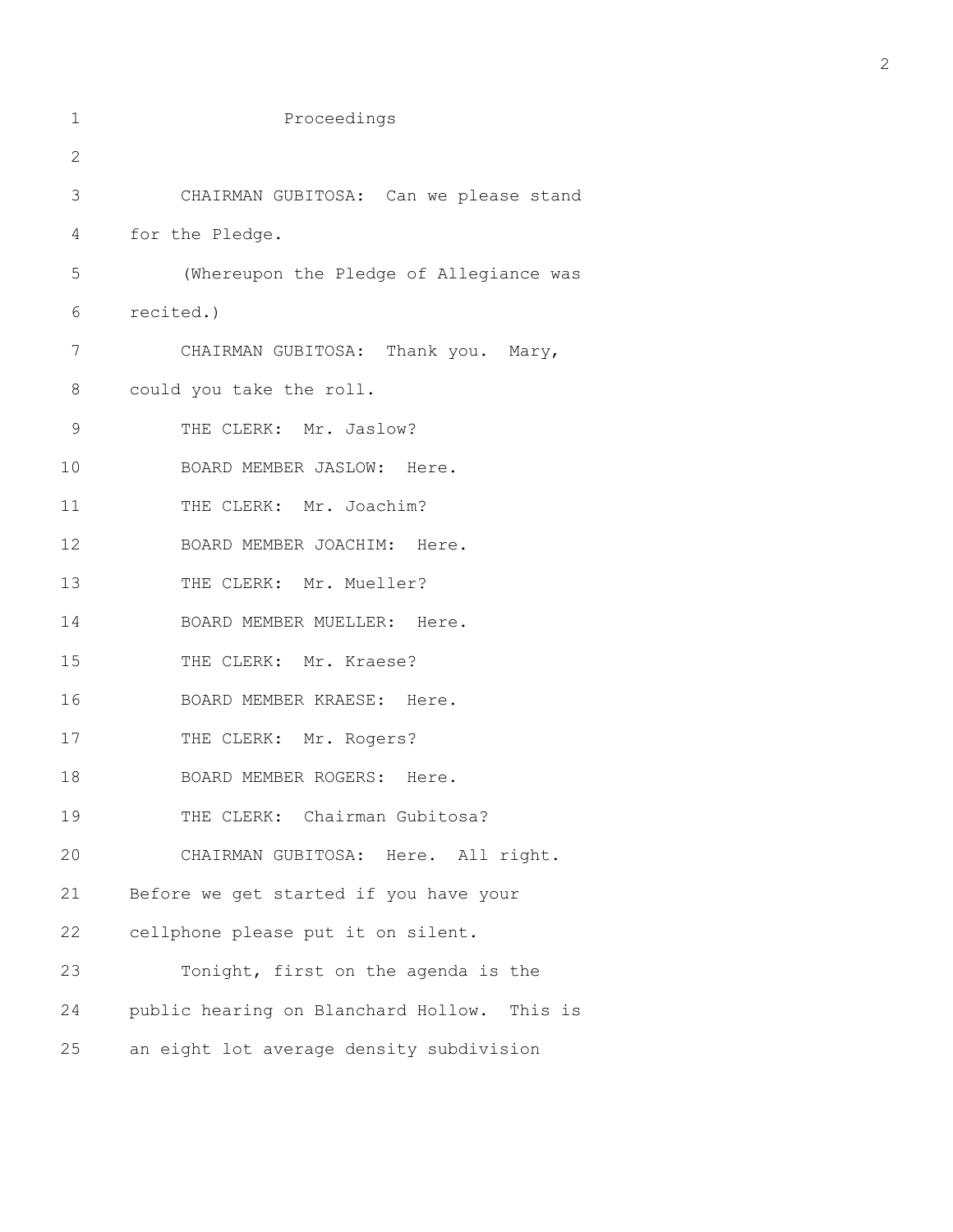| 1  | Proceedings                                 |
|----|---------------------------------------------|
| 2  |                                             |
| 3  | CHAIRMAN GUBITOSA: Can we please stand      |
| 4  | for the Pledge.                             |
| 5  | (Whereupon the Pledge of Allegiance was     |
| 6  | recited.)                                   |
| 7  | CHAIRMAN GUBITOSA: Thank you. Mary,         |
| 8  | could you take the roll.                    |
| 9  | THE CLERK: Mr. Jaslow?                      |
| 10 | BOARD MEMBER JASLOW: Here.                  |
| 11 | THE CLERK: Mr. Joachim?                     |
| 12 | BOARD MEMBER JOACHIM: Here.                 |
| 13 | THE CLERK: Mr. Mueller?                     |
| 14 | BOARD MEMBER MUELLER: Here.                 |
| 15 | THE CLERK: Mr. Kraese?                      |
| 16 | BOARD MEMBER KRAESE: Here.                  |
| 17 | THE CLERK: Mr. Rogers?                      |
| 18 | BOARD MEMBER ROGERS: Here.                  |
| 19 | THE CLERK: Chairman Gubitosa?               |
| 20 | CHAIRMAN GUBITOSA: Here. All right.         |
| 21 | Before we get started if you have your      |
| 22 | cellphone please put it on silent.          |
| 23 | Tonight, first on the agenda is the         |
| 24 | public hearing on Blanchard Hollow. This is |
| 25 | an eight lot average density subdivision    |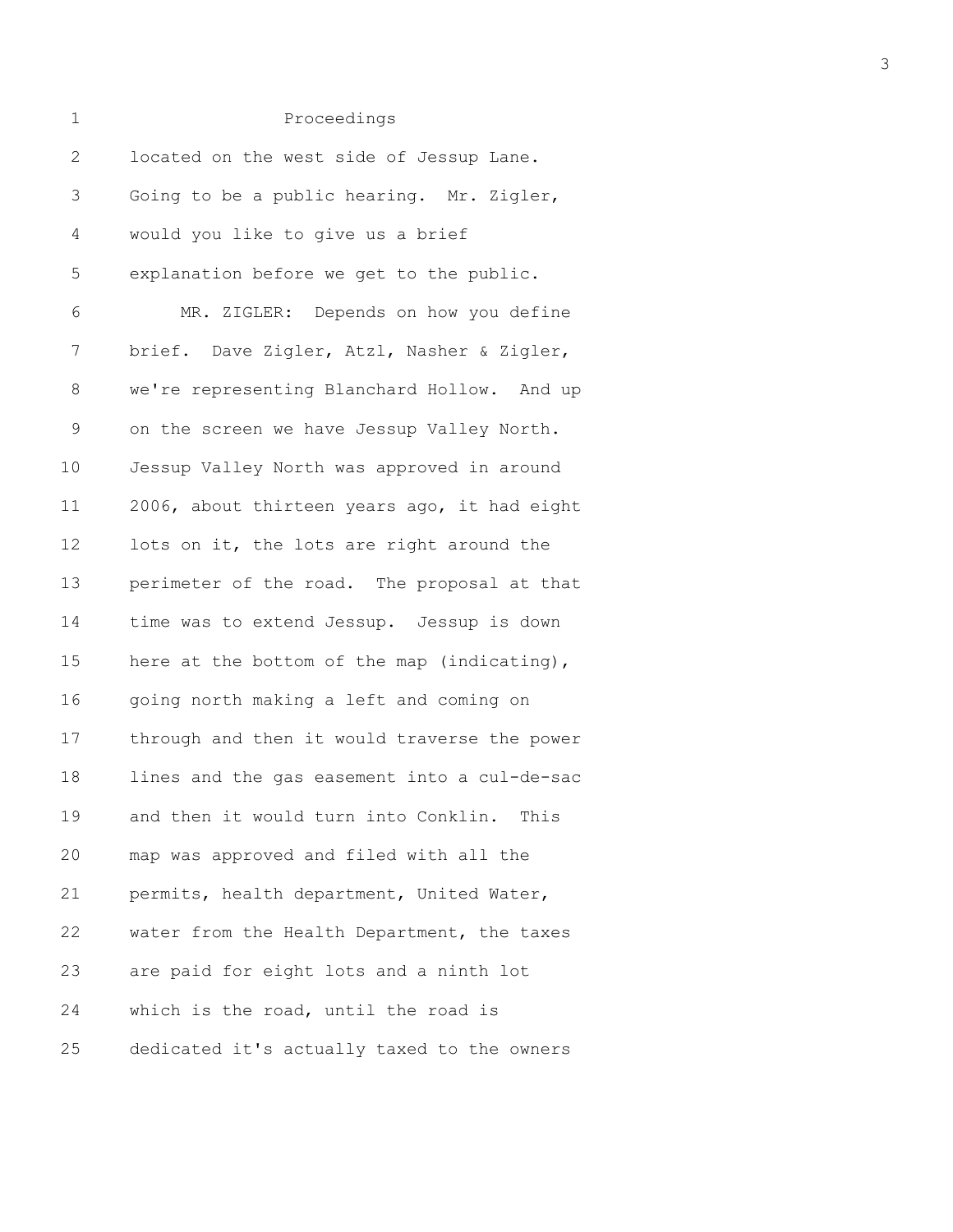| $\mathbf 1$ | Proceedings                                  |
|-------------|----------------------------------------------|
| 2           | located on the west side of Jessup Lane.     |
| 3           | Going to be a public hearing. Mr. Zigler,    |
| 4           | would you like to give us a brief            |
| 5           | explanation before we get to the public.     |
| 6           | MR. ZIGLER: Depends on how you define        |
| 7           | brief. Dave Zigler, Atzl, Nasher & Zigler,   |
| 8           | we're representing Blanchard Hollow. And up  |
| 9           | on the screen we have Jessup Valley North.   |
| $10 \,$     | Jessup Valley North was approved in around   |
| 11          | 2006, about thirteen years ago, it had eight |
| 12          | lots on it, the lots are right around the    |
| 13          | perimeter of the road. The proposal at that  |
| 14          | time was to extend Jessup. Jessup is down    |
| 15          | here at the bottom of the map (indicating),  |
| 16          | going north making a left and coming on      |
| 17          | through and then it would traverse the power |
| 18          | lines and the gas easement into a cul-de-sac |
| 19          | and then it would turn into Conklin. This    |
| 20          | map was approved and filed with all the      |
| 21          | permits, health department, United Water,    |
| 22          | water from the Health Department, the taxes  |
| 23          | are paid for eight lots and a ninth lot      |
| 24          | which is the road, until the road is         |
| 25          | dedicated it's actually taxed to the owners  |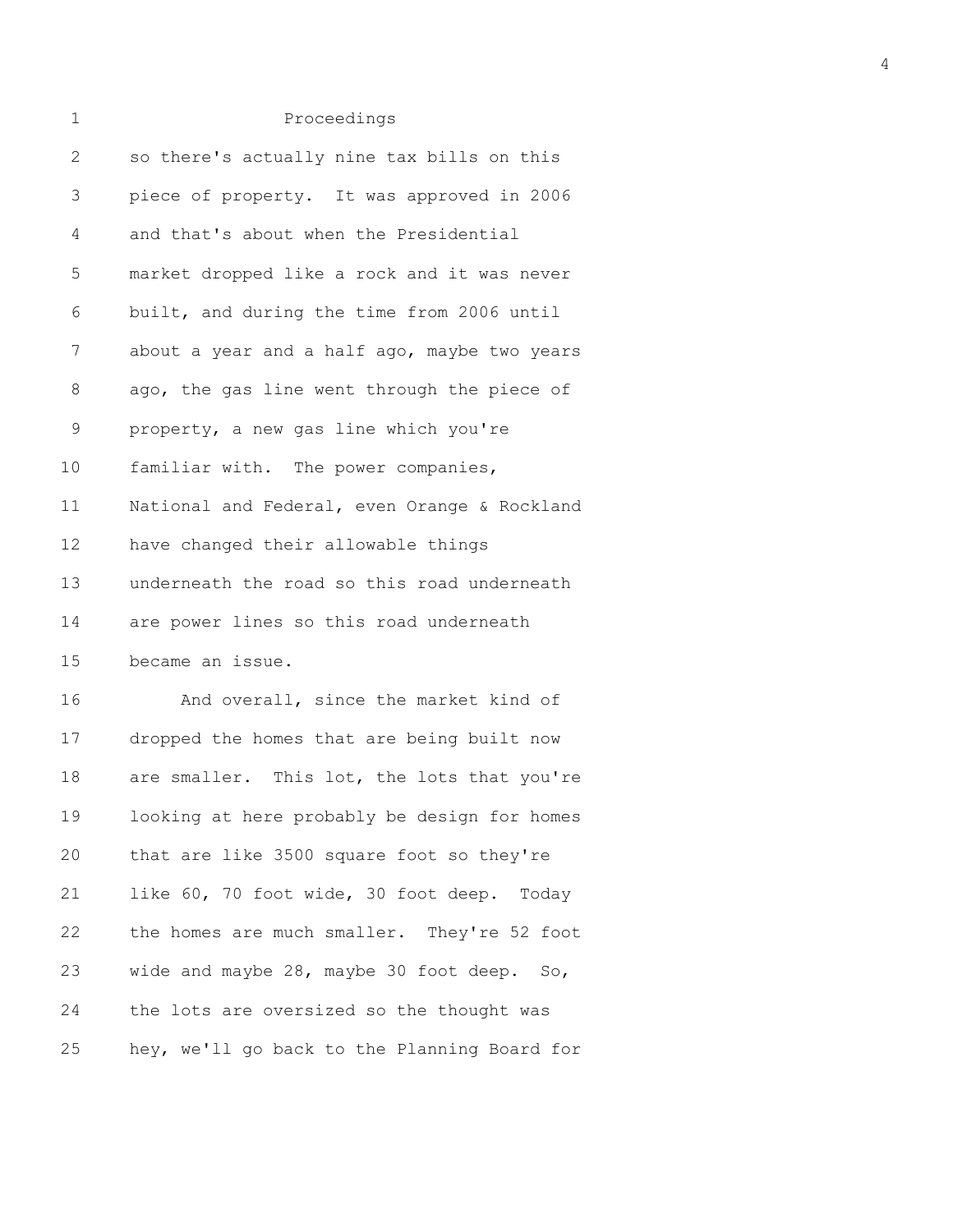| 1           | Proceedings                                   |
|-------------|-----------------------------------------------|
| 2           | so there's actually nine tax bills on this    |
| 3           | piece of property. It was approved in 2006    |
| 4           | and that's about when the Presidential        |
| 5           | market dropped like a rock and it was never   |
| 6           | built, and during the time from 2006 until    |
| 7           | about a year and a half ago, maybe two years  |
| 8           | ago, the gas line went through the piece of   |
| $\mathsf 9$ | property, a new gas line which you're         |
| 10          | familiar with. The power companies,           |
| 11          | National and Federal, even Orange & Rockland  |
| 12          | have changed their allowable things           |
| 13          | underneath the road so this road underneath   |
| 14          | are power lines so this road underneath       |
| 15          | became an issue.                              |
| 16          | And overall, since the market kind of         |
| 17          | dropped the homes that are being built now    |
| 18          | are smaller. This lot, the lots that you're   |
| 19          | looking at here probably be design for homes  |
| 20          | that are like 3500 square foot so they're     |
| 21          | like 60, 70 foot wide, 30 foot deep.<br>Today |

22 the homes are much smaller. They're 52 foot 23 wide and maybe 28, maybe 30 foot deep. So, 24 the lots are oversized so the thought was 25 hey, we'll go back to the Planning Board for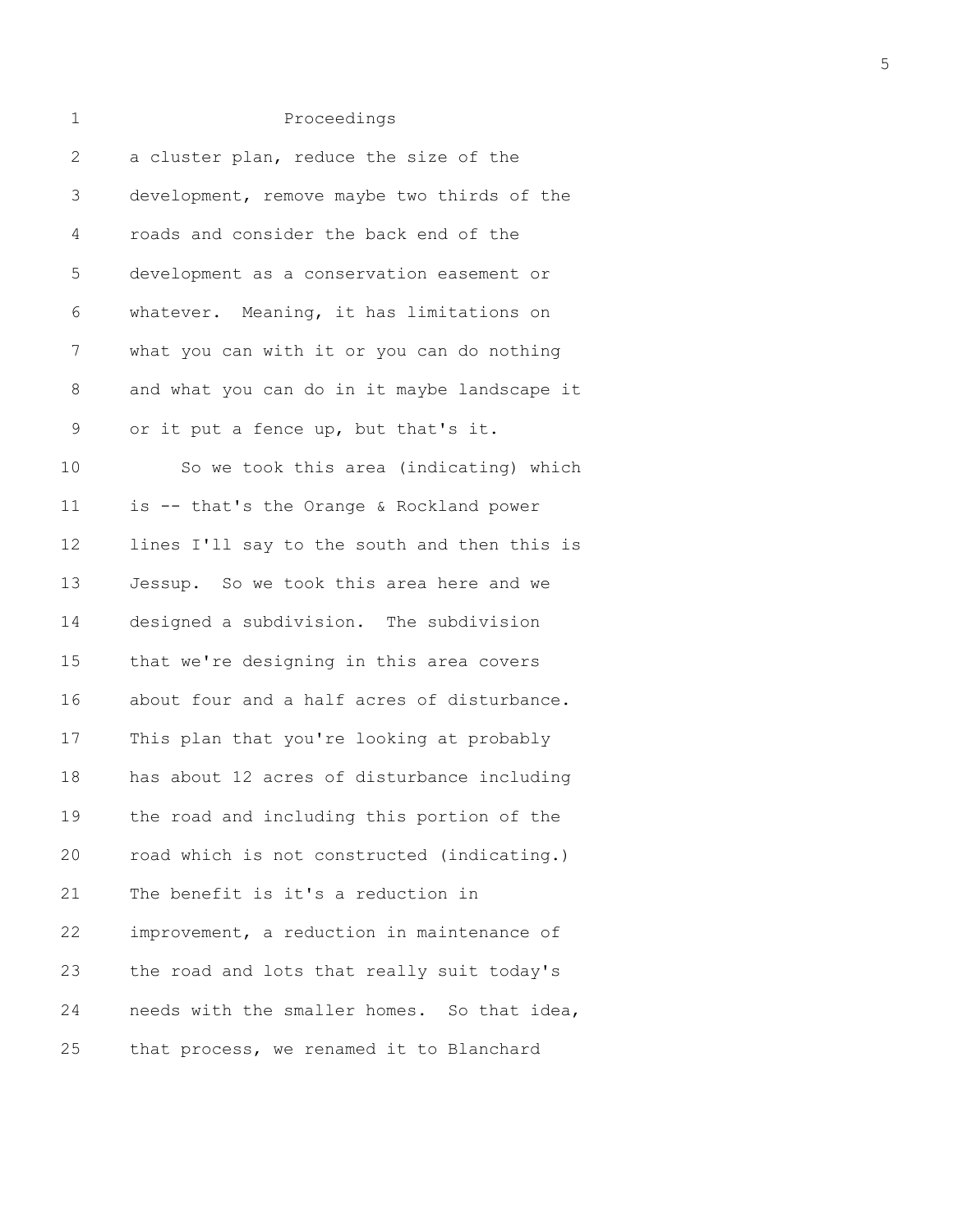| 1            | Proceedings                                  |
|--------------|----------------------------------------------|
| $\mathbf{2}$ | a cluster plan, reduce the size of the       |
| 3            | development, remove maybe two thirds of the  |
| 4            | roads and consider the back end of the       |
| 5            | development as a conservation easement or    |
| 6            | whatever. Meaning, it has limitations on     |
| 7            | what you can with it or you can do nothing   |
| 8            | and what you can do in it maybe landscape it |
| 9            | or it put a fence up, but that's it.         |
| 10           | So we took this area (indicating) which      |
| 11           | is -- that's the Orange & Rockland power     |
| 12           | lines I'll say to the south and then this is |
| 13           | Jessup. So we took this area here and we     |
| 14           | designed a subdivision. The subdivision      |
| 15           | that we're designing in this area covers     |
| 16           | about four and a half acres of disturbance.  |
| 17           | This plan that you're looking at probably    |
| 18           | has about 12 acres of disturbance including  |
| 19           | the road and including this portion of the   |
| 20           | road which is not constructed (indicating.)  |
| 21           | The benefit is it's a reduction in           |
| 22           | improvement, a reduction in maintenance of   |
| 23           | the road and lots that really suit today's   |
| 24           | needs with the smaller homes. So that idea,  |
| 25           | that process, we renamed it to Blanchard     |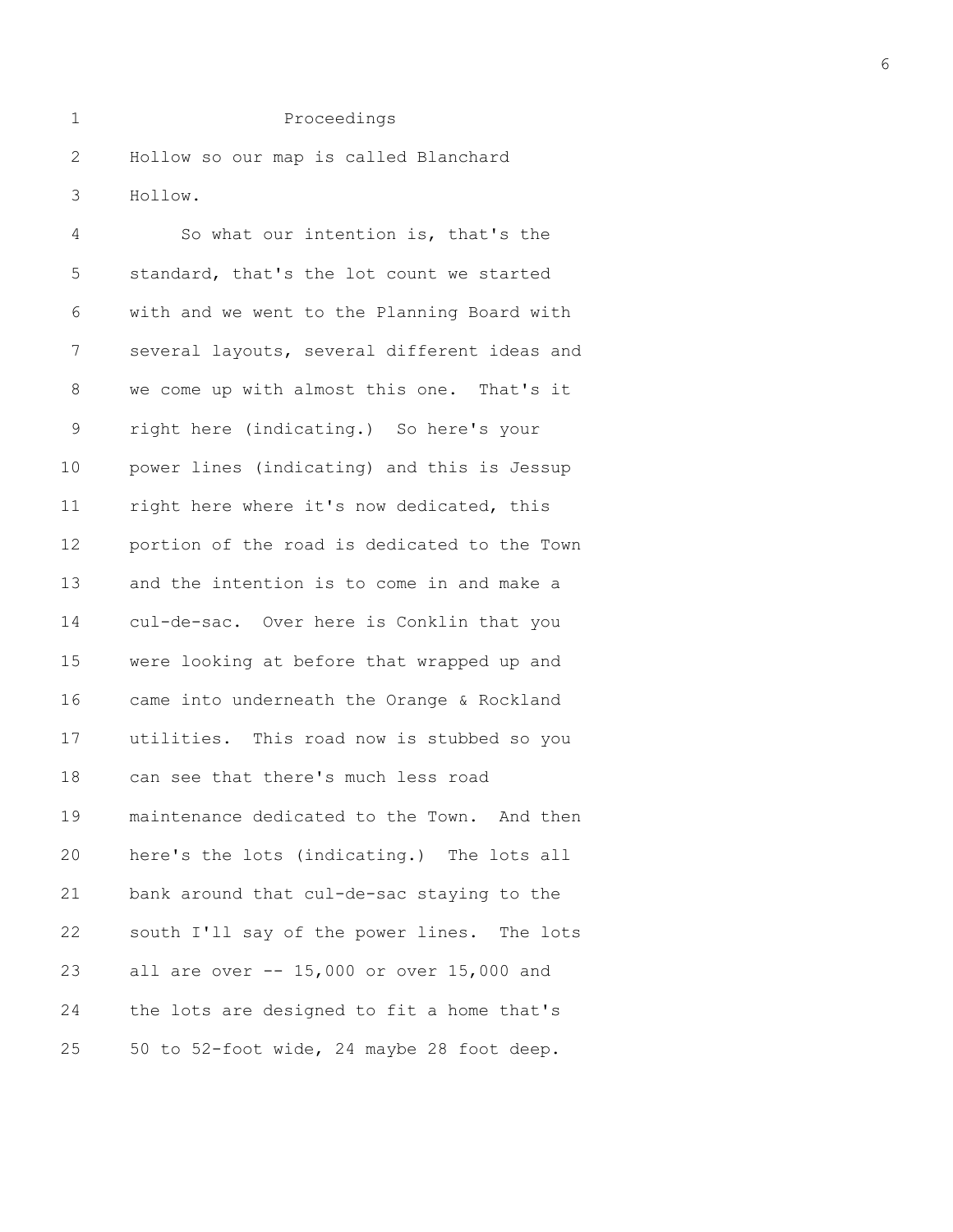2 Hollow so our map is called Blanchard 3 Hollow.

4 So what our intention is, that's the 5 standard, that's the lot count we started 6 with and we went to the Planning Board with 7 several layouts, several different ideas and 8 we come up with almost this one. That's it 9 right here (indicating.) So here's your 10 power lines (indicating) and this is Jessup 11 right here where it's now dedicated, this 12 portion of the road is dedicated to the Town 13 and the intention is to come in and make a 14 cul-de-sac. Over here is Conklin that you 15 were looking at before that wrapped up and 16 came into underneath the Orange & Rockland 17 utilities. This road now is stubbed so you 18 can see that there's much less road 19 maintenance dedicated to the Town. And then 20 here's the lots (indicating.) The lots all 21 bank around that cul-de-sac staying to the 22 south I'll say of the power lines. The lots 23 all are over -- 15,000 or over 15,000 and 24 the lots are designed to fit a home that's 25 50 to 52-foot wide, 24 maybe 28 foot deep.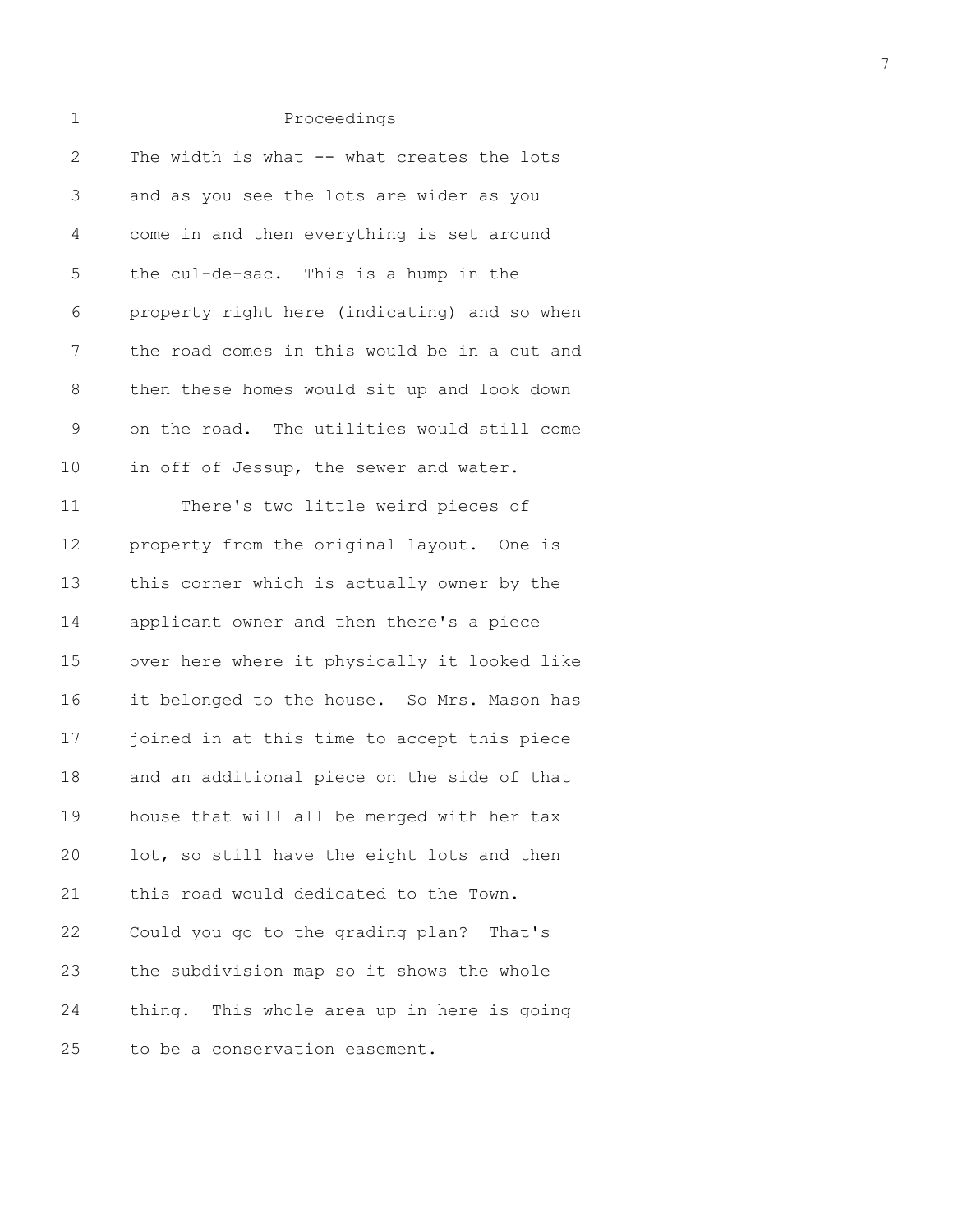| $\mathbf{2}$ | The width is what -- what creates the lots   |
|--------------|----------------------------------------------|
| 3            | and as you see the lots are wider as you     |
| 4            | come in and then everything is set around    |
| 5            | the cul-de-sac. This is a hump in the        |
| 6            | property right here (indicating) and so when |
| 7            | the road comes in this would be in a cut and |
| 8            | then these homes would sit up and look down  |
| 9            | on the road. The utilities would still come  |
| 10           | in off of Jessup, the sewer and water.       |
| 11           | There's two little weird pieces of           |
| 12           | property from the original layout. One is    |
| 13           | this corner which is actually owner by the   |
| 14           | applicant owner and then there's a piece     |
| 15           | over here where it physically it looked like |
| 16           | it belonged to the house. So Mrs. Mason has  |
| 17           | joined in at this time to accept this piece  |
| 18           | and an additional piece on the side of that  |
| 19           | house that will all be merged with her tax   |
| 20           | lot, so still have the eight lots and then   |
| 21           | this road would dedicated to the Town.       |
| 22           | Could you go to the grading plan? That's     |
| 23           | the subdivision map so it shows the whole    |
| 24           | thing. This whole area up in here is going   |
| 25           | to be a conservation easement.               |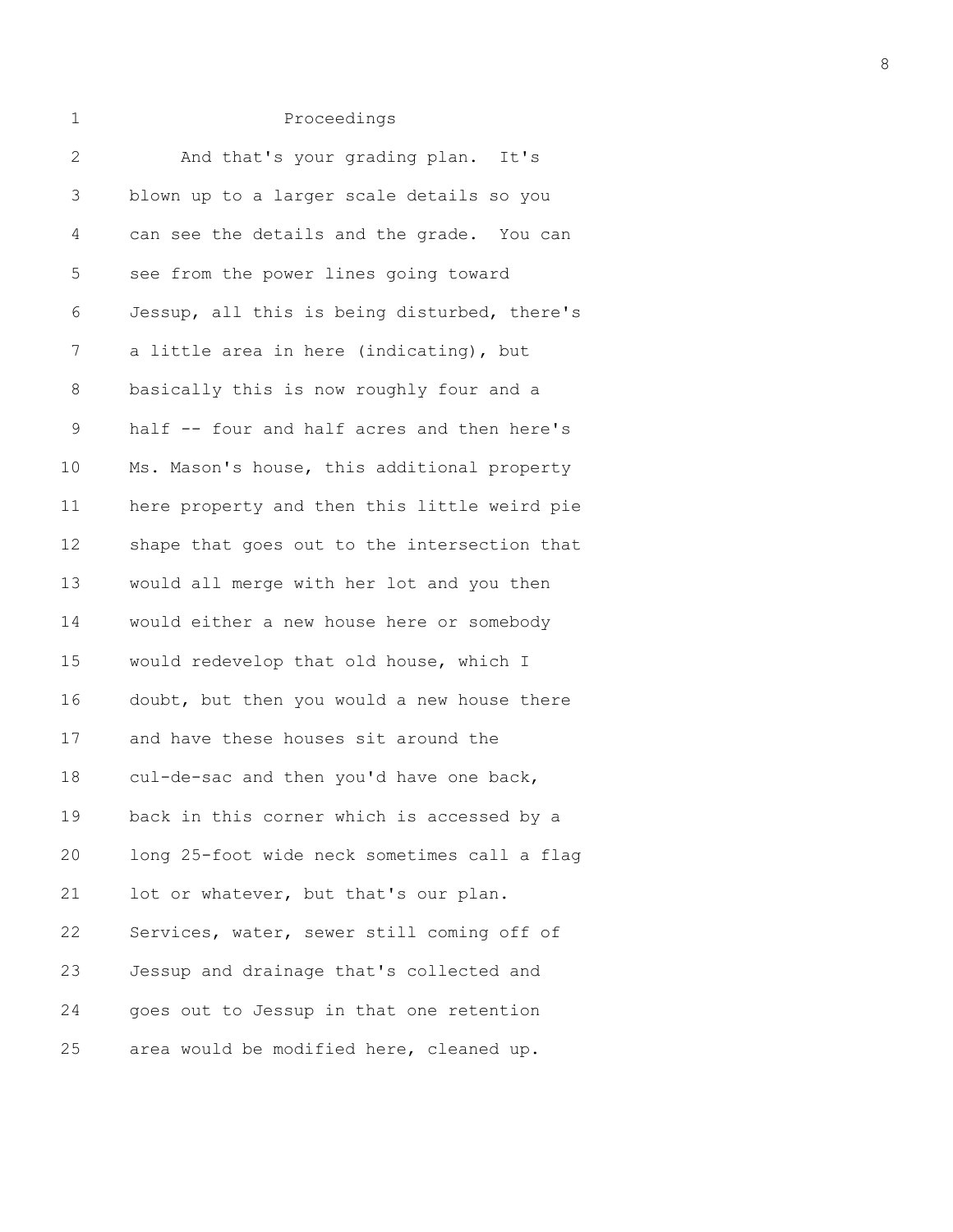| $\mathbf{2}$  | And that's your grading plan. It's           |
|---------------|----------------------------------------------|
| 3             | blown up to a larger scale details so you    |
| 4             | can see the details and the grade. You can   |
| 5             | see from the power lines going toward        |
| 6             | Jessup, all this is being disturbed, there's |
| 7             | a little area in here (indicating), but      |
| 8             | basically this is now roughly four and a     |
| $\mathcal{G}$ | half -- four and half acres and then here's  |
| 10            | Ms. Mason's house, this additional property  |
| 11            | here property and then this little weird pie |
| 12            | shape that goes out to the intersection that |
| 13            | would all merge with her lot and you then    |
| 14            | would either a new house here or somebody    |
| 15            | would redevelop that old house, which I      |
| 16            | doubt, but then you would a new house there  |
| 17            | and have these houses sit around the         |
| 18            | cul-de-sac and then you'd have one back,     |
| 19            | back in this corner which is accessed by a   |
| 20            | long 25-foot wide neck sometimes call a flag |
| 21            | lot or whatever, but that's our plan.        |
| 22            | Services, water, sewer still coming off of   |
| 23            | Jessup and drainage that's collected and     |
| 24            | goes out to Jessup in that one retention     |
| 25            | area would be modified here, cleaned up.     |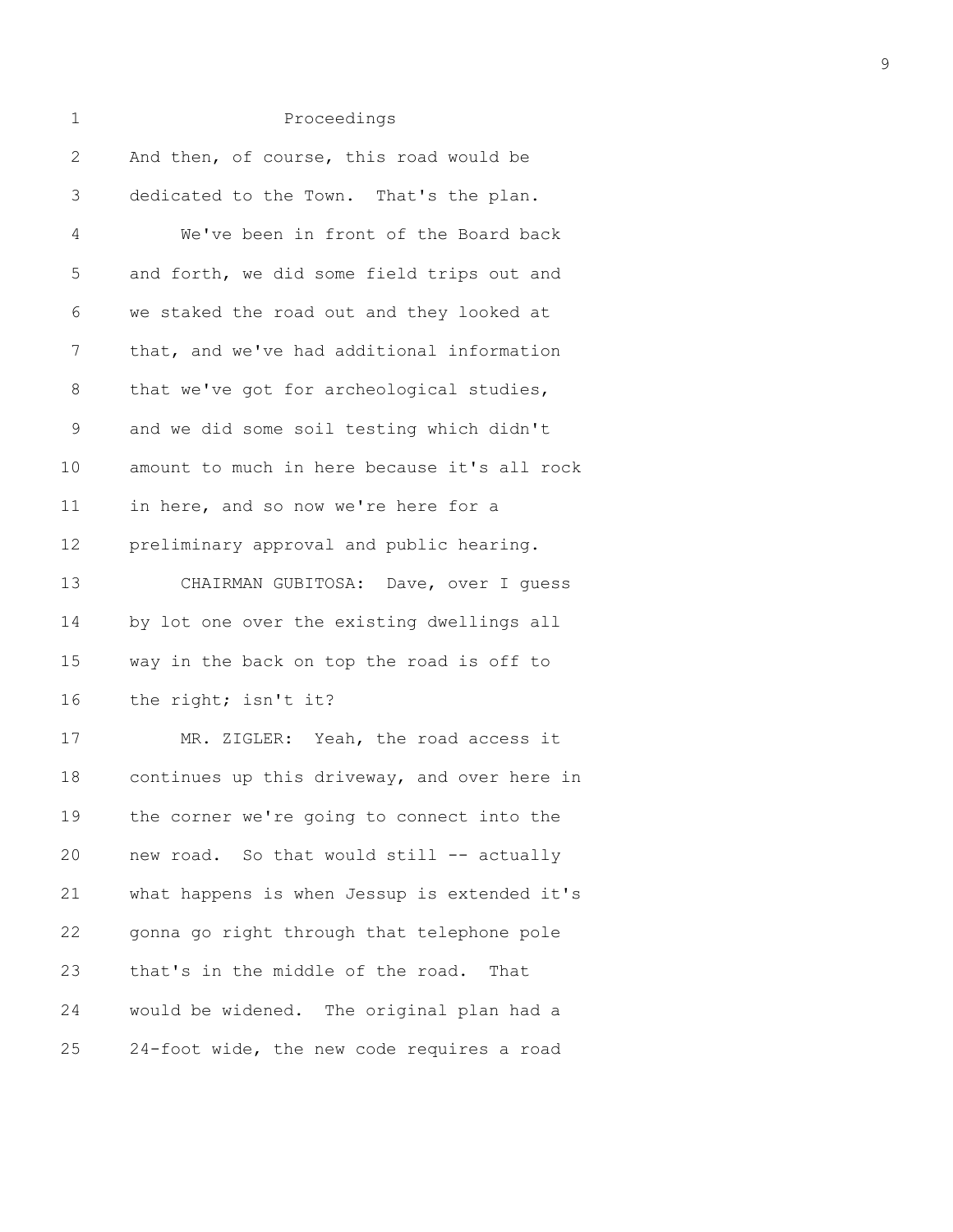| 1            | Proceedings                                  |
|--------------|----------------------------------------------|
| $\mathbf{2}$ | And then, of course, this road would be      |
| 3            | dedicated to the Town. That's the plan.      |
| 4            | We've been in front of the Board back        |
| 5            | and forth, we did some field trips out and   |
| 6            | we staked the road out and they looked at    |
| 7            | that, and we've had additional information   |
| 8            | that we've got for archeological studies,    |
| 9            | and we did some soil testing which didn't    |
| 10           | amount to much in here because it's all rock |
| 11           | in here, and so now we're here for a         |
| 12           | preliminary approval and public hearing.     |
| 13           | CHAIRMAN GUBITOSA: Dave, over I quess        |
| 14           | by lot one over the existing dwellings all   |
| 15           | way in the back on top the road is off to    |
| 16           | the right; isn't it?                         |
| 17           | MR. ZIGLER: Yeah, the road access it         |
| 18           | continues up this driveway, and over here in |
| 19           | the corner we're going to connect into the   |
| 20           | new road. So that would still -- actually    |
| 21           | what happens is when Jessup is extended it's |
| 22           | gonna go right through that telephone pole   |
| 23           | that's in the middle of the road.<br>That    |

25 24-foot wide, the new code requires a road

24 would be widened. The original plan had a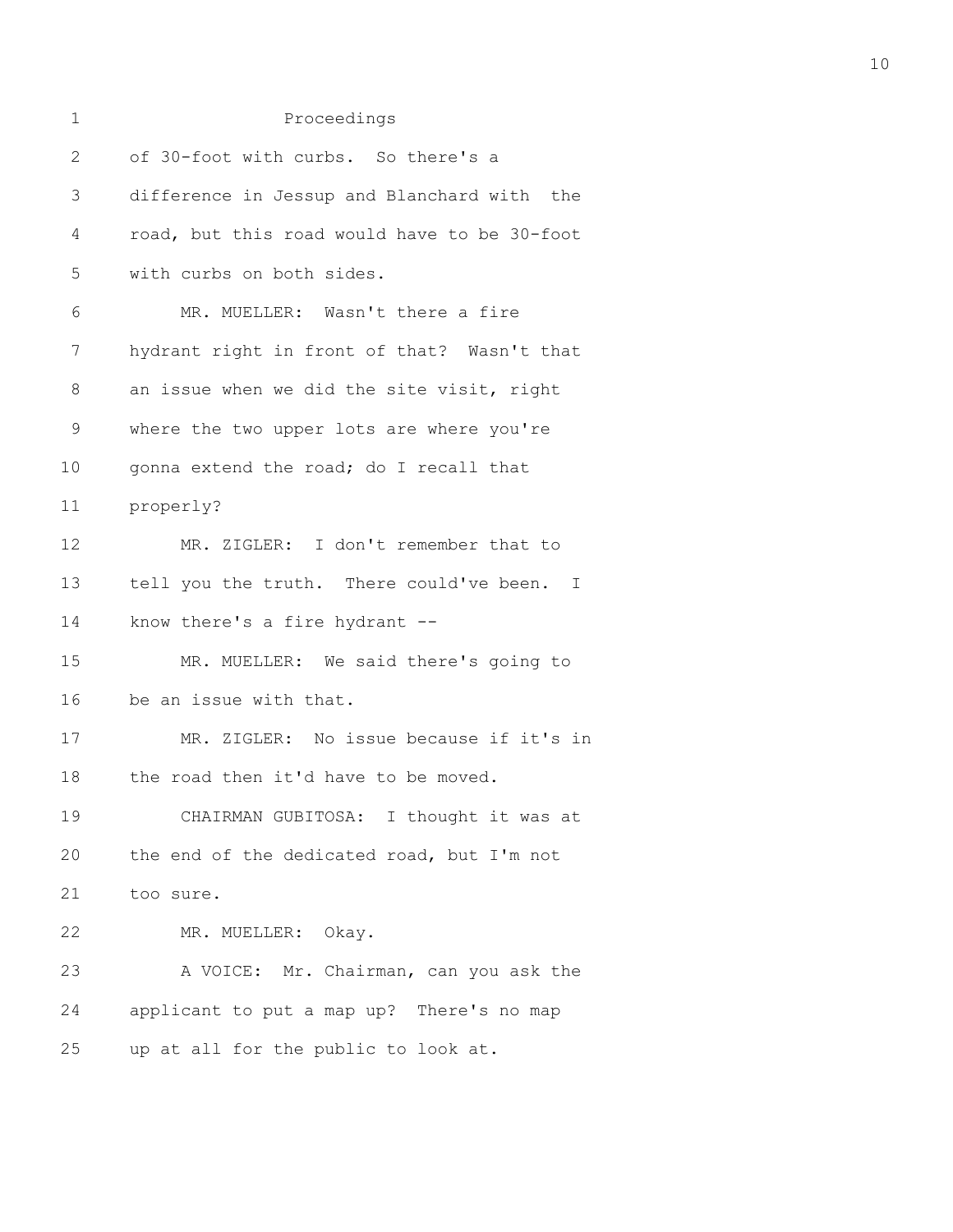| $\mathbf 1$  | Proceedings                                  |
|--------------|----------------------------------------------|
| $\mathbf{2}$ | of 30-foot with curbs. So there's a          |
| 3            | difference in Jessup and Blanchard with the  |
| 4            | road, but this road would have to be 30-foot |
| 5            | with curbs on both sides.                    |
| 6            | MR. MUELLER: Wasn't there a fire             |
| 7            | hydrant right in front of that? Wasn't that  |
| 8            | an issue when we did the site visit, right   |
| 9            | where the two upper lots are where you're    |
| 10           | gonna extend the road; do I recall that      |
| 11           | properly?                                    |
| 12           | MR. ZIGLER: I don't remember that to         |
| 13           | tell you the truth. There could've been. I   |
| 14           | know there's a fire hydrant --               |
| 15           | MR. MUELLER: We said there's going to        |
| 16           | be an issue with that.                       |
| 17           | MR. ZIGLER: No issue because if it's in      |
| 18           | the road then it'd have to be moved.         |
| 19           | CHAIRMAN GUBITOSA: I thought it was at       |
| 20           | the end of the dedicated road, but I'm not   |
| 21           | too sure.                                    |
| 22           | MR. MUELLER: Okay.                           |
| 23           | A VOICE: Mr. Chairman, can you ask the       |
| 24           | applicant to put a map up? There's no map    |
| 25           | up at all for the public to look at.         |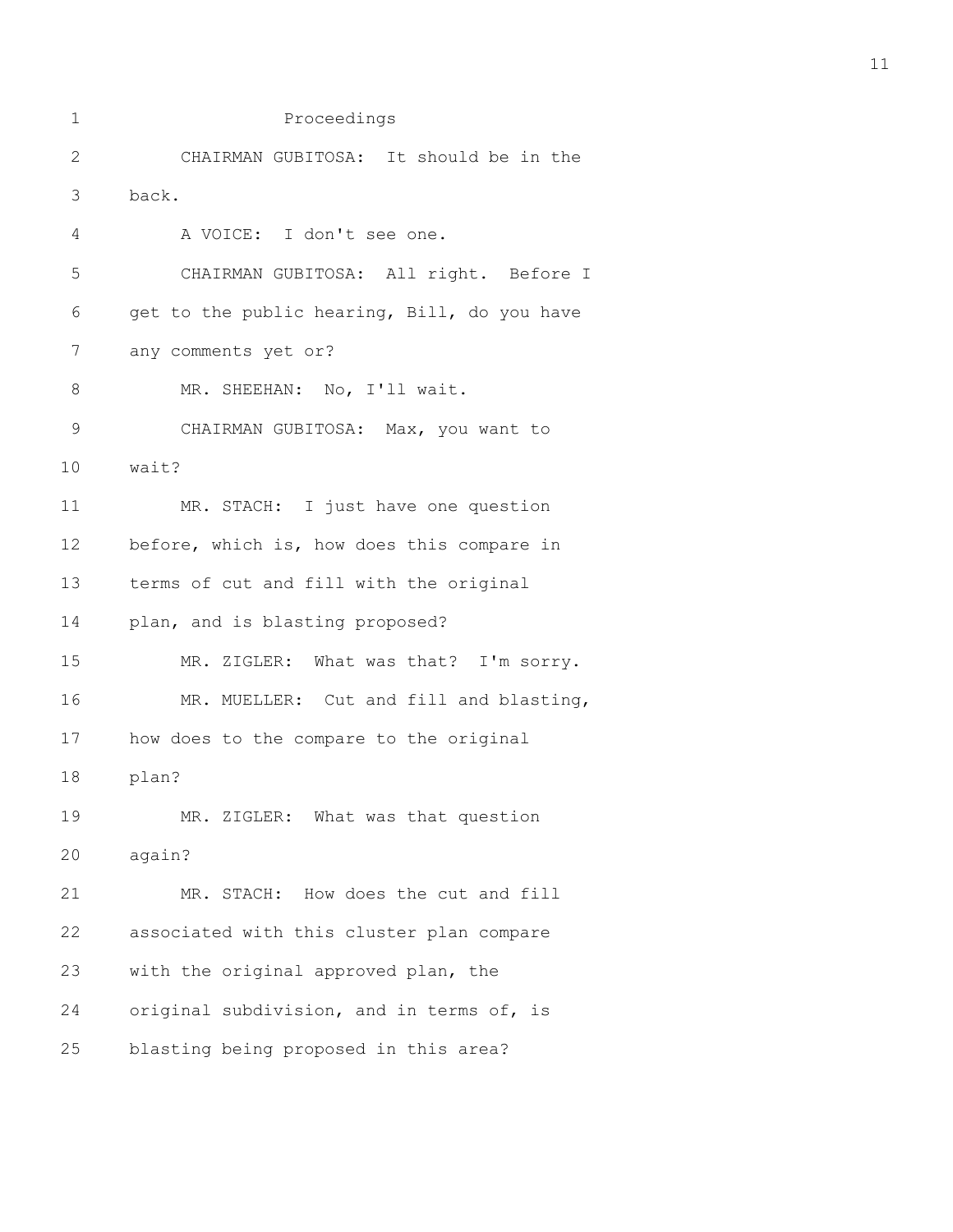| 1            | Proceedings                                  |
|--------------|----------------------------------------------|
| $\mathbf{2}$ | CHAIRMAN GUBITOSA: It should be in the       |
| 3            | back.                                        |
| 4            | A VOICE: I don't see one.                    |
| 5            | CHAIRMAN GUBITOSA: All right. Before I       |
| 6            | get to the public hearing, Bill, do you have |
| 7            | any comments yet or?                         |
| 8            | MR. SHEEHAN: No, I'll wait.                  |
| $\mathsf 9$  | CHAIRMAN GUBITOSA: Max, you want to          |
| 10           | wait?                                        |
| 11           | MR. STACH: I just have one question          |
| 12           | before, which is, how does this compare in   |
| 13           | terms of cut and fill with the original      |
| 14           | plan, and is blasting proposed?              |
| 15           | MR. ZIGLER: What was that? I'm sorry.        |
| 16           | MR. MUELLER: Cut and fill and blasting,      |
| 17           | how does to the compare to the original      |
| 18           | plan?                                        |
| 19           | MR. ZIGLER: What was that question           |
| 20           | again?                                       |
| 21           | MR. STACH: How does the cut and fill         |
| 22           | associated with this cluster plan compare    |
| 23           | with the original approved plan, the         |
| 24           | original subdivision, and in terms of, is    |
| 25           | blasting being proposed in this area?        |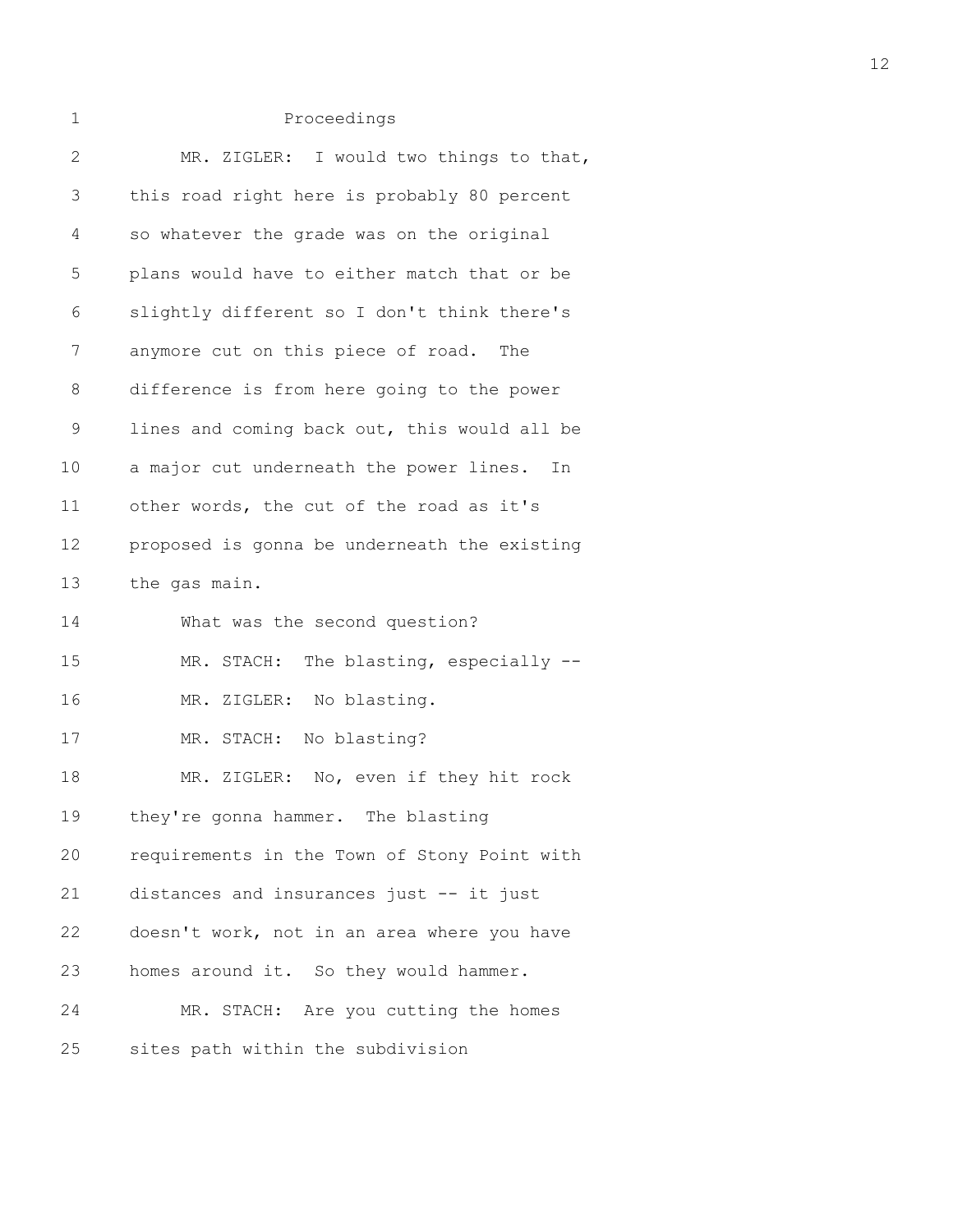| 1           | Proceedings                                   |
|-------------|-----------------------------------------------|
| 2           | MR. ZIGLER: I would two things to that,       |
| 3           | this road right here is probably 80 percent   |
| 4           | so whatever the grade was on the original     |
| 5           | plans would have to either match that or be   |
| 6           | slightly different so I don't think there's   |
| 7           | anymore cut on this piece of road. The        |
| 8           | difference is from here going to the power    |
| $\mathsf 9$ | lines and coming back out, this would all be  |
| 10          | a major cut underneath the power lines.<br>In |
| 11          | other words, the cut of the road as it's      |
| 12          | proposed is gonna be underneath the existing  |
| 13          | the gas main.                                 |
| 14          | What was the second question?                 |
| 15          | MR. STACH: The blasting, especially --        |
| 16          | MR. ZIGLER: No blasting.                      |
| 17          | MR. STACH: No blasting?                       |
| 18          | MR. ZIGLER: No, even if they hit rock         |
| 19          | they're gonna hammer. The blasting            |
| 20          | requirements in the Town of Stony Point with  |
| 21          | distances and insurances just -- it just      |
| 22          | doesn't work, not in an area where you have   |
| 23          | homes around it. So they would hammer.        |
| 24          | MR. STACH: Are you cutting the homes          |
| 25          | sites path within the subdivision             |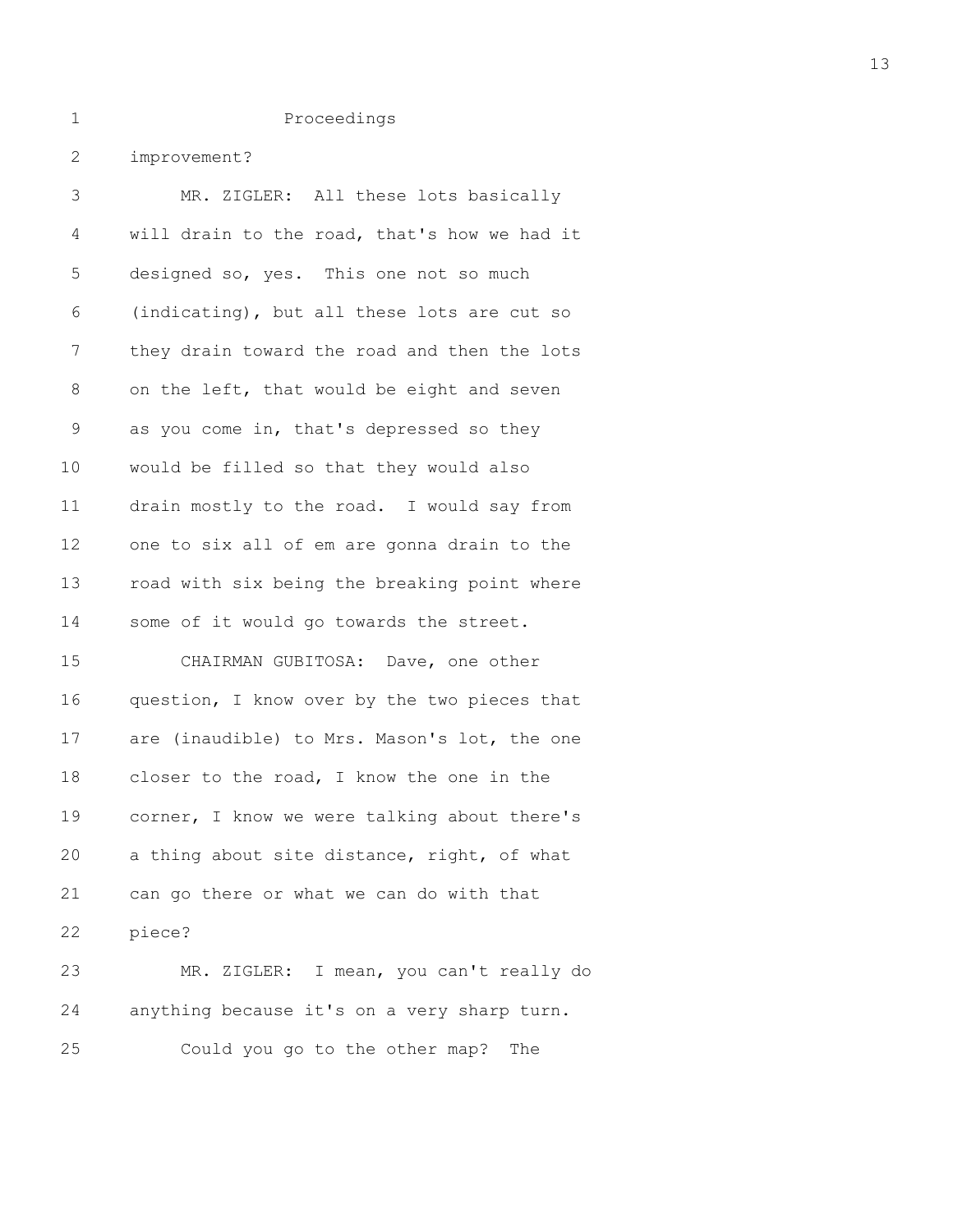2 improvement?

| 3  | MR. ZIGLER: All these lots basically         |
|----|----------------------------------------------|
| 4  | will drain to the road, that's how we had it |
| 5  | designed so, yes. This one not so much       |
| 6  | (indicating), but all these lots are cut so  |
| 7  | they drain toward the road and then the lots |
| 8  | on the left, that would be eight and seven   |
| 9  | as you come in, that's depressed so they     |
| 10 | would be filled so that they would also      |
| 11 | drain mostly to the road. I would say from   |
| 12 | one to six all of em are gonna drain to the  |
| 13 | road with six being the breaking point where |
| 14 | some of it would go towards the street.      |
| 15 | CHAIRMAN GUBITOSA: Dave, one other           |
| 16 | question, I know over by the two pieces that |
| 17 | are (inaudible) to Mrs. Mason's lot, the one |
| 18 | closer to the road, I know the one in the    |
| 19 | corner, I know we were talking about there's |
| 20 | a thing about site distance, right, of what  |
| 21 | can go there or what we can do with that     |
| 22 | piece?                                       |
| 23 | MR. ZIGLER: I mean, you can't really do      |
| 24 | anything because it's on a very sharp turn.  |
| 25 | Could you go to the other map?<br>The        |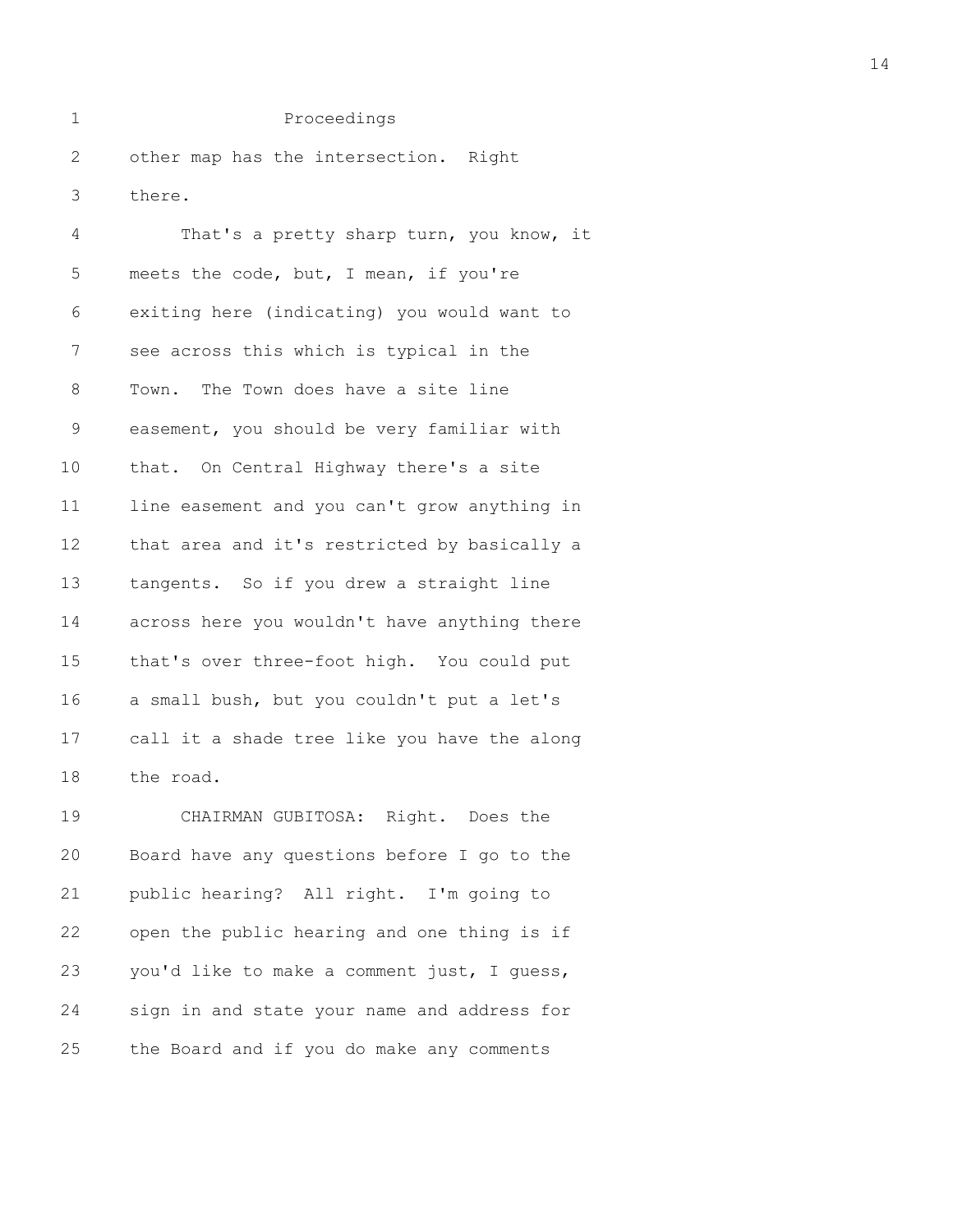2 other map has the intersection. Right 3 there.

4 That's a pretty sharp turn, you know, it 5 meets the code, but, I mean, if you're 6 exiting here (indicating) you would want to 7 see across this which is typical in the 8 Town. The Town does have a site line 9 easement, you should be very familiar with 10 that. On Central Highway there's a site 11 line easement and you can't grow anything in 12 that area and it's restricted by basically a 13 tangents. So if you drew a straight line 14 across here you wouldn't have anything there 15 that's over three-foot high. You could put 16 a small bush, but you couldn't put a let's 17 call it a shade tree like you have the along 18 the road.

19 CHAIRMAN GUBITOSA: Right. Does the 20 Board have any questions before I go to the 21 public hearing? All right. I'm going to 22 open the public hearing and one thing is if 23 you'd like to make a comment just, I guess, 24 sign in and state your name and address for 25 the Board and if you do make any comments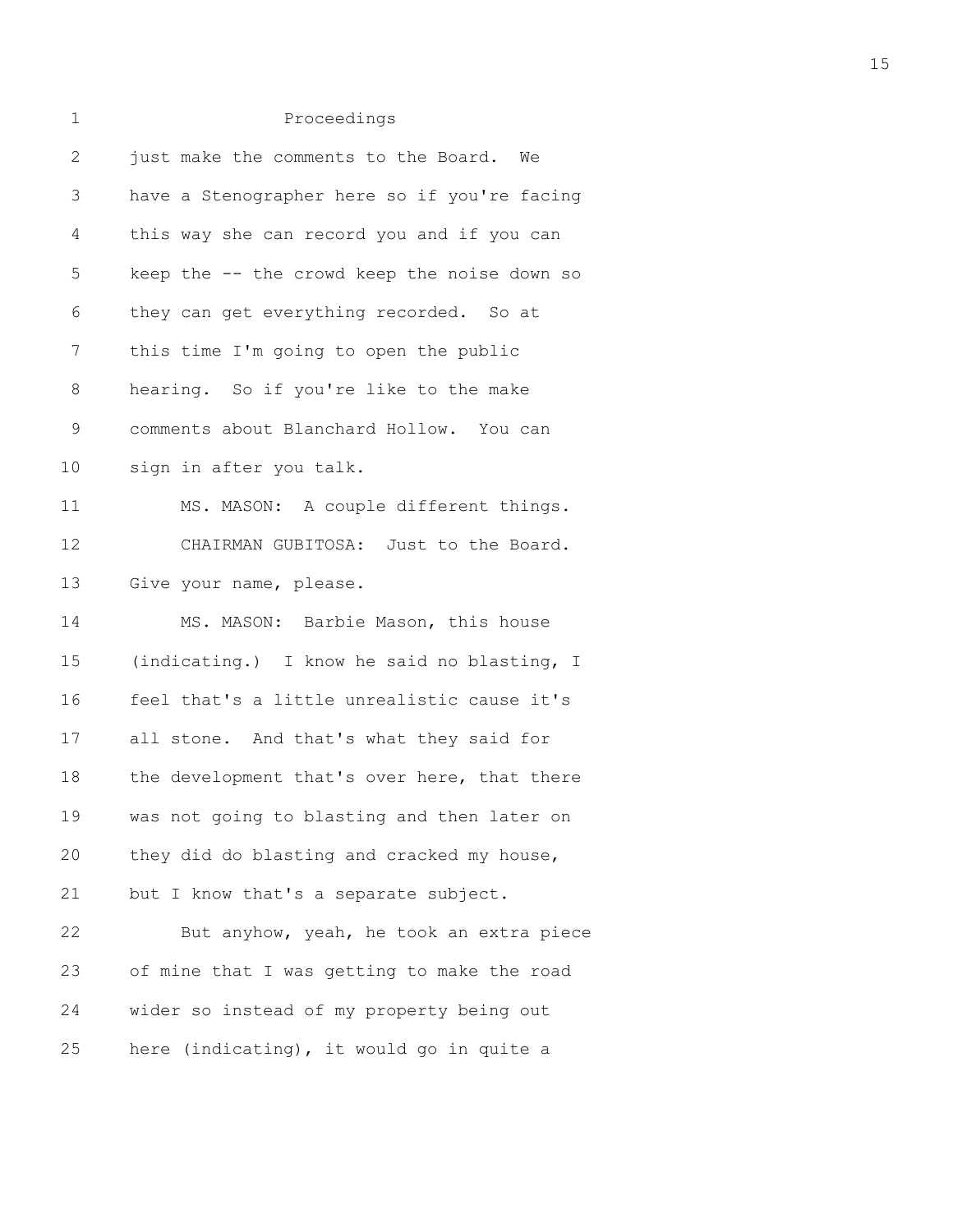| 1             | Proceedings                                  |
|---------------|----------------------------------------------|
| $\mathbf{2}$  | just make the comments to the Board. We      |
| 3             | have a Stenographer here so if you're facing |
| 4             | this way she can record you and if you can   |
| 5             | keep the -- the crowd keep the noise down so |
| 6             | they can get everything recorded. So at      |
| 7             | this time I'm going to open the public       |
| 8             | hearing. So if you're like to the make       |
| $\mathcal{G}$ | comments about Blanchard Hollow. You can     |
| 10            | sign in after you talk.                      |
| 11            | MS. MASON: A couple different things.        |
| 12            | CHAIRMAN GUBITOSA: Just to the Board.        |
| 13            | Give your name, please.                      |
| 14            | MS. MASON: Barbie Mason, this house          |
| 15            | (indicating.) I know he said no blasting, I  |
| 16            | feel that's a little unrealistic cause it's  |
| 17            | all stone. And that's what they said for     |
| 18            | the development that's over here, that there |
| 19            | was not going to blasting and then later on  |
| 20            | they did do blasting and cracked my house,   |
| 21            | but I know that's a separate subject.        |
| 22            | But anyhow, yeah, he took an extra piece     |
| 23            | of mine that I was getting to make the road  |
| 24            | wider so instead of my property being out    |
| 25            | here (indicating), it would go in quite a    |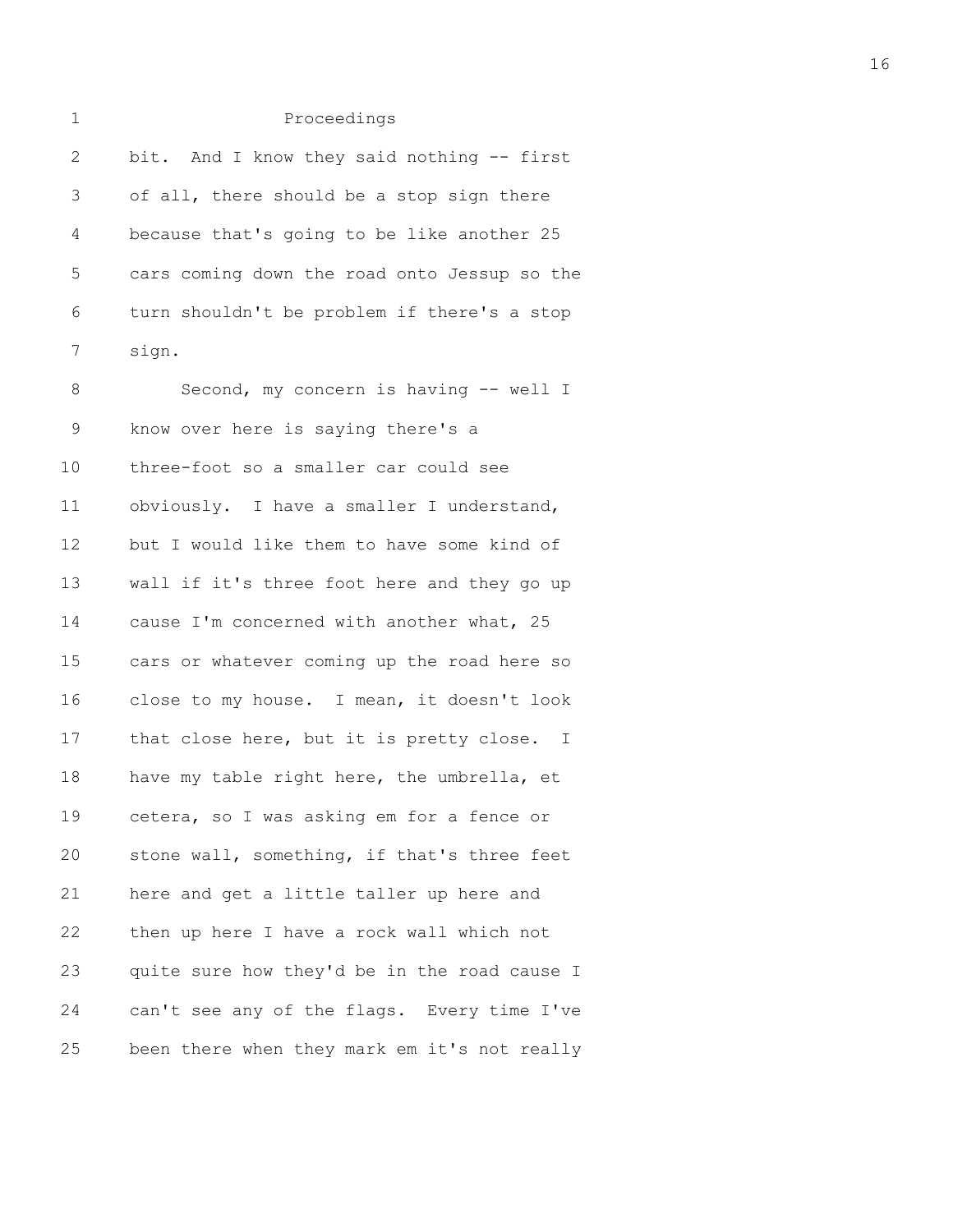| ۰. |     |
|----|-----|
|    |     |
|    |     |
|    | . . |

| $\mathbf{2}$ | bit. And I know they said nothing -- first   |
|--------------|----------------------------------------------|
| 3            | of all, there should be a stop sign there    |
| 4            | because that's going to be like another 25   |
| 5            | cars coming down the road onto Jessup so the |
| 6            | turn shouldn't be problem if there's a stop  |
| 7            | sign.                                        |
| 8            | Second, my concern is having -- well I       |
| 9            | know over here is saying there's a           |
| 10           | three-foot so a smaller car could see        |
| 11           | obviously. I have a smaller I understand,    |
| 12           | but I would like them to have some kind of   |
| 13           | wall if it's three foot here and they go up  |
| 14           | cause I'm concerned with another what, 25    |
| 15           | cars or whatever coming up the road here so  |
| 16           | close to my house. I mean, it doesn't look   |
| 17           | that close here, but it is pretty close. I   |
| 18           | have my table right here, the umbrella, et   |
| 19           | cetera, so I was asking em for a fence or    |
| 20           | stone wall, something, if that's three feet  |
| 21           | here and get a little taller up here and     |
| 22           | then up here I have a rock wall which not    |
| 23           | quite sure how they'd be in the road cause I |
| 24           | can't see any of the flags. Every time I've  |
| 25           | been there when they mark em it's not really |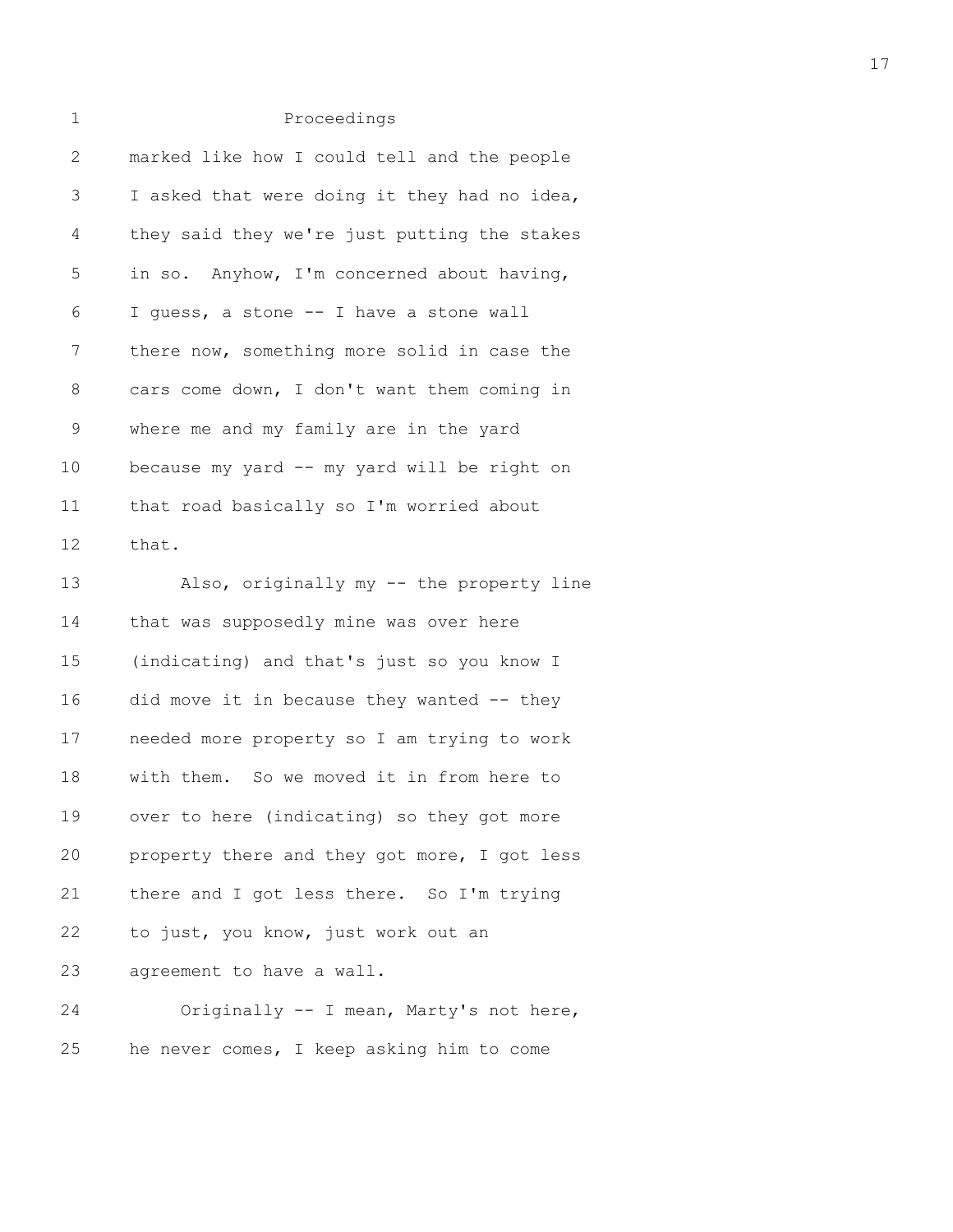| 2           | marked like how I could tell and the people  |
|-------------|----------------------------------------------|
| 3           | I asked that were doing it they had no idea, |
| 4           | they said they we're just putting the stakes |
| 5           | in so. Anyhow, I'm concerned about having,   |
| 6           | I guess, a stone -- I have a stone wall      |
| 7           | there now, something more solid in case the  |
| 8           | cars come down, I don't want them coming in  |
| $\mathsf 9$ | where me and my family are in the yard       |
| 10          | because my yard -- my yard will be right on  |
| 11          | that road basically so I'm worried about     |
| 12          | that.                                        |
| 13          | Also, originally my -- the property line     |
| 14          | that was supposedly mine was over here       |
| 15          | (indicating) and that's just so you know I   |
| 16          | did move it in because they wanted $-$ they  |
| 17          | needed more property so I am trying to work  |
| 18          | with them. So we moved it in from here to    |
| 19          | over to here (indicating) so they got more   |
| 20          | property there and they got more, I got less |
| 21          | there and I got less there. So I'm trying    |
| 22          | to just, you know, just work out an          |
| 23          | agreement to have a wall.                    |
| 24          | Originally -- I mean, Marty's not here,      |
| 25          | he never comes, I keep asking him to come    |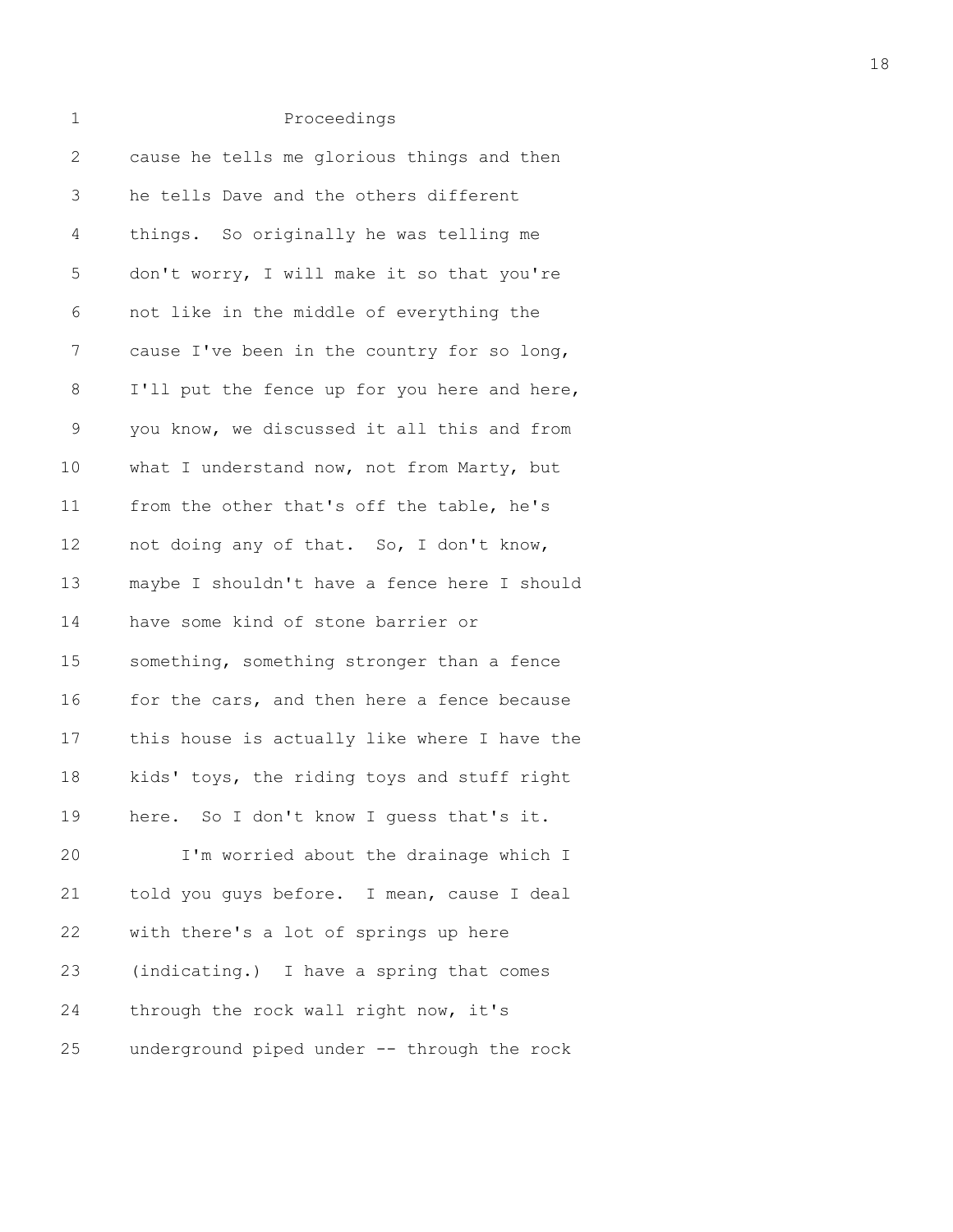| 1            | Proceedings                                  |
|--------------|----------------------------------------------|
| $\mathbf{2}$ | cause he tells me glorious things and then   |
| 3            | he tells Dave and the others different       |
| 4            | things. So originally he was telling me      |
| 5            | don't worry, I will make it so that you're   |
| 6            | not like in the middle of everything the     |
| 7            | cause I've been in the country for so long,  |
| 8            | I'll put the fence up for you here and here, |
| 9            | you know, we discussed it all this and from  |
| 10           | what I understand now, not from Marty, but   |
| 11           | from the other that's off the table, he's    |
| 12           | not doing any of that. So, I don't know,     |
| 13           | maybe I shouldn't have a fence here I should |
| 14           | have some kind of stone barrier or           |
| 15           | something, something stronger than a fence   |
| 16           | for the cars, and then here a fence because  |
| 17           | this house is actually like where I have the |
| 18           | kids' toys, the riding toys and stuff right  |
| 19           | here. So I don't know I guess that's it.     |
| 20           | I'm worried about the drainage which I       |
| 21           | told you guys before. I mean, cause I deal   |
| 22           | with there's a lot of springs up here        |
| 23           | (indicating.) I have a spring that comes     |
| 24           | through the rock wall right now, it's        |
| 25           | underground piped under -- through the rock  |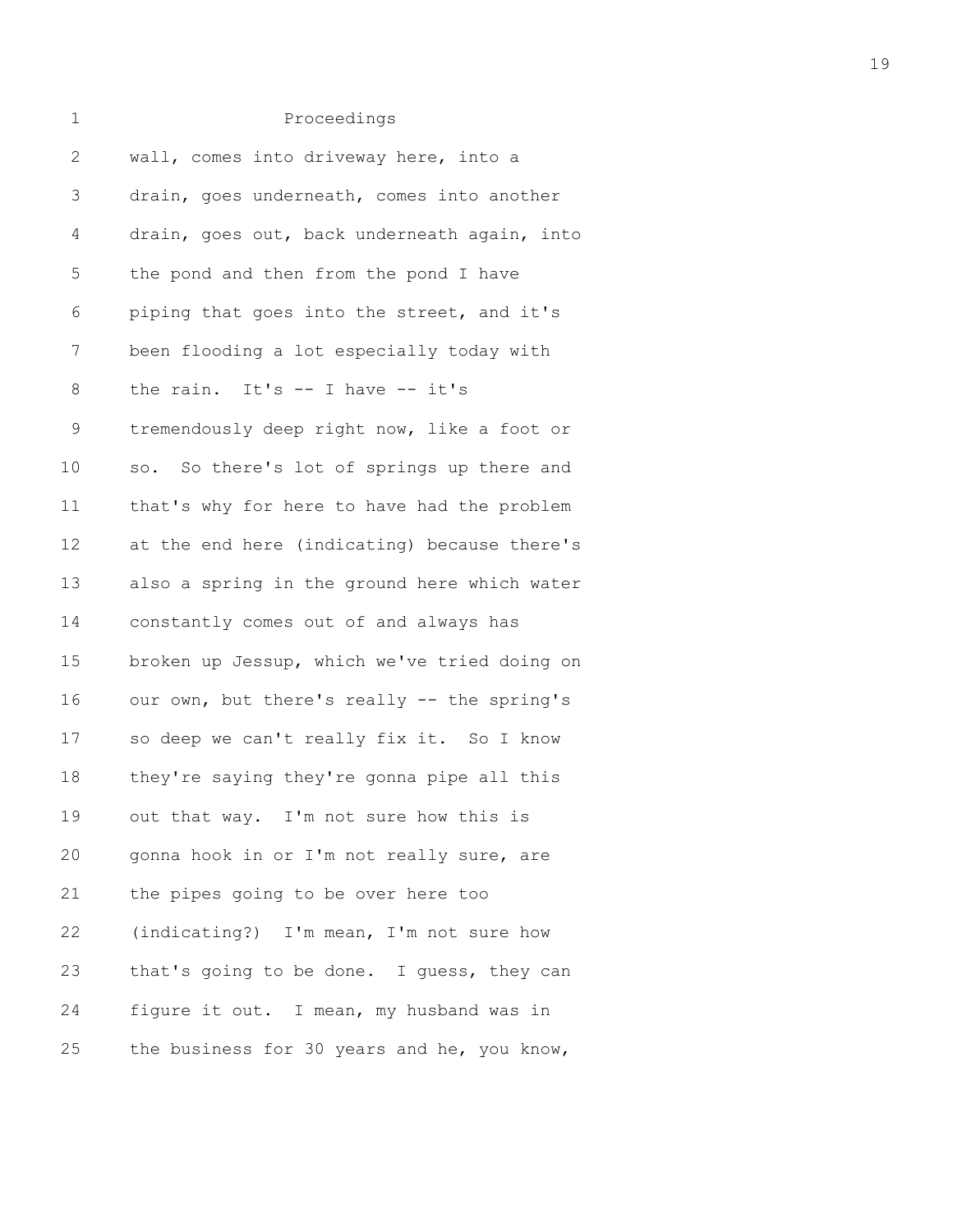| 1            | Proceedings                                  |
|--------------|----------------------------------------------|
| $\mathbf{2}$ | wall, comes into driveway here, into a       |
| 3            | drain, goes underneath, comes into another   |
| 4            | drain, goes out, back underneath again, into |
| 5            | the pond and then from the pond I have       |
| 6            | piping that goes into the street, and it's   |
| 7            | been flooding a lot especially today with    |
| 8            | the rain. It's $-$ I have $-$ it's           |
| $\mathsf 9$  | tremendously deep right now, like a foot or  |
| 10           | so. So there's lot of springs up there and   |
| 11           | that's why for here to have had the problem  |
| 12           | at the end here (indicating) because there's |
| 13           | also a spring in the ground here which water |
| 14           | constantly comes out of and always has       |
| 15           | broken up Jessup, which we've tried doing on |
| 16           | our own, but there's really -- the spring's  |
| 17           | so deep we can't really fix it. So I know    |
| 18           | they're saying they're gonna pipe all this   |
| 19           | out that way. I'm not sure how this is       |
| 20           | gonna hook in or I'm not really sure, are    |
| 21           | the pipes going to be over here too          |
| 22           | (indicating?) I'm mean, I'm not sure how     |
| 23           | that's going to be done. I guess, they can   |
| 24           | figure it out. I mean, my husband was in     |
| 25           | the business for 30 years and he, you know,  |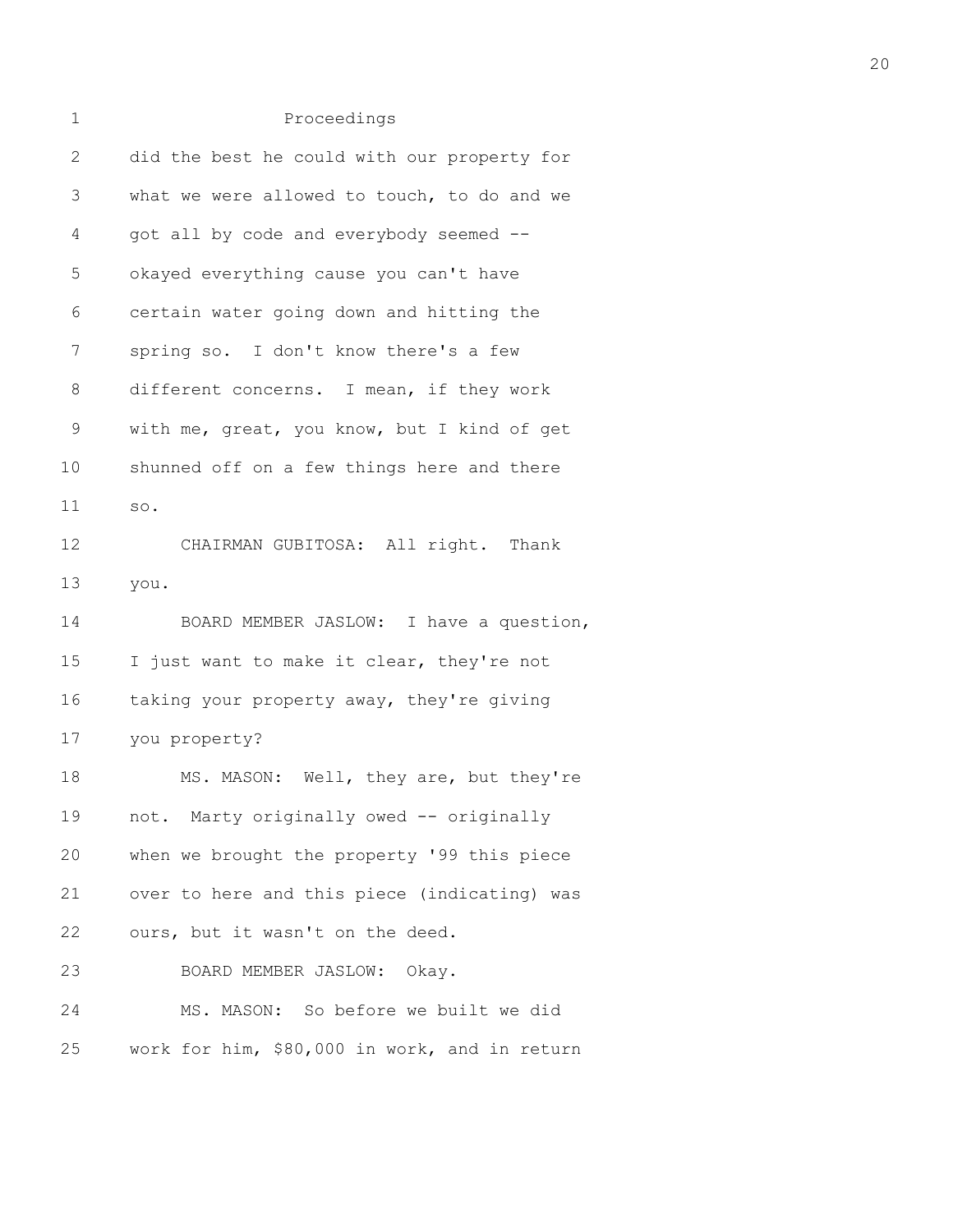| 1            | Proceedings                                   |
|--------------|-----------------------------------------------|
| $\mathbf{2}$ | did the best he could with our property for   |
| 3            | what we were allowed to touch, to do and we   |
| 4            | got all by code and everybody seemed --       |
| 5            | okayed everything cause you can't have        |
| 6            | certain water going down and hitting the      |
| 7            | spring so. I don't know there's a few         |
| 8            | different concerns. I mean, if they work      |
| $\mathsf 9$  | with me, great, you know, but I kind of get   |
| 10           | shunned off on a few things here and there    |
| 11           | SO.                                           |
| 12           | CHAIRMAN GUBITOSA: All right. Thank           |
| 13           | you.                                          |
| 14           | BOARD MEMBER JASLOW: I have a question,       |
| 15           | I just want to make it clear, they're not     |
| 16           | taking your property away, they're giving     |
| 17           | you property?                                 |
| 18           | MS. MASON: Well, they are, but they're        |
| 19           | not. Marty originally owed -- originally      |
| 20           | when we brought the property '99 this piece   |
| 21           | over to here and this piece (indicating) was  |
| 22           | ours, but it wasn't on the deed.              |
| 23           | BOARD MEMBER JASLOW: Okay.                    |
| 24           | MS. MASON: So before we built we did          |
| 25           | work for him, \$80,000 in work, and in return |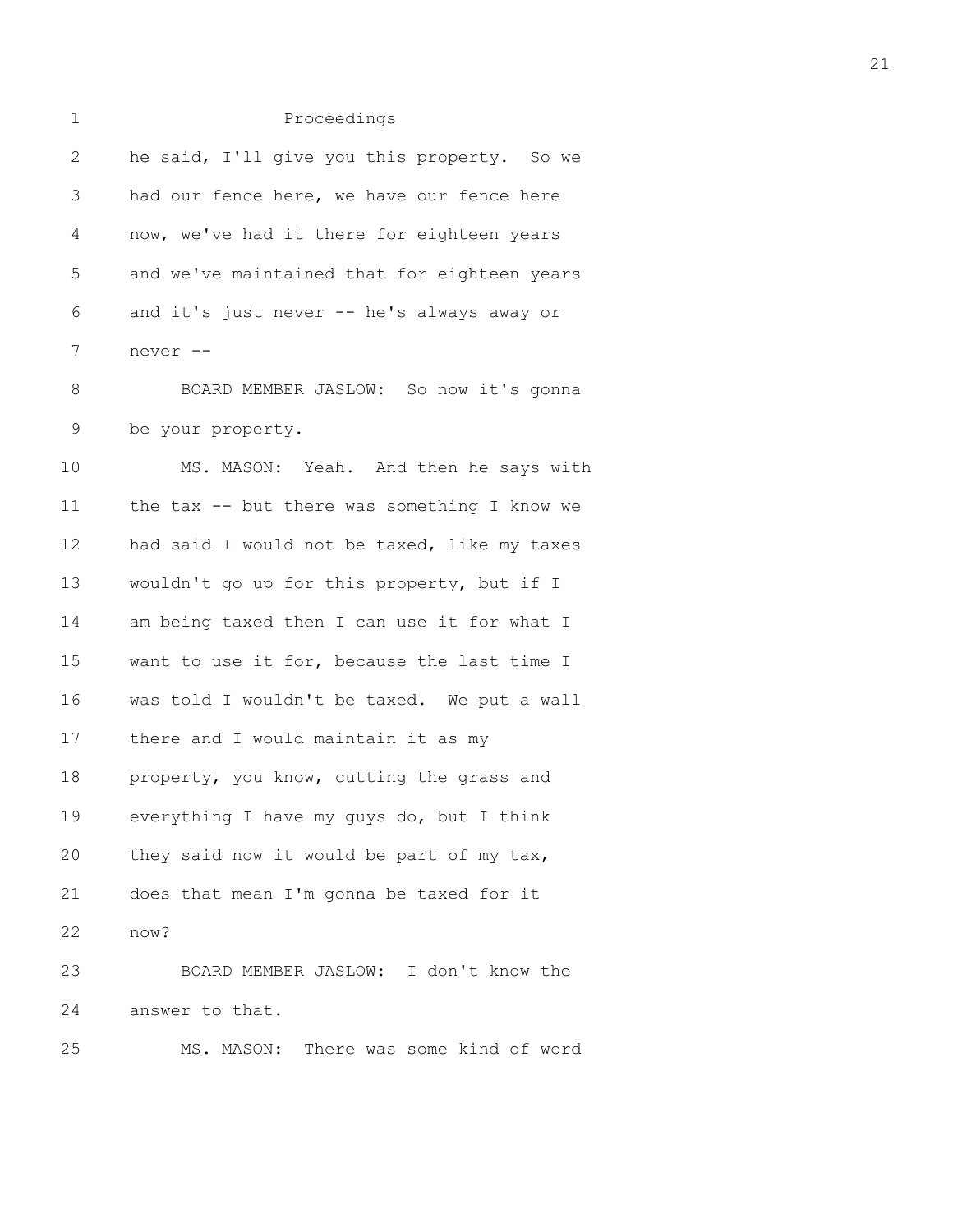| 1            | Proceedings                                  |
|--------------|----------------------------------------------|
| $\mathbf{2}$ | he said, I'll give you this property. So we  |
| 3            | had our fence here, we have our fence here   |
| 4            | now, we've had it there for eighteen years   |
| 5            | and we've maintained that for eighteen years |
| 6            | and it's just never -- he's always away or   |
| 7            | never --                                     |
| 8            | BOARD MEMBER JASLOW: So now it's gonna       |
| 9            | be your property.                            |
| 10           | MS. MASON: Yeah. And then he says with       |
| 11           | the tax -- but there was something I know we |
| 12           | had said I would not be taxed, like my taxes |
| 13           | wouldn't go up for this property, but if I   |
| 14           | am being taxed then I can use it for what I  |
| 15           | want to use it for, because the last time I  |
| 16           | was told I wouldn't be taxed. We put a wall  |
| 17           | there and I would maintain it as my          |
| 18           | property, you know, cutting the grass and    |
| 19           | everything I have my guys do, but I think    |
| 20           | they said now it would be part of my tax,    |
| 21           | does that mean I'm gonna be taxed for it     |
| 22           | now?                                         |
| 23           | BOARD MEMBER JASLOW: I don't know the        |
| 24           | answer to that.                              |
| 25           | MS. MASON:<br>There was some kind of word    |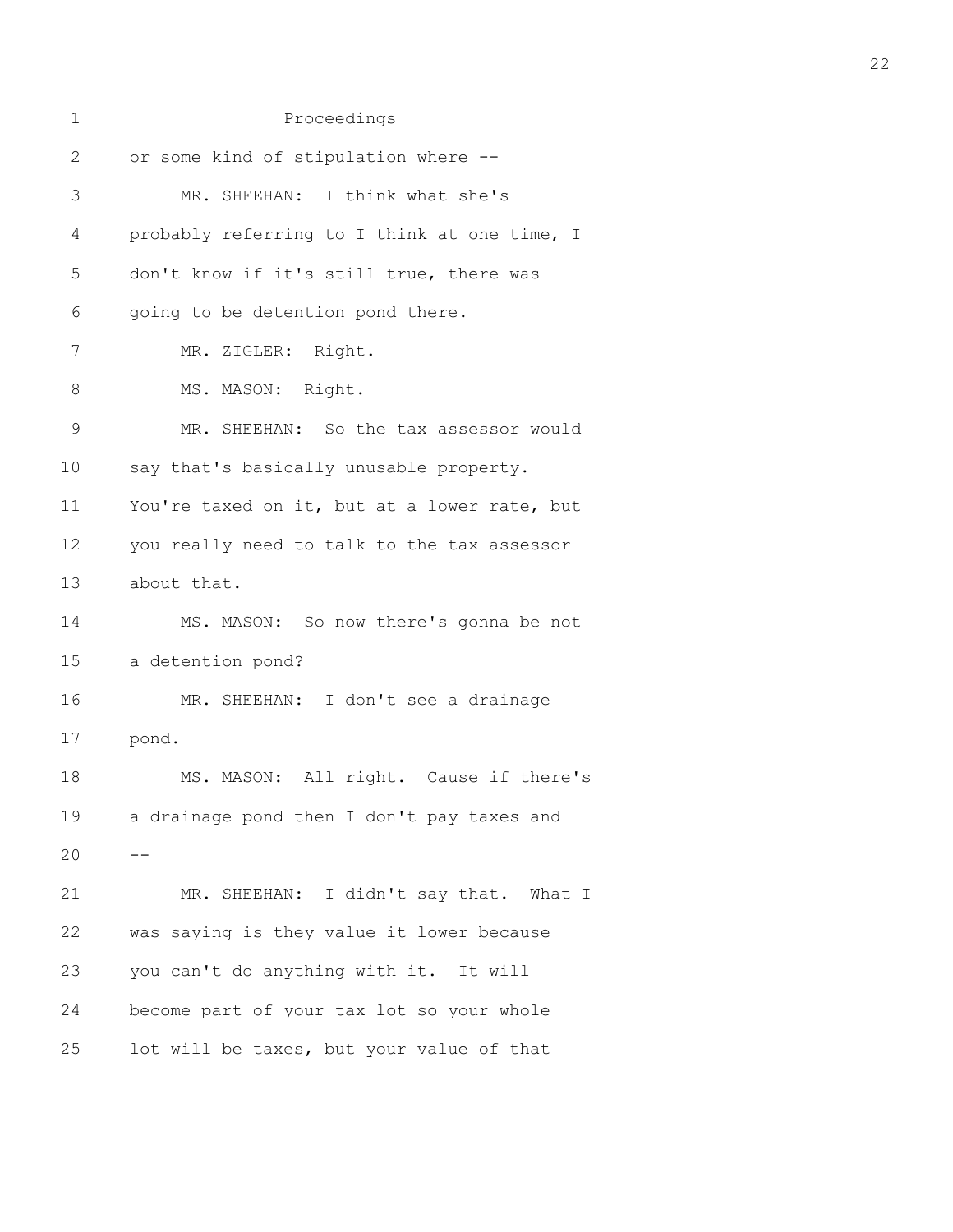| 1             | Proceedings                                  |
|---------------|----------------------------------------------|
| $\mathbf{2}$  | or some kind of stipulation where --         |
| 3             | MR. SHEEHAN: I think what she's              |
| 4             | probably referring to I think at one time, I |
| 5             | don't know if it's still true, there was     |
| 6             | going to be detention pond there.            |
| 7             | MR. ZIGLER: Right.                           |
| 8             | MS. MASON: Right.                            |
| $\mathcal{G}$ | MR. SHEEHAN: So the tax assessor would       |
| 10            | say that's basically unusable property.      |
| 11            | You're taxed on it, but at a lower rate, but |
| 12            | you really need to talk to the tax assessor  |
| 13            | about that.                                  |
| 14            | MS. MASON: So now there's gonna be not       |
| 15            | a detention pond?                            |
| 16            | MR. SHEEHAN: I don't see a drainage          |
| 17            | pond.                                        |
| 18            | MS. MASON: All right. Cause if there's       |
| 19            | a drainage pond then I don't pay taxes and   |
| 20            |                                              |
| 21            | MR. SHEEHAN: I didn't say that. What I       |
| 22            | was saying is they value it lower because    |
| 23            | you can't do anything with it. It will       |
| 24            | become part of your tax lot so your whole    |
| 25            | lot will be taxes, but your value of that    |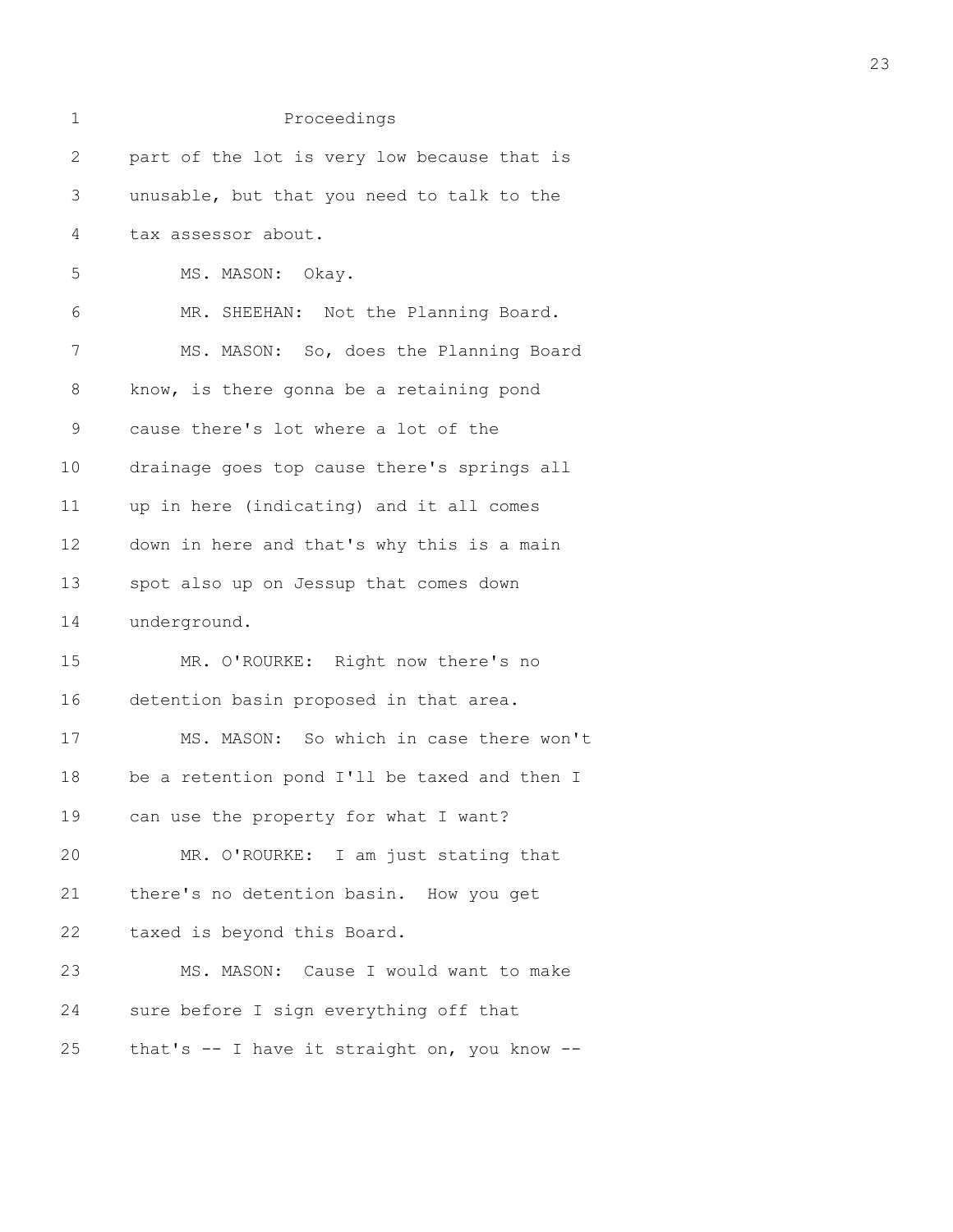| 1            | Proceedings                                  |
|--------------|----------------------------------------------|
| $\mathbf{2}$ | part of the lot is very low because that is  |
| 3            | unusable, but that you need to talk to the   |
| 4            | tax assessor about.                          |
| 5            | MS. MASON: Okay.                             |
| 6            | MR. SHEEHAN: Not the Planning Board.         |
| 7            | MS. MASON: So, does the Planning Board       |
| 8            | know, is there gonna be a retaining pond     |
| $\mathsf 9$  | cause there's lot where a lot of the         |
| 10           | drainage goes top cause there's springs all  |
| 11           | up in here (indicating) and it all comes     |
| 12           | down in here and that's why this is a main   |
| 13           | spot also up on Jessup that comes down       |
| 14           | underground.                                 |
| 15           | MR. O'ROURKE: Right now there's no           |
| 16           | detention basin proposed in that area.       |
| 17           | MS. MASON: So which in case there won't      |
| 18           | be a retention pond I'll be taxed and then I |
| 19           | can use the property for what I want?        |
| 20           | MR. O'ROURKE: I am just stating that         |
| 21           | there's no detention basin. How you get      |
| 22           | taxed is beyond this Board.                  |
| 23           | MS. MASON: Cause I would want to make        |
| 24           | sure before I sign everything off that       |
| 25           | that's -- I have it straight on, you know -- |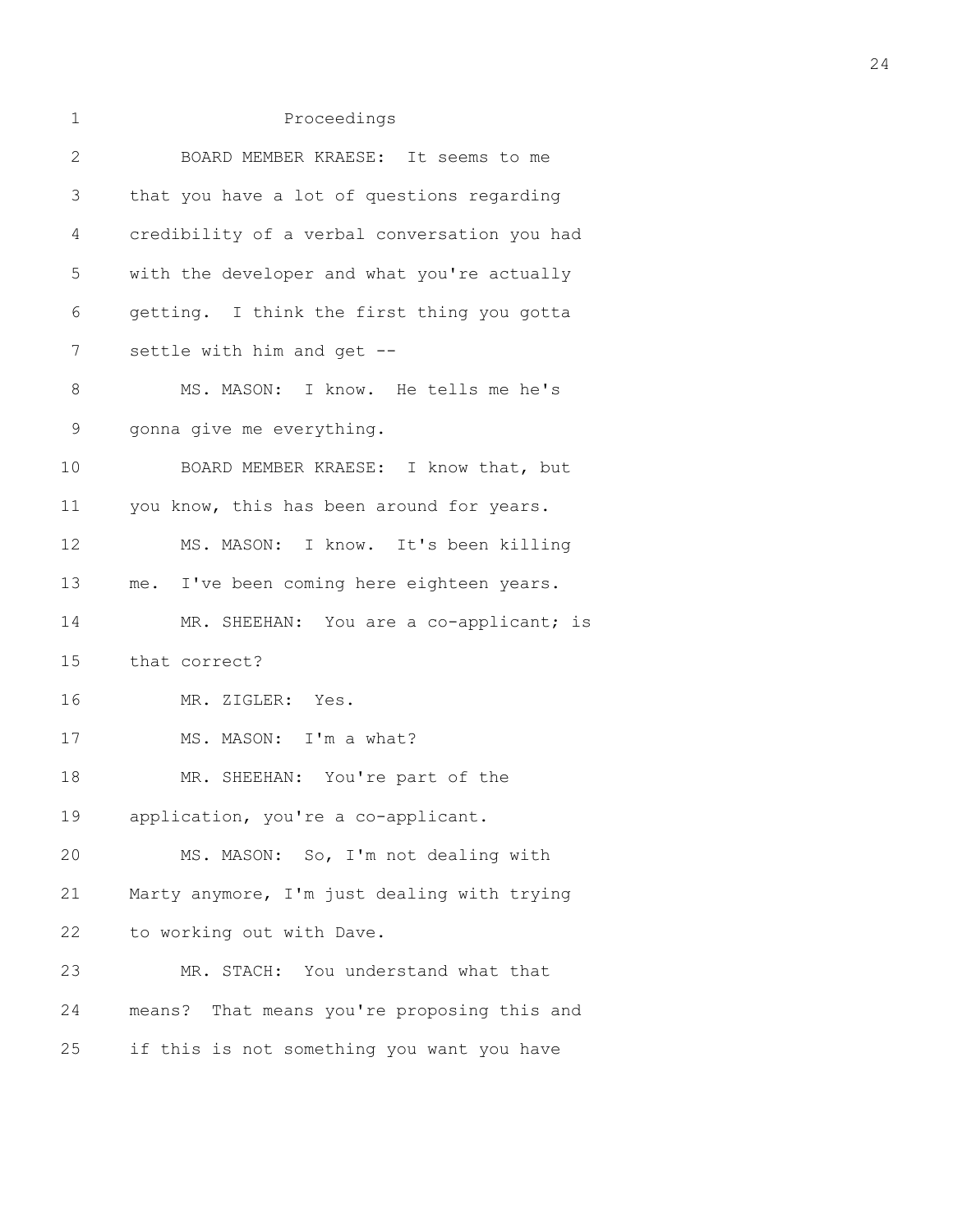| 1  | Proceedings                                  |
|----|----------------------------------------------|
| 2  | BOARD MEMBER KRAESE: It seems to me          |
| 3  | that you have a lot of questions regarding   |
| 4  | credibility of a verbal conversation you had |
| 5  | with the developer and what you're actually  |
| 6  | getting. I think the first thing you gotta   |
| 7  | settle with him and get --                   |
| 8  | MS. MASON: I know. He tells me he's          |
| 9  | gonna give me everything.                    |
| 10 | BOARD MEMBER KRAESE: I know that, but        |
| 11 | you know, this has been around for years.    |
| 12 | MS. MASON: I know. It's been killing         |
| 13 | me. I've been coming here eighteen years.    |
| 14 | MR. SHEEHAN: You are a co-applicant; is      |
| 15 | that correct?                                |
| 16 | MR. ZIGLER: Yes.                             |
| 17 | MS. MASON: I'm a what?                       |
| 18 | MR. SHEEHAN: You're part of the              |
| 19 | application, you're a co-applicant.          |
| 20 | MS. MASON: So, I'm not dealing with          |
| 21 | Marty anymore, I'm just dealing with trying  |
| 22 | to working out with Dave.                    |
| 23 | MR. STACH: You understand what that          |
| 24 | means? That means you're proposing this and  |
| 25 | if this is not something you want you have   |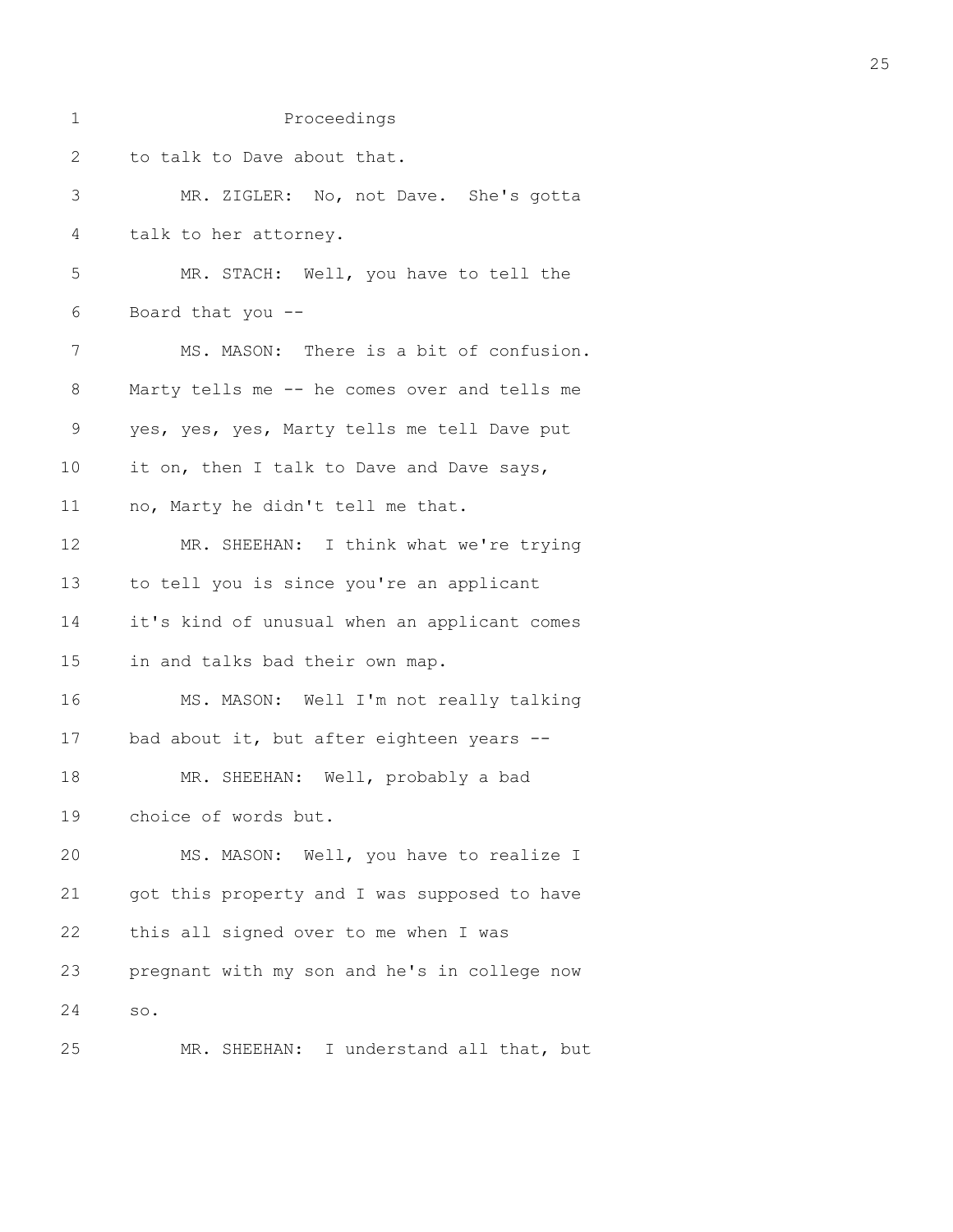| 1            | Proceedings                                  |
|--------------|----------------------------------------------|
| $\mathbf{2}$ | to talk to Dave about that.                  |
| 3            | MR. ZIGLER: No, not Dave. She's gotta        |
| 4            | talk to her attorney.                        |
| 5            | MR. STACH: Well, you have to tell the        |
| 6            | Board that you --                            |
| 7            | MS. MASON: There is a bit of confusion.      |
| 8            | Marty tells me -- he comes over and tells me |
| $\mathsf 9$  | yes, yes, yes, Marty tells me tell Dave put  |
| 10           | it on, then I talk to Dave and Dave says,    |
| 11           | no, Marty he didn't tell me that.            |
| 12           | MR. SHEEHAN: I think what we're trying       |
| 13           | to tell you is since you're an applicant     |
| 14           | it's kind of unusual when an applicant comes |
| 15           | in and talks bad their own map.              |
| 16           | MS. MASON: Well I'm not really talking       |
| 17           | bad about it, but after eighteen years --    |
| 18           | MR. SHEEHAN: Well, probably a bad            |
| 19           | choice of words but.                         |
| 20           | MS. MASON: Well, you have to realize I       |
| 21           | got this property and I was supposed to have |
| 22           | this all signed over to me when I was        |
| 23           | pregnant with my son and he's in college now |
| 24           | SO.                                          |
| 25           | MR. SHEEHAN: I understand all that, but      |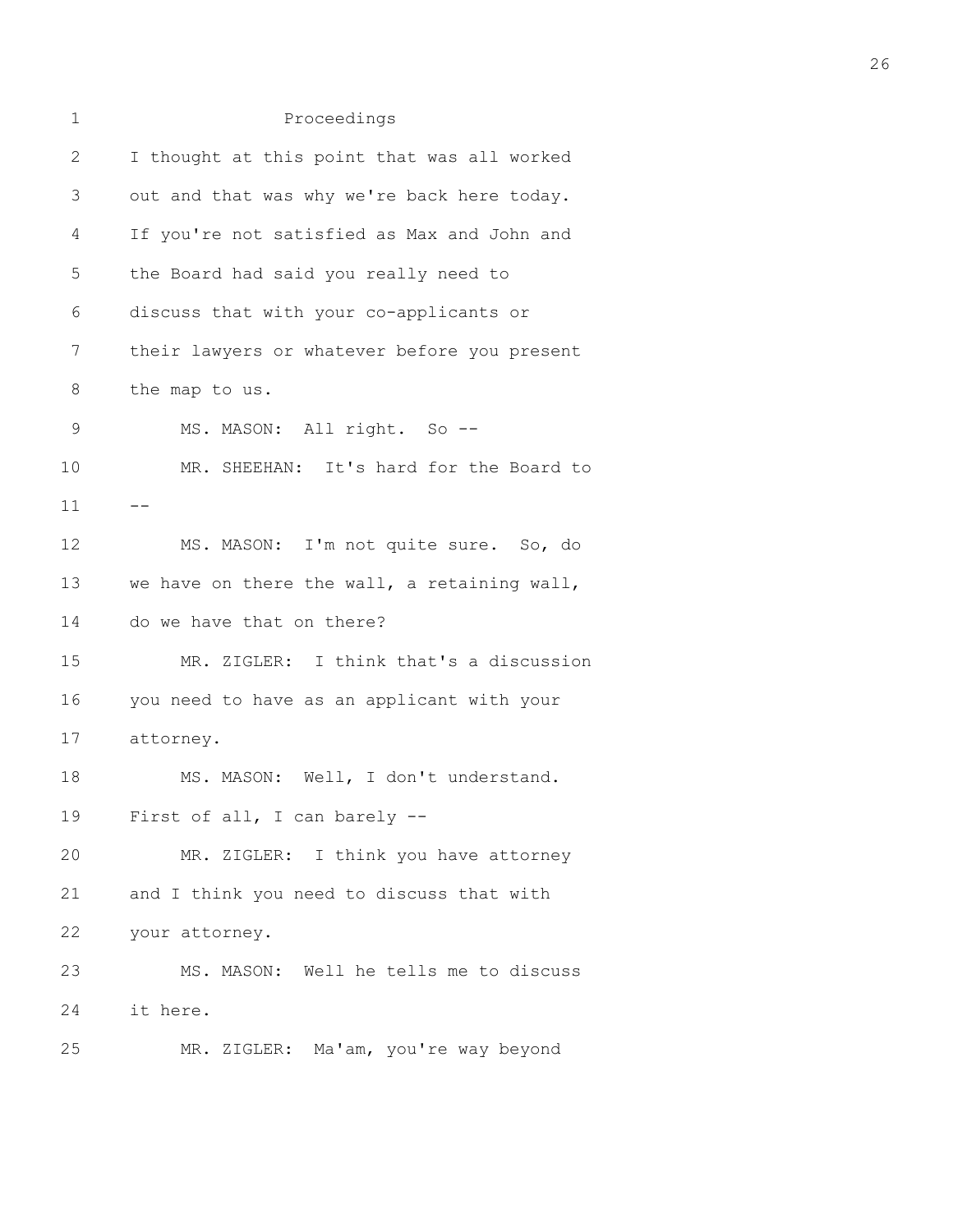| 1            | Proceedings                                  |
|--------------|----------------------------------------------|
| $\mathbf{2}$ | I thought at this point that was all worked  |
| 3            | out and that was why we're back here today.  |
| 4            | If you're not satisfied as Max and John and  |
| 5            | the Board had said you really need to        |
| 6            | discuss that with your co-applicants or      |
| 7            | their lawyers or whatever before you present |
| 8            | the map to us.                               |
| $\mathsf 9$  | MS. MASON: All right. So --                  |
| 10           | MR. SHEEHAN: It's hard for the Board to      |
| 11           |                                              |
| 12           | MS. MASON: I'm not quite sure. So, do        |
| 13           | we have on there the wall, a retaining wall, |
| 14           | do we have that on there?                    |
| 15           | MR. ZIGLER: I think that's a discussion      |
| 16           | you need to have as an applicant with your   |
| 17           | attorney.                                    |
| 18           | MS. MASON: Well, I don't understand.         |
| 19           | First of all, I can barely --                |
| 20           | MR. ZIGLER: I think you have attorney        |
| 21           | and I think you need to discuss that with    |
| 22           | your attorney.                               |
| 23           | MS. MASON: Well he tells me to discuss       |
| 24           | it here.                                     |
| 25           | MR. ZIGLER: Ma'am, you're way beyond         |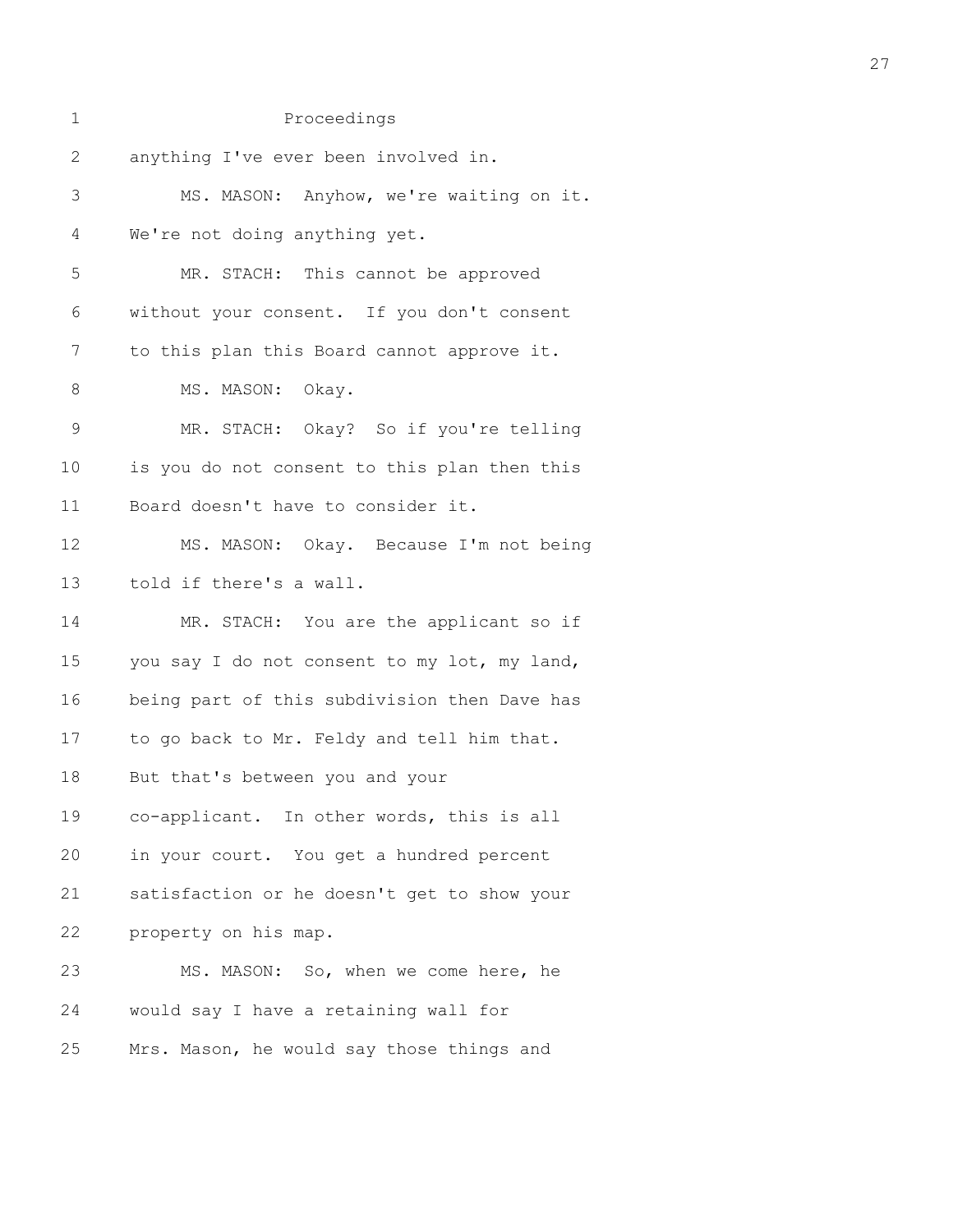| $\mathbf 1$  | Proceedings                                  |
|--------------|----------------------------------------------|
| $\mathbf{2}$ | anything I've ever been involved in.         |
| 3            | MS. MASON: Anyhow, we're waiting on it.      |
| 4            | We're not doing anything yet.                |
| 5            | MR. STACH: This cannot be approved           |
| 6            | without your consent. If you don't consent   |
| 7            | to this plan this Board cannot approve it.   |
| 8            | MS. MASON: Okay.                             |
| $\mathsf 9$  | MR. STACH: Okay? So if you're telling        |
| 10           | is you do not consent to this plan then this |
| 11           | Board doesn't have to consider it.           |
| 12           | MS. MASON: Okay. Because I'm not being       |
| 13           | told if there's a wall.                      |
| 14           | MR. STACH: You are the applicant so if       |
| 15           | you say I do not consent to my lot, my land, |
| 16           | being part of this subdivision then Dave has |
| 17           | to go back to Mr. Feldy and tell him that.   |
| 18           | But that's between you and your              |
| 19           | co-applicant. In other words, this is all    |
| 20           | in your court. You get a hundred percent     |
| 21           | satisfaction or he doesn't get to show your  |
| 22           | property on his map.                         |
| 23           | MS. MASON: So, when we come here, he         |
| 24           | would say I have a retaining wall for        |
| 25           | Mrs. Mason, he would say those things and    |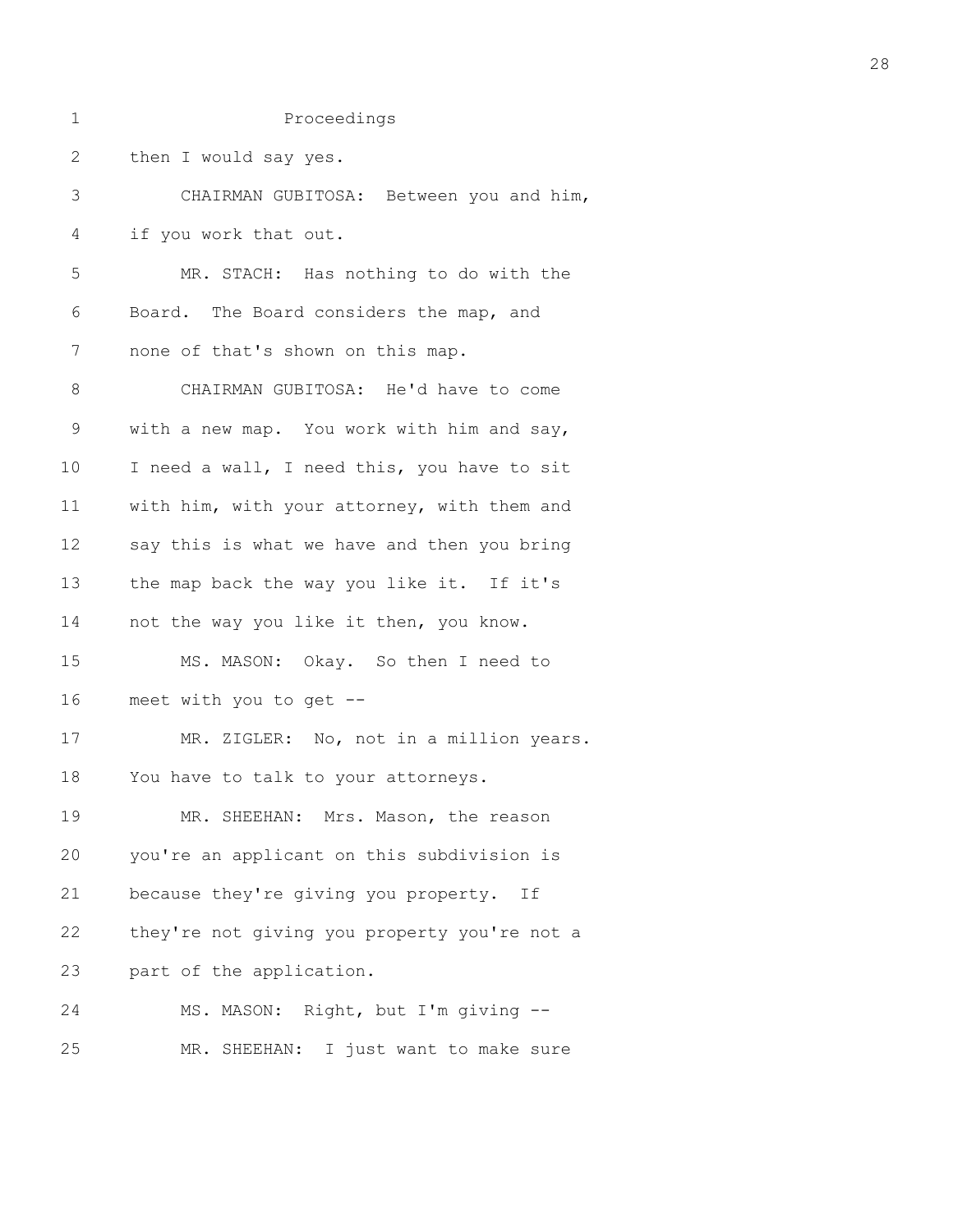| 1              | Proceedings                                  |
|----------------|----------------------------------------------|
| $\overline{2}$ | then I would say yes.                        |
| 3              | CHAIRMAN GUBITOSA: Between you and him,      |
| 4              | if you work that out.                        |
| 5              | MR. STACH: Has nothing to do with the        |
| 6              | Board. The Board considers the map, and      |
| 7              | none of that's shown on this map.            |
| 8              | CHAIRMAN GUBITOSA: He'd have to come         |
| $\mathsf 9$    | with a new map. You work with him and say,   |
| 10             | I need a wall, I need this, you have to sit  |
| 11             | with him, with your attorney, with them and  |
| 12             | say this is what we have and then you bring  |
| 13             | the map back the way you like it. If it's    |
| 14             | not the way you like it then, you know.      |
| 15             | MS. MASON: Okay. So then I need to           |
| 16             | meet with you to get --                      |
| 17             | MR. ZIGLER: No, not in a million years.      |
| 18             | You have to talk to your attorneys.          |
| 19             | MR. SHEEHAN: Mrs. Mason, the reason          |
| 20             | you're an applicant on this subdivision is   |
| 21             | because they're giving you property. If      |
| 22             | they're not giving you property you're not a |
| 23             | part of the application.                     |
| 24             | MS. MASON: Right, but I'm giving --          |
| 25             | MR. SHEEHAN: I just want to make sure        |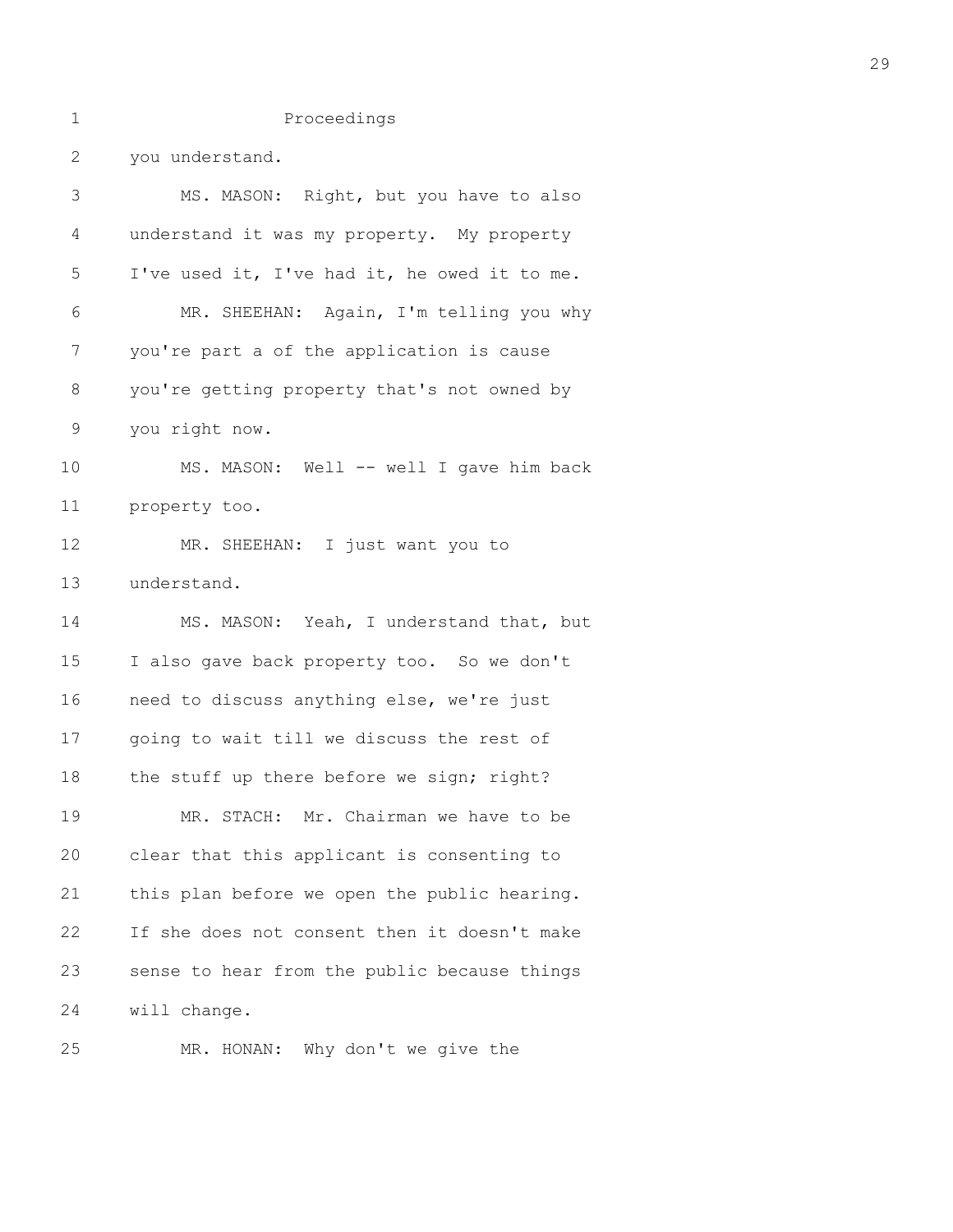| 1            | Proceedings                                  |
|--------------|----------------------------------------------|
| $\mathbf{2}$ | you understand.                              |
| 3            | MS. MASON: Right, but you have to also       |
| 4            | understand it was my property. My property   |
| 5            | I've used it, I've had it, he owed it to me. |
| 6            | MR. SHEEHAN: Again, I'm telling you why      |
| 7            | you're part a of the application is cause    |
| 8            | you're getting property that's not owned by  |
| $\mathsf 9$  | you right now.                               |
| 10           | MS. MASON: Well -- well I gave him back      |
| 11           | property too.                                |
| 12           | MR. SHEEHAN: I just want you to              |
| 13           | understand.                                  |
| 14           | MS. MASON: Yeah, I understand that, but      |
| 15           | I also gave back property too. So we don't   |
| 16           | need to discuss anything else, we're just    |
| 17           | going to wait till we discuss the rest of    |
| 18           | the stuff up there before we sign; right?    |
| 19           | MR. STACH: Mr. Chairman we have to be        |
| 20           | clear that this applicant is consenting to   |
| 21           | this plan before we open the public hearing. |
| 22           | If she does not consent then it doesn't make |
| 23           | sense to hear from the public because things |
| 24           | will change.                                 |
| 25           | MR. HONAN: Why don't we give the             |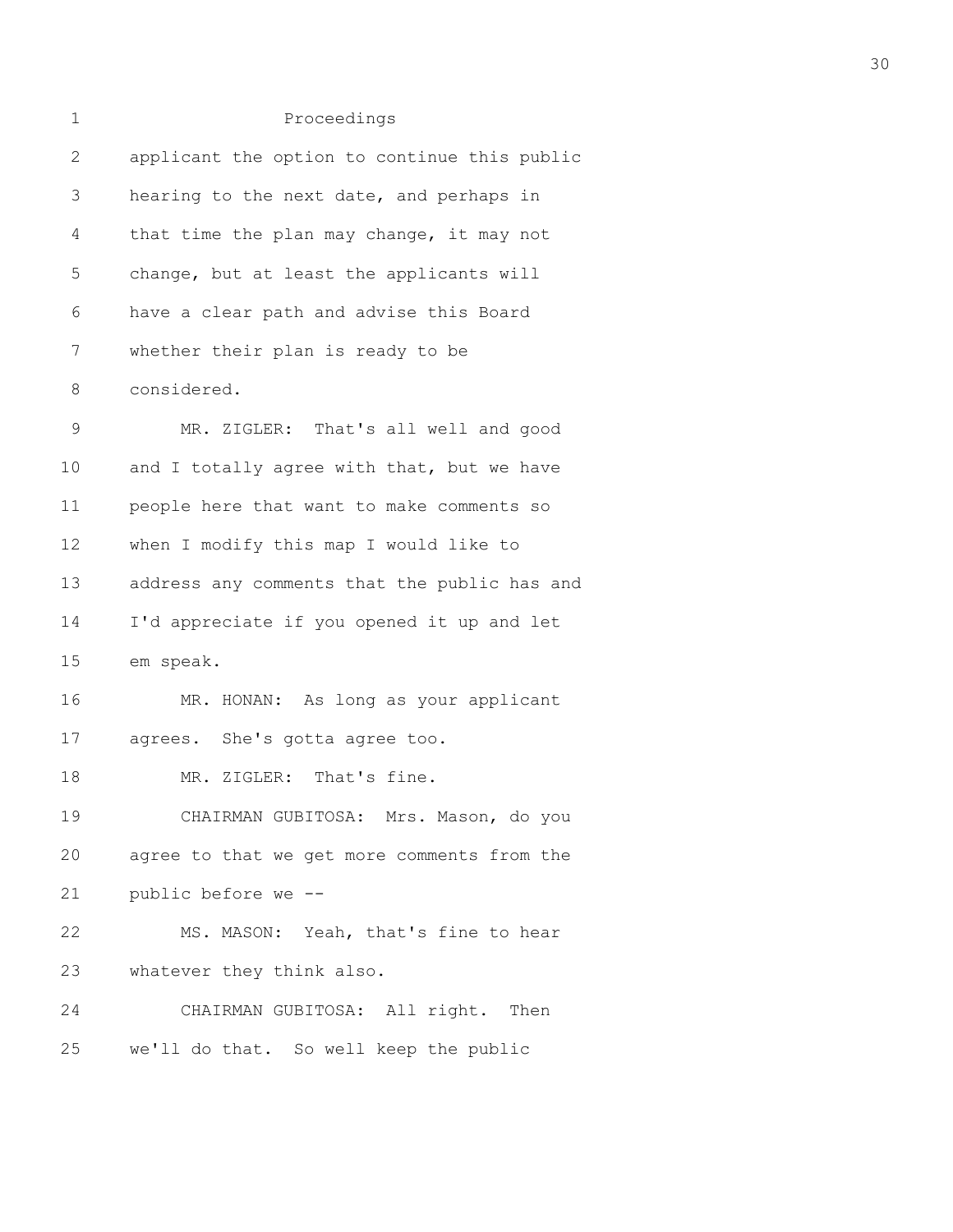| $\mathbf 1$  | Proceedings                                  |
|--------------|----------------------------------------------|
| $\mathbf{2}$ | applicant the option to continue this public |
| 3            | hearing to the next date, and perhaps in     |
| 4            | that time the plan may change, it may not    |
| 5            | change, but at least the applicants will     |
| 6            | have a clear path and advise this Board      |
| 7            | whether their plan is ready to be            |
| 8            | considered.                                  |
| $\mathsf 9$  | MR. ZIGLER: That's all well and good         |
| 10           | and I totally agree with that, but we have   |
| 11           | people here that want to make comments so    |
| 12           | when I modify this map I would like to       |
| 13           | address any comments that the public has and |
| 14           | I'd appreciate if you opened it up and let   |
| 15           | em speak.                                    |
| 16           | MR. HONAN: As long as your applicant         |
| 17           | agrees. She's gotta agree too.               |
| 18           | MR. ZIGLER: That's fine.                     |
| 19           | CHAIRMAN GUBITOSA: Mrs. Mason, do you        |
| 20           | agree to that we get more comments from the  |
| 21           | public before we --                          |
| 22           | MS. MASON: Yeah, that's fine to hear         |
| 23           | whatever they think also.                    |
| 24           | CHAIRMAN GUBITOSA: All right.<br>Then        |
| 25           | we'll do that. So well keep the public       |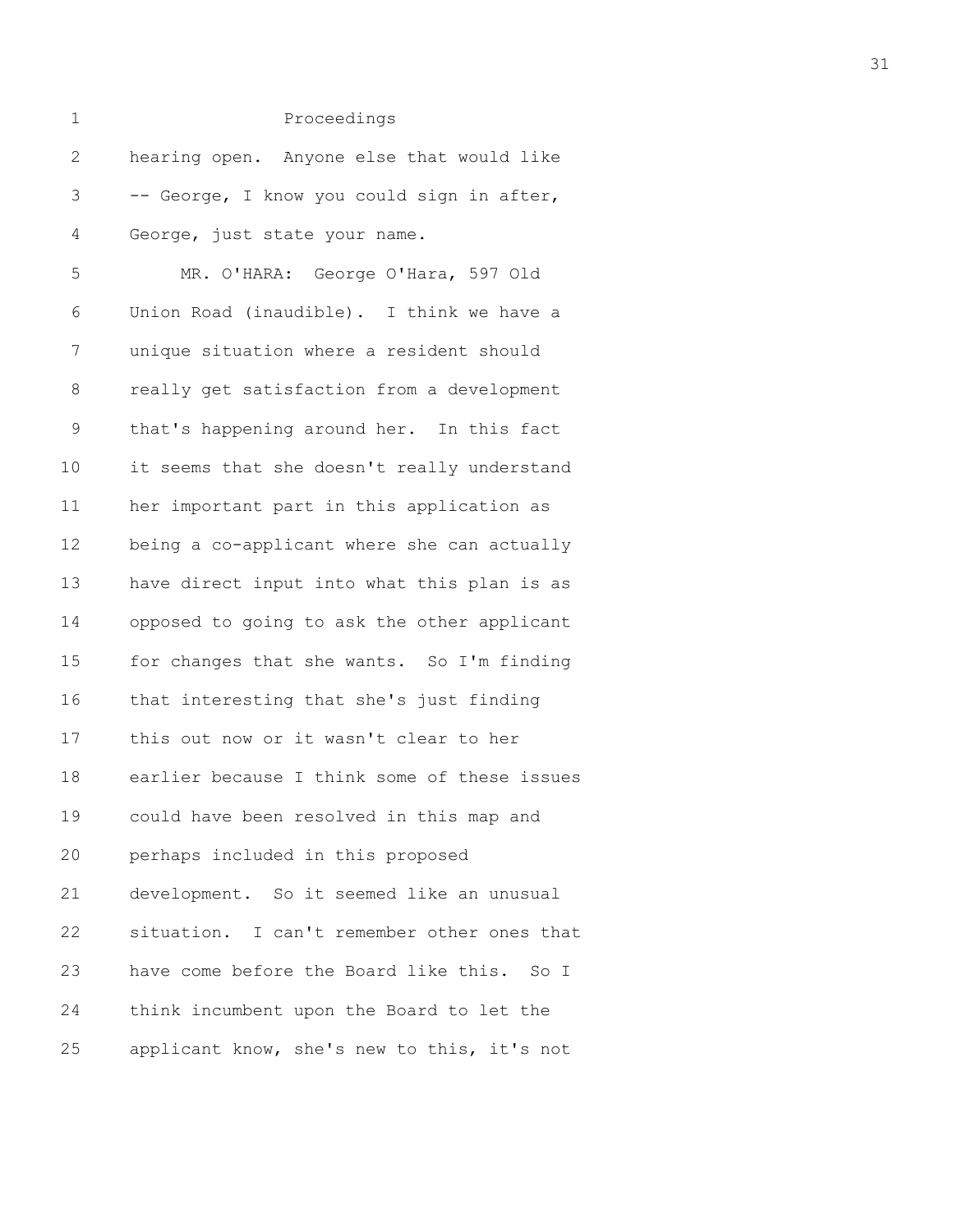| $\mathbf 1$ | Proceedings                                  |
|-------------|----------------------------------------------|
| 2           | hearing open. Anyone else that would like    |
| 3           | -- George, I know you could sign in after,   |
| 4           | George, just state your name.                |
| 5           | MR. O'HARA: George O'Hara, 597 Old           |
| 6           | Union Road (inaudible). I think we have a    |
| 7           | unique situation where a resident should     |
| 8           | really get satisfaction from a development   |
| 9           | that's happening around her. In this fact    |
| 10          | it seems that she doesn't really understand  |
| 11          | her important part in this application as    |
| 12          | being a co-applicant where she can actually  |
| 13          | have direct input into what this plan is as  |
| 14          | opposed to going to ask the other applicant  |
| 15          | for changes that she wants. So I'm finding   |
| 16          | that interesting that she's just finding     |
| 17          | this out now or it wasn't clear to her       |
| 18          | earlier because I think some of these issues |
| 19          | could have been resolved in this map and     |
| 20          | perhaps included in this proposed            |
| 21          | development. So it seemed like an unusual    |
| 22          | situation. I can't remember other ones that  |
| 23          | have come before the Board like this. So I   |
| 24          | think incumbent upon the Board to let the    |
| 25          | applicant know, she's new to this, it's not  |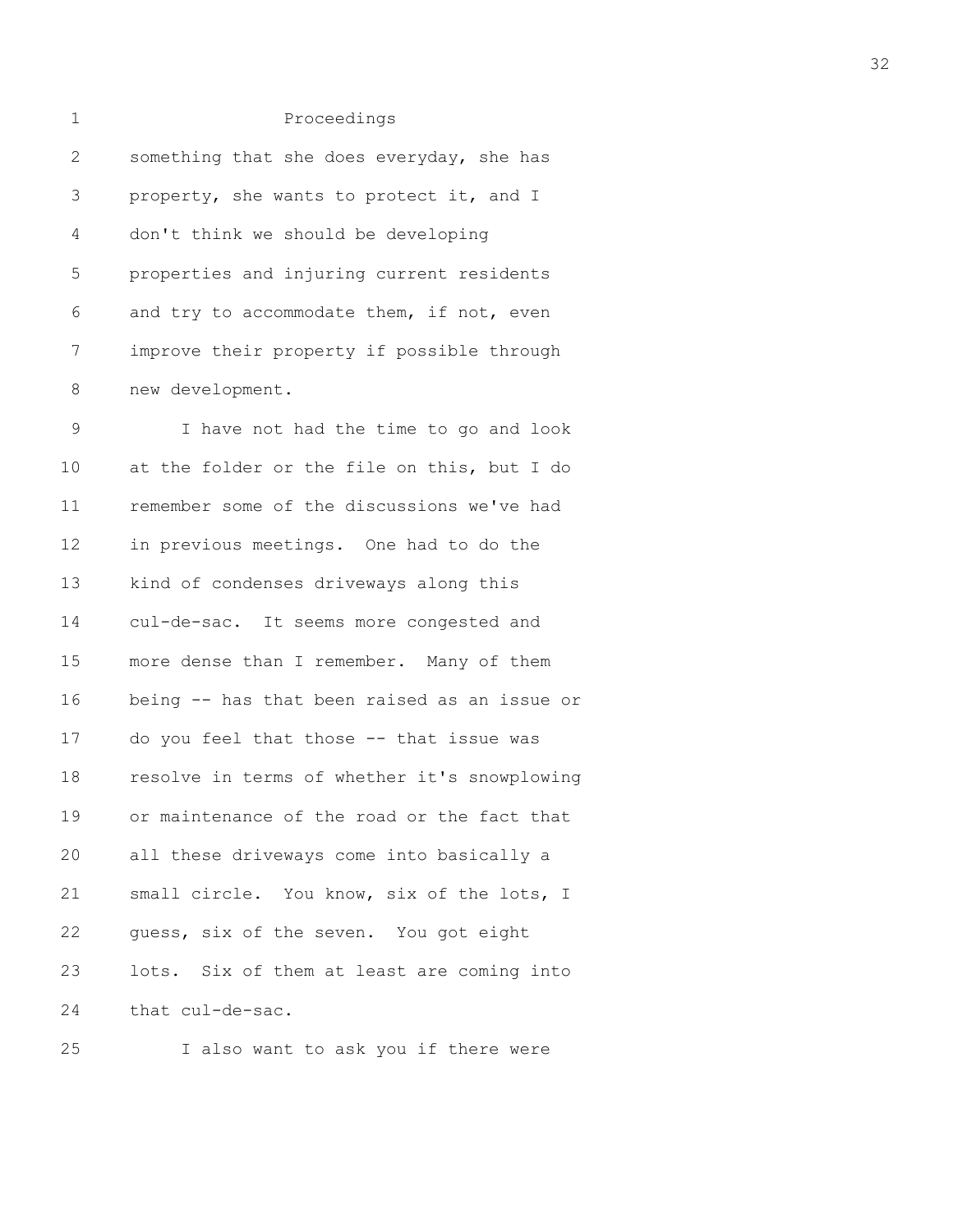| $\mathbf 1$  | Proceedings                                  |
|--------------|----------------------------------------------|
| $\mathbf{2}$ | something that she does everyday, she has    |
| 3            | property, she wants to protect it, and I     |
| 4            | don't think we should be developing          |
| 5            | properties and injuring current residents    |
| 6            | and try to accommodate them, if not, even    |
| 7            | improve their property if possible through   |
| 8            | new development.                             |
| $\mathsf 9$  | I have not had the time to go and look       |
| 10           | at the folder or the file on this, but I do  |
| 11           | remember some of the discussions we've had   |
| 12           | in previous meetings. One had to do the      |
| 13           | kind of condenses driveways along this       |
| 14           | cul-de-sac. It seems more congested and      |
| 15           | more dense than I remember. Many of them     |
| 16           | being -- has that been raised as an issue or |
| 17           | do you feel that those -- that issue was     |
| 18           | resolve in terms of whether it's snowplowing |
| 19           | or maintenance of the road or the fact that  |
| 20           | all these driveways come into basically a    |

21 small circle. You know, six of the lots, I 22 guess, six of the seven. You got eight 23 lots. Six of them at least are coming into 24 that cul-de-sac.

25 I also want to ask you if there were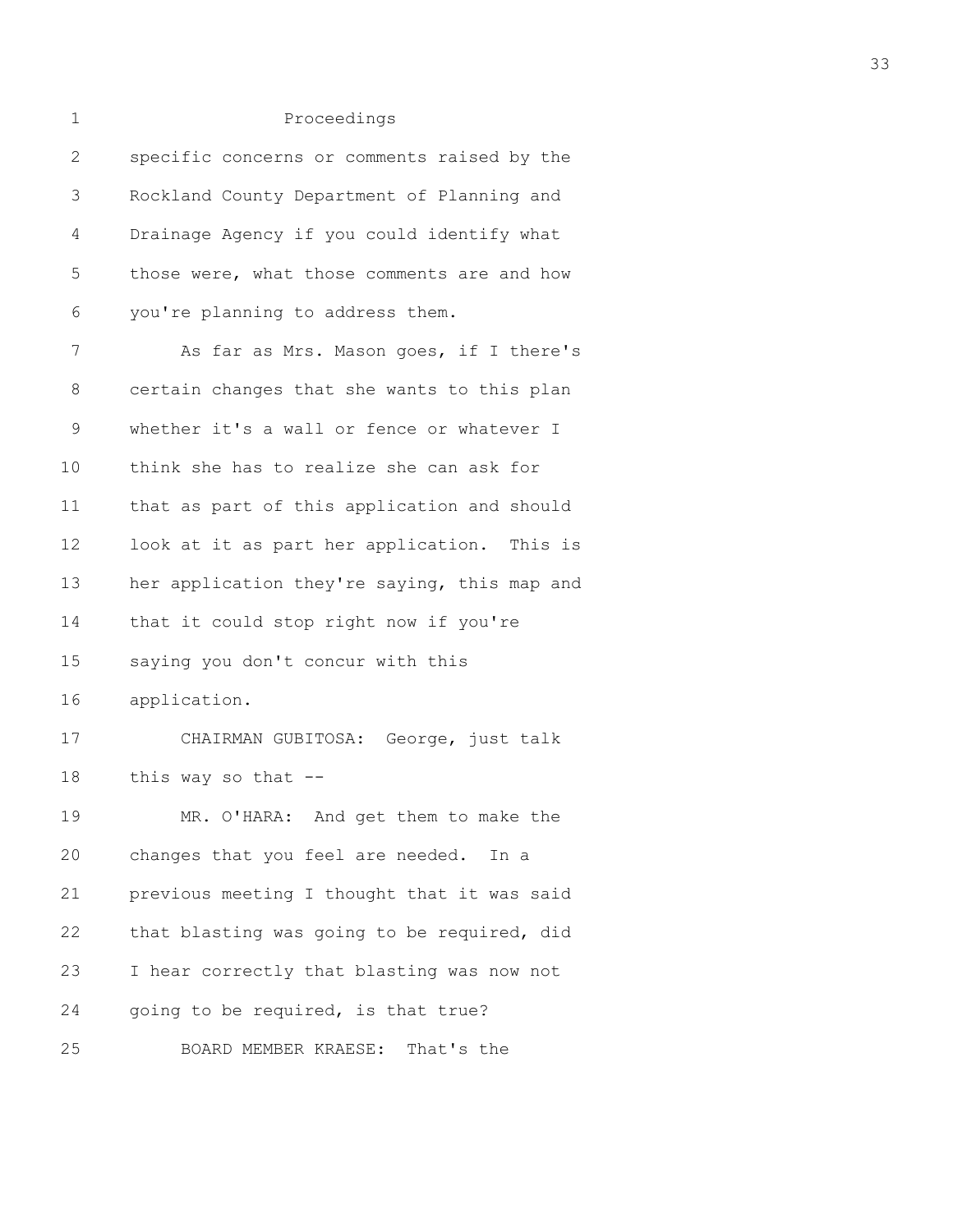1 Proceedings 2 specific concerns or comments raised by the 3 Rockland County Department of Planning and 4 Drainage Agency if you could identify what 5 those were, what those comments are and how 6 you're planning to address them. 7 As far as Mrs. Mason goes, if I there's 8 certain changes that she wants to this plan 9 whether it's a wall or fence or whatever I 10 think she has to realize she can ask for 11 that as part of this application and should 12 look at it as part her application. This is 13 her application they're saying, this map and 14 that it could stop right now if you're 15 saying you don't concur with this 16 application. 17 CHAIRMAN GUBITOSA: George, just talk 18 this way so that -- 19 MR. O'HARA: And get them to make the 20 changes that you feel are needed. In a 21 previous meeting I thought that it was said 22 that blasting was going to be required, did 23 I hear correctly that blasting was now not 24 going to be required, is that true? 25 BOARD MEMBER KRAESE: That's the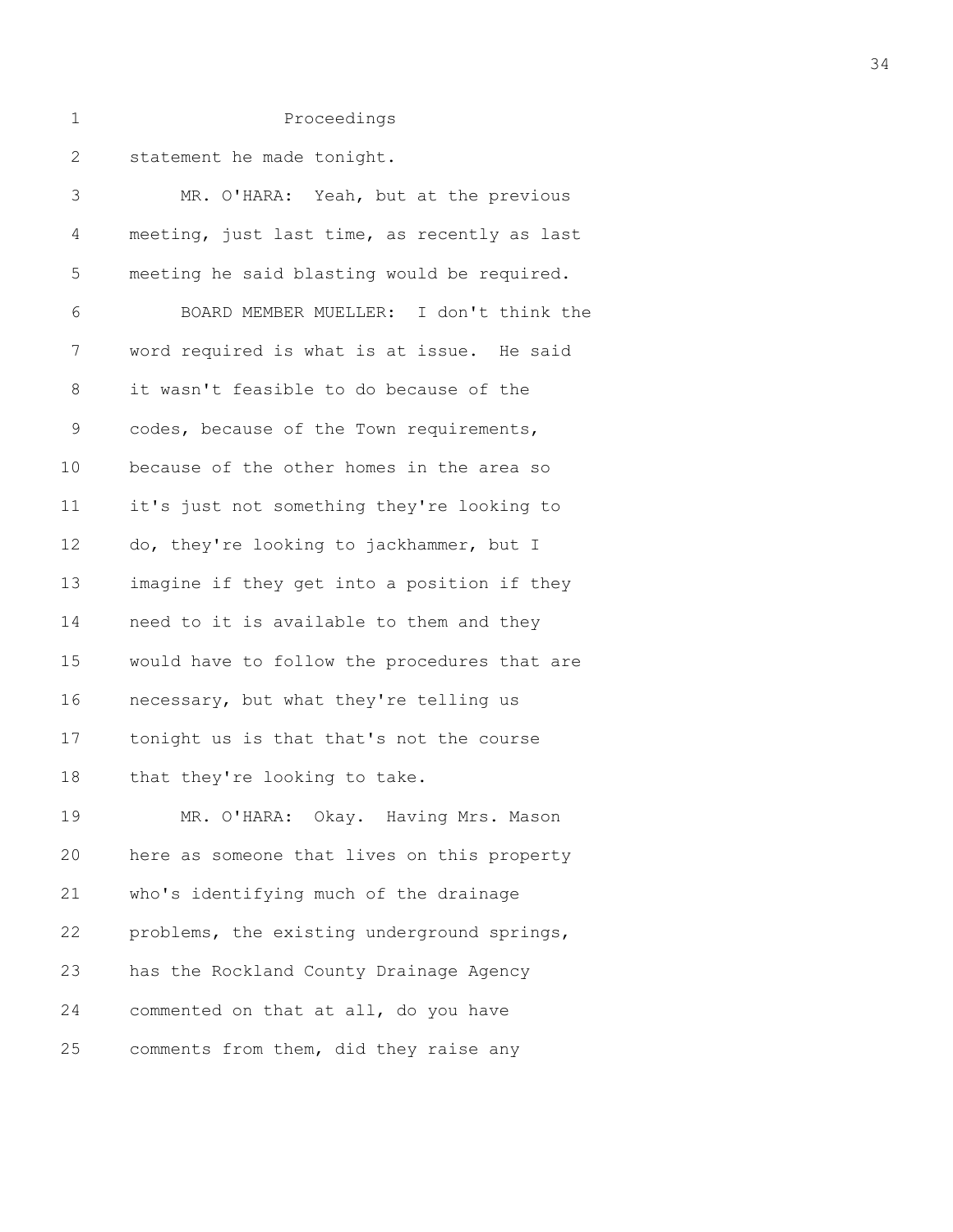| 1       | Proceedings                                  |
|---------|----------------------------------------------|
| 2       | statement he made tonight.                   |
| 3       | MR. O'HARA: Yeah, but at the previous        |
| 4       | meeting, just last time, as recently as last |
| 5       | meeting he said blasting would be required.  |
| 6       | BOARD MEMBER MUELLER: I don't think the      |
| 7       | word required is what is at issue. He said   |
| $\,8\,$ | it wasn't feasible to do because of the      |
| 9       | codes, because of the Town requirements,     |
| 10      | because of the other homes in the area so    |
| 11      | it's just not something they're looking to   |
| 12      | do, they're looking to jackhammer, but I     |
| 13      | imagine if they get into a position if they  |

| 17 | tonight us is that that's not the course    |
|----|---------------------------------------------|
| 18 | that they're looking to take.               |
| 19 | MR. O'HARA: Okay. Having Mrs. Mason         |
| 20 | here as someone that lives on this property |
| 21 | who's identifying much of the drainage      |
| 22 | problems, the existing underground springs, |
| 23 | has the Rockland County Drainage Agency     |
| 24 | commented on that at all, do you have       |
|    |                                             |

14 need to it is available to them and they

16 necessary, but what they're telling us

15 would have to follow the procedures that are

25 comments from them, did they raise any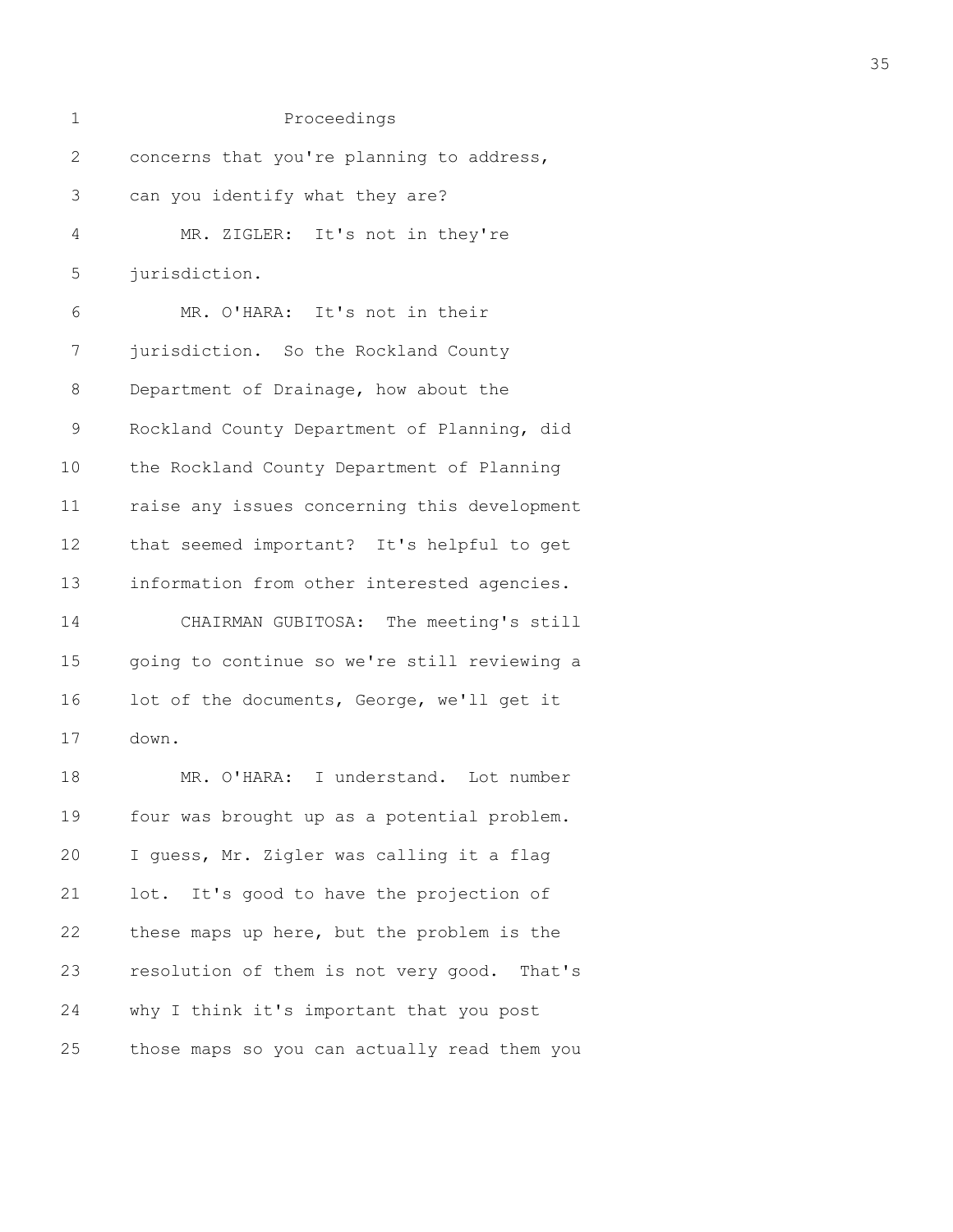| 1           | Proceedings                                  |
|-------------|----------------------------------------------|
| 2           | concerns that you're planning to address,    |
| 3           | can you identify what they are?              |
| 4           | MR. ZIGLER: It's not in they're              |
| 5           | jurisdiction.                                |
| 6           | MR. O'HARA: It's not in their                |
| 7           | jurisdiction. So the Rockland County         |
| 8           | Department of Drainage, how about the        |
| $\mathsf 9$ | Rockland County Department of Planning, did  |
| 10          | the Rockland County Department of Planning   |
| 11          | raise any issues concerning this development |
| 12          | that seemed important? It's helpful to get   |
| 13          | information from other interested agencies.  |
| 14          | CHAIRMAN GUBITOSA: The meeting's still       |
| 15          | going to continue so we're still reviewing a |
| 16          | lot of the documents, George, we'll get it   |
| 17          | down.                                        |
| 18          | MR. O'HARA: I understand. Lot number         |
| 19          | four was brought up as a potential problem.  |
| 20          | I guess, Mr. Zigler was calling it a flag    |
| 21          | lot. It's good to have the projection of     |
| 22          | these maps up here, but the problem is the   |
| 23          | resolution of them is not very good. That's  |
| 24          | why I think it's important that you post     |
| 25          | those maps so you can actually read them you |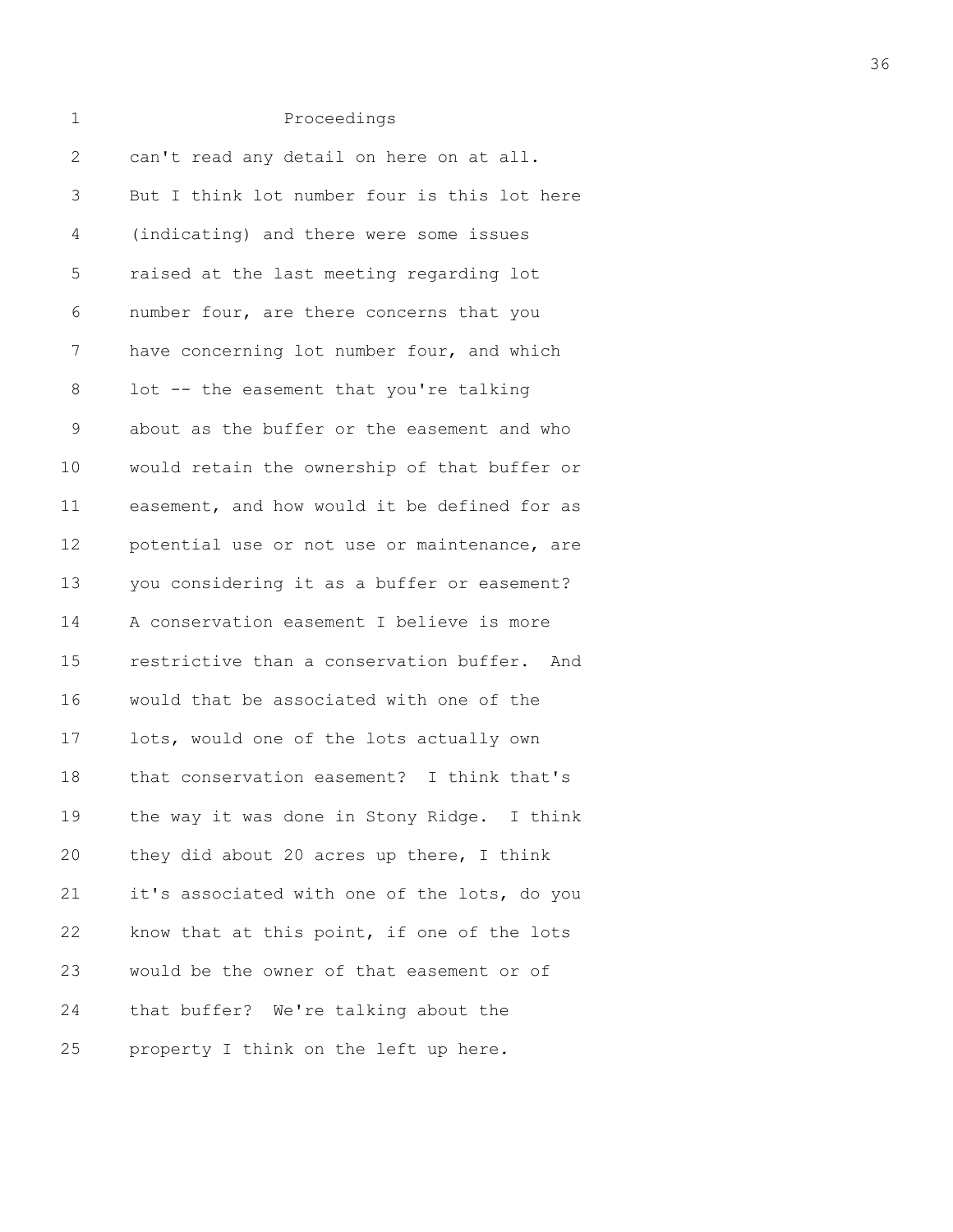| 1            | Proceedings                                  |
|--------------|----------------------------------------------|
| $\mathbf{2}$ | can't read any detail on here on at all.     |
| 3            | But I think lot number four is this lot here |
| 4            | (indicating) and there were some issues      |
| 5            | raised at the last meeting regarding lot     |
| 6            | number four, are there concerns that you     |
| 7            | have concerning lot number four, and which   |
| 8            | lot -- the easement that you're talking      |
| 9            | about as the buffer or the easement and who  |
| 10           | would retain the ownership of that buffer or |
| 11           | easement, and how would it be defined for as |
| 12           | potential use or not use or maintenance, are |
| 13           | you considering it as a buffer or easement?  |
| 14           | A conservation easement I believe is more    |
| 15           | restrictive than a conservation buffer. And  |
| 16           | would that be associated with one of the     |
| 17           | lots, would one of the lots actually own     |
| 18           | that conservation easement? I think that's   |
| 19           | the way it was done in Stony Ridge. I think  |
| 20           | they did about 20 acres up there, I think    |
| 21           | it's associated with one of the lots, do you |
| 22           | know that at this point, if one of the lots  |
| 23           | would be the owner of that easement or of    |
| 24           | that buffer? We're talking about the         |
| 25           | property I think on the left up here.        |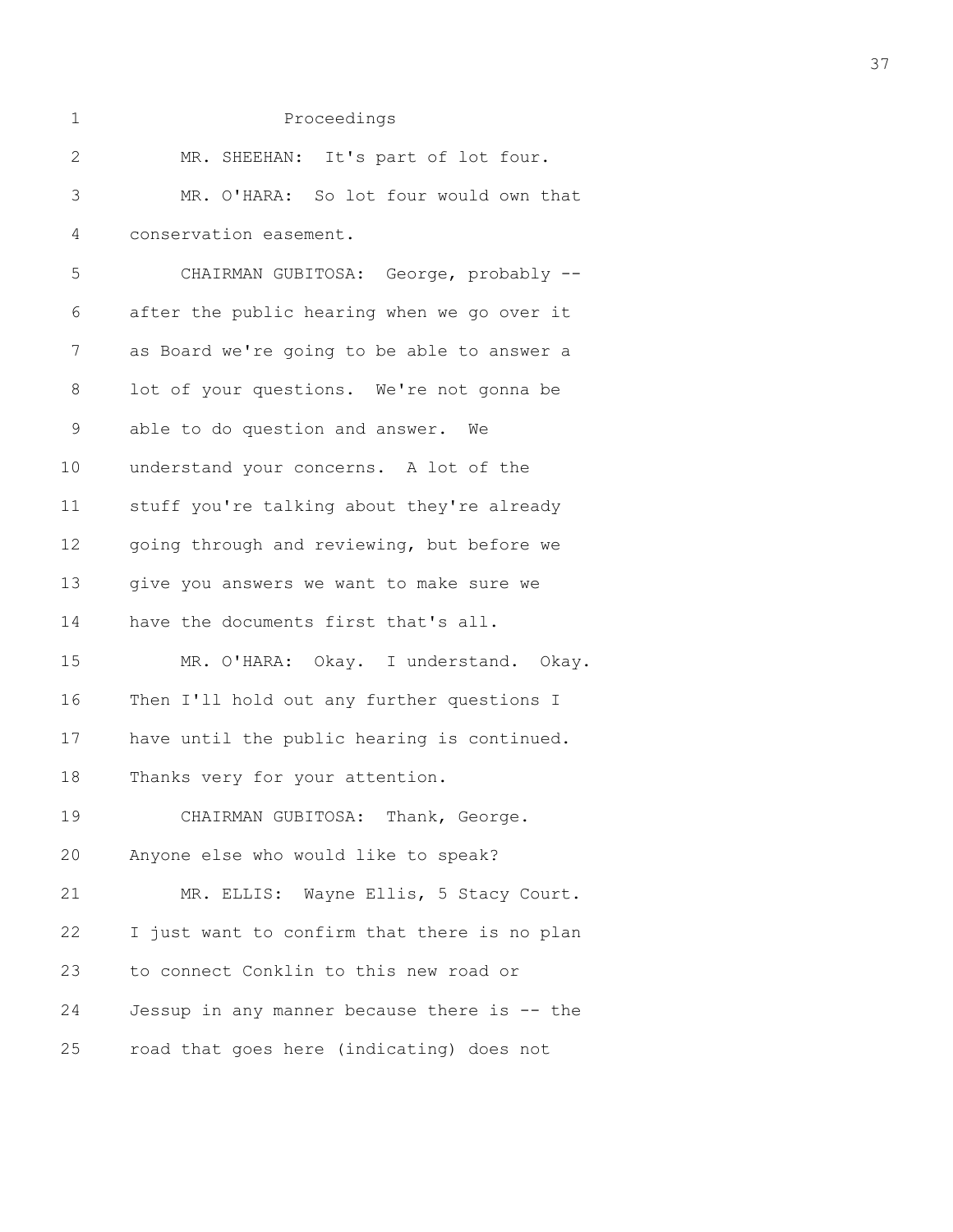| 1            | Proceedings                                  |
|--------------|----------------------------------------------|
| $\mathbf{2}$ | MR. SHEEHAN: It's part of lot four.          |
| 3            | MR. O'HARA: So lot four would own that       |
| 4            | conservation easement.                       |
| 5            | CHAIRMAN GUBITOSA: George, probably --       |
| 6            | after the public hearing when we go over it  |
| 7            | as Board we're going to be able to answer a  |
| 8            | lot of your questions. We're not gonna be    |
| $\mathsf 9$  | able to do question and answer. We           |
| 10           | understand your concerns. A lot of the       |
| 11           | stuff you're talking about they're already   |
| 12           | going through and reviewing, but before we   |
| 13           | give you answers we want to make sure we     |
| 14           | have the documents first that's all.         |
| 15           | MR. O'HARA: Okay. I understand. Okay.        |
| 16           | Then I'll hold out any further questions I   |
| 17           | have until the public hearing is continued.  |
| 18           | Thanks very for your attention.              |
| 19           | CHAIRMAN GUBITOSA: Thank, George.            |
| 20           | Anyone else who would like to speak?         |
| 21           | MR. ELLIS: Wayne Ellis, 5 Stacy Court.       |
| 22           | I just want to confirm that there is no plan |
| 23           | to connect Conklin to this new road or       |
| 24           | Jessup in any manner because there is -- the |
| 25           | road that goes here (indicating) does not    |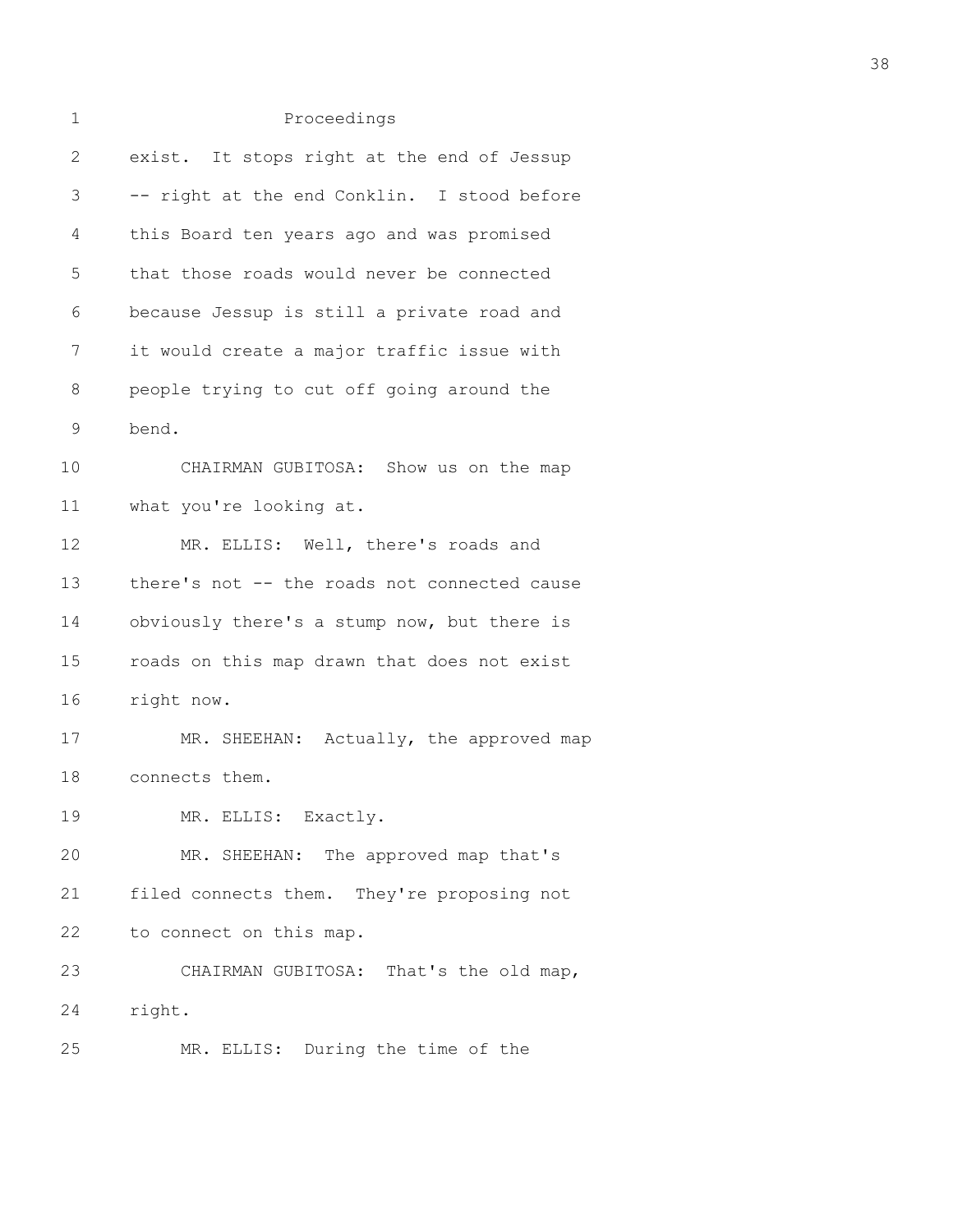| $\mathbf 1$ | Proceedings                                  |
|-------------|----------------------------------------------|
| 2           | exist. It stops right at the end of Jessup   |
| 3           | -- right at the end Conklin. I stood before  |
| 4           | this Board ten years ago and was promised    |
| 5           | that those roads would never be connected    |
| 6           | because Jessup is still a private road and   |
| 7           | it would create a major traffic issue with   |
| 8           | people trying to cut off going around the    |
| 9           | bend.                                        |
| 10          | CHAIRMAN GUBITOSA: Show us on the map        |
| 11          | what you're looking at.                      |
| 12          | MR. ELLIS: Well, there's roads and           |
| 13          | there's not -- the roads not connected cause |
| 14          | obviously there's a stump now, but there is  |
| 15          | roads on this map drawn that does not exist  |
| 16          | right now.                                   |
| 17          | MR. SHEEHAN: Actually, the approved map      |
| 18          | connects them.                               |
| 19          | MR. ELLIS: Exactly.                          |
| 20          | MR. SHEEHAN: The approved map that's         |
| 21          | filed connects them. They're proposing not   |
| 22          | to connect on this map.                      |
| 23          | CHAIRMAN GUBITOSA: That's the old map,       |
| 24          | right.                                       |
| 25          | MR. ELLIS: During the time of the            |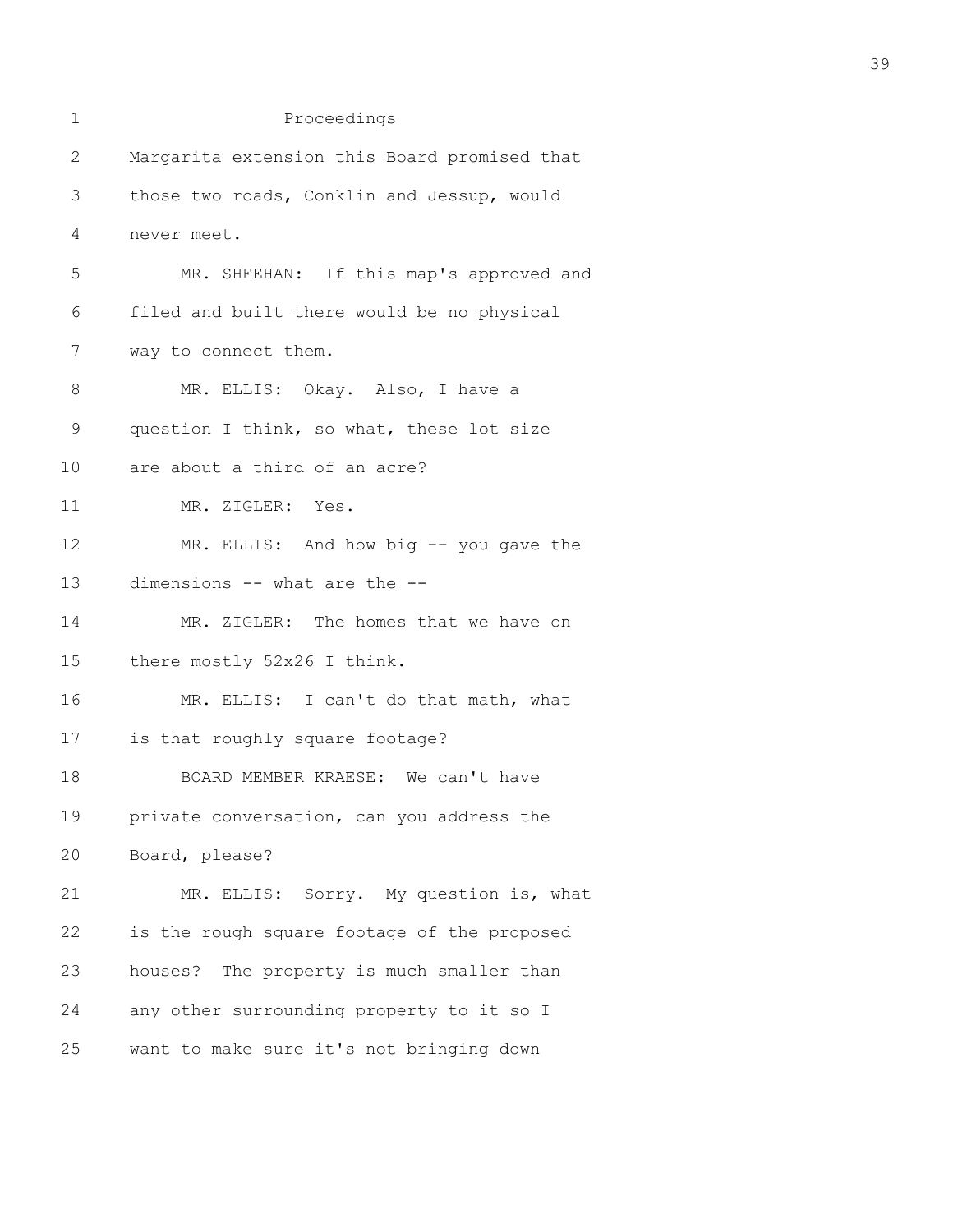| 1  | Proceedings                                  |
|----|----------------------------------------------|
| 2  | Margarita extension this Board promised that |
| 3  | those two roads, Conklin and Jessup, would   |
| 4  | never meet.                                  |
| 5  | MR. SHEEHAN: If this map's approved and      |
| 6  | filed and built there would be no physical   |
| 7  | way to connect them.                         |
| 8  | MR. ELLIS: Okay. Also, I have a              |
| 9  | question I think, so what, these lot size    |
| 10 | are about a third of an acre?                |
| 11 | MR. ZIGLER: Yes.                             |
| 12 | MR. ELLIS: And how big -- you gave the       |
| 13 | dimensions -- what are the --                |
| 14 | MR. ZIGLER: The homes that we have on        |
| 15 | there mostly 52x26 I think.                  |
| 16 | MR. ELLIS: I can't do that math, what        |
| 17 | is that roughly square footage?              |
| 18 | BOARD MEMBER KRAESE: We can't have           |
| 19 | private conversation, can you address the    |
| 20 | Board, please?                               |
| 21 | MR. ELLIS: Sorry. My question is, what       |
| 22 | is the rough square footage of the proposed  |
| 23 | houses? The property is much smaller than    |
| 24 | any other surrounding property to it so I    |
| 25 | want to make sure it's not bringing down     |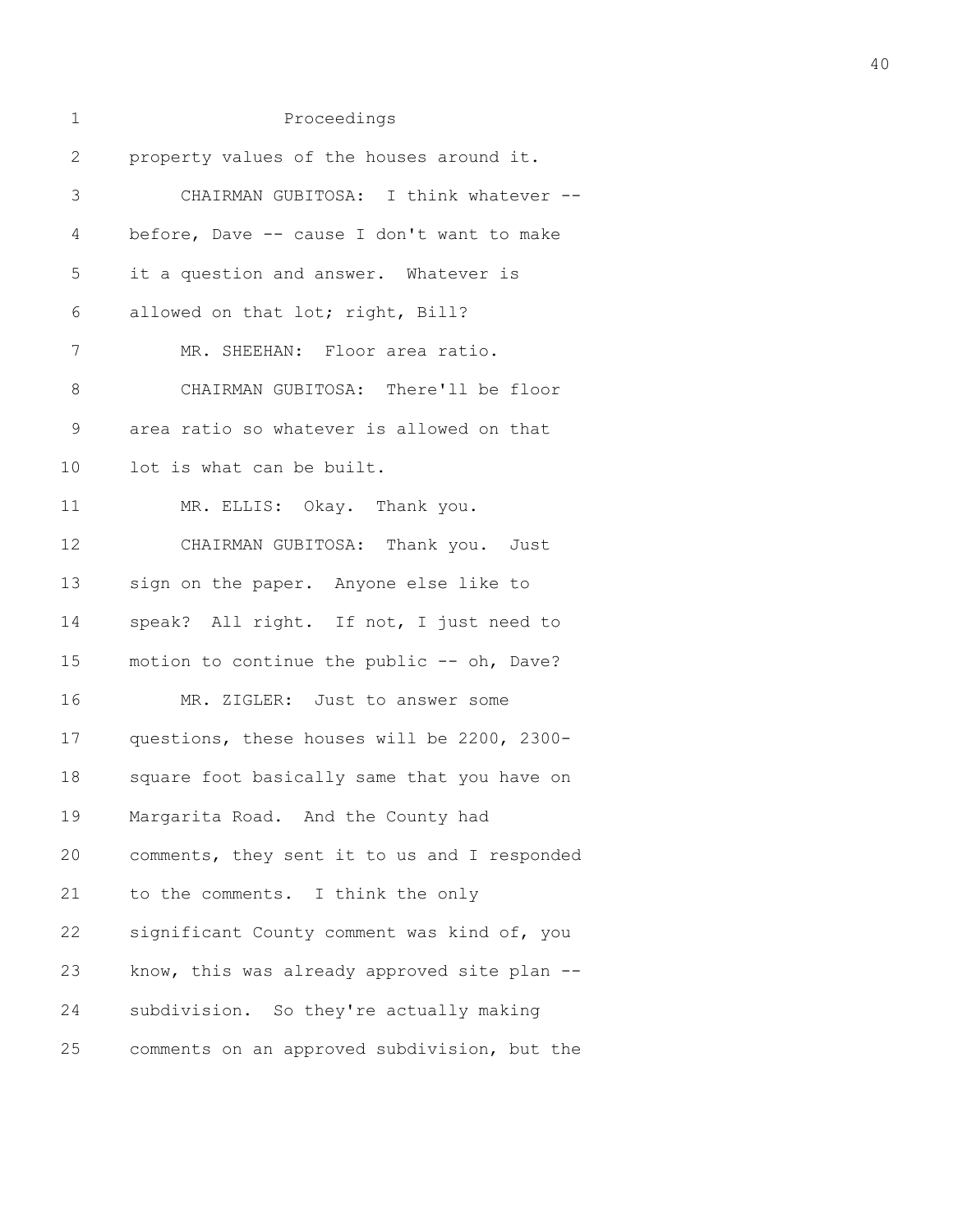| 1            | Proceedings                                  |
|--------------|----------------------------------------------|
| $\mathbf{2}$ | property values of the houses around it.     |
| 3            | CHAIRMAN GUBITOSA: I think whatever --       |
| 4            | before, Dave -- cause I don't want to make   |
| 5            | it a question and answer. Whatever is        |
| 6            | allowed on that lot; right, Bill?            |
| 7            | MR. SHEEHAN: Floor area ratio.               |
| $8\,$        | CHAIRMAN GUBITOSA: There'll be floor         |
| 9            | area ratio so whatever is allowed on that    |
| 10           | lot is what can be built.                    |
| 11           | MR. ELLIS: Okay. Thank you.                  |
| 12           | CHAIRMAN GUBITOSA: Thank you. Just           |
| 13           | sign on the paper. Anyone else like to       |
| 14           | speak? All right. If not, I just need to     |
| 15           | motion to continue the public -- oh, Dave?   |
| 16           | MR. ZIGLER: Just to answer some              |
| 17           | questions, these houses will be 2200, 2300-  |
| 18           | square foot basically same that you have on  |
| 19           | Margarita Road. And the County had           |
| 20           | comments, they sent it to us and I responded |
| 21           | to the comments. I think the only            |
| 22           | significant County comment was kind of, you  |
| 23           | know, this was already approved site plan -- |
| 24           | subdivision. So they're actually making      |
| 25           | comments on an approved subdivision, but the |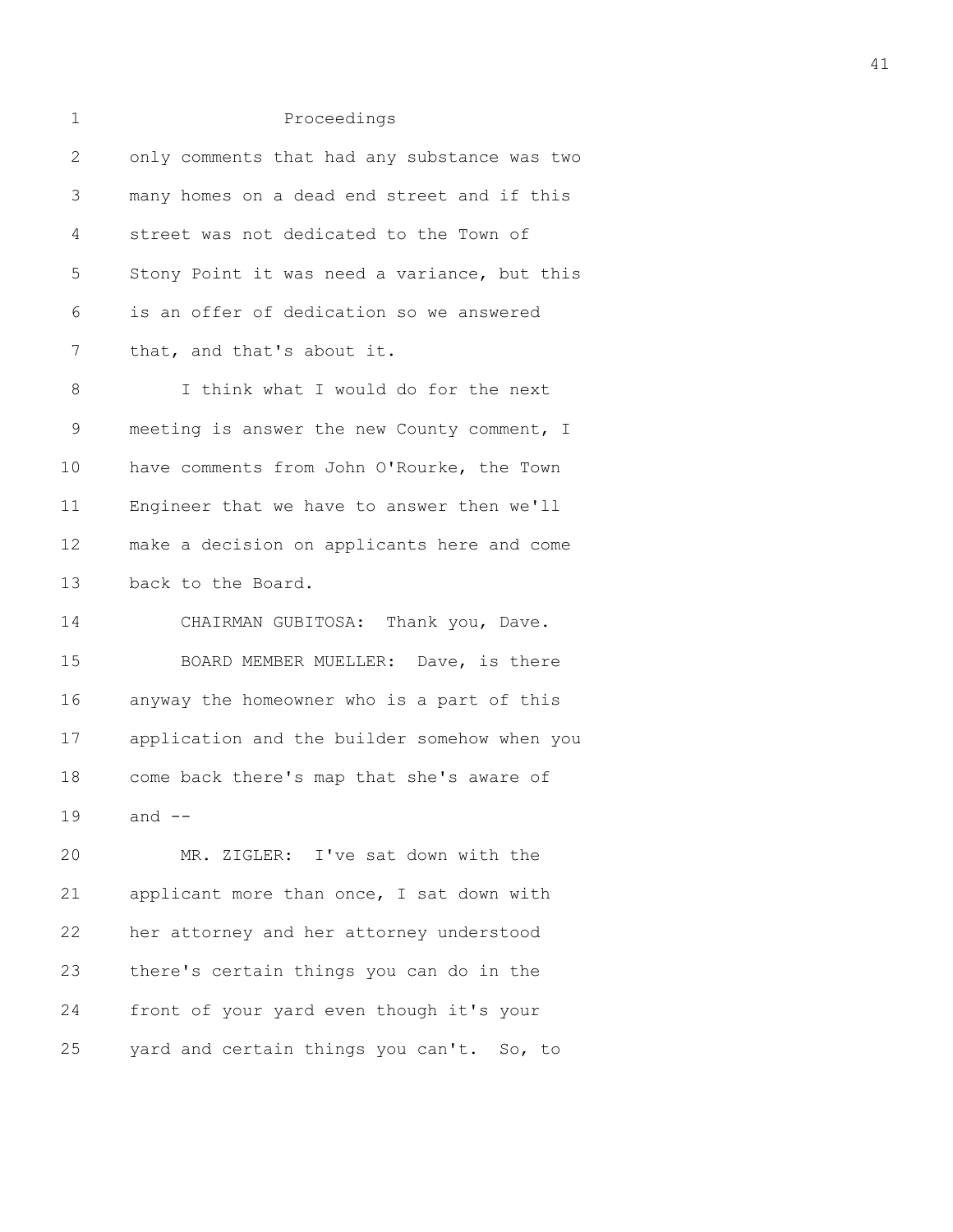| 1            | Proceedings                                  |
|--------------|----------------------------------------------|
| $\mathbf{2}$ | only comments that had any substance was two |
| 3            | many homes on a dead end street and if this  |
| 4            | street was not dedicated to the Town of      |
| 5            | Stony Point it was need a variance, but this |
| 6            | is an offer of dedication so we answered     |
| 7            | that, and that's about it.                   |
| 8            | I think what I would do for the next         |
| $\mathsf 9$  | meeting is answer the new County comment, I  |
| 10           | have comments from John O'Rourke, the Town   |
| 11           | Engineer that we have to answer then we'll   |
| 12           | make a decision on applicants here and come  |
| 13           | back to the Board.                           |
| 14           | CHAIRMAN GUBITOSA: Thank you, Dave.          |
| 15           | BOARD MEMBER MUELLER: Dave, is there         |
| 16           | anyway the homeowner who is a part of this   |
| 17           | application and the builder somehow when you |
| 18           | come back there's map that she's aware of    |
| 19           | and $--$                                     |
| 20           | MR. ZIGLER: I've sat down with the           |
| 21           | applicant more than once, I sat down with    |
| 22           | her attorney and her attorney understood     |
| 23           | there's certain things you can do in the     |
| 24           | front of your yard even though it's your     |
| 25           | yard and certain things you can't. So, to    |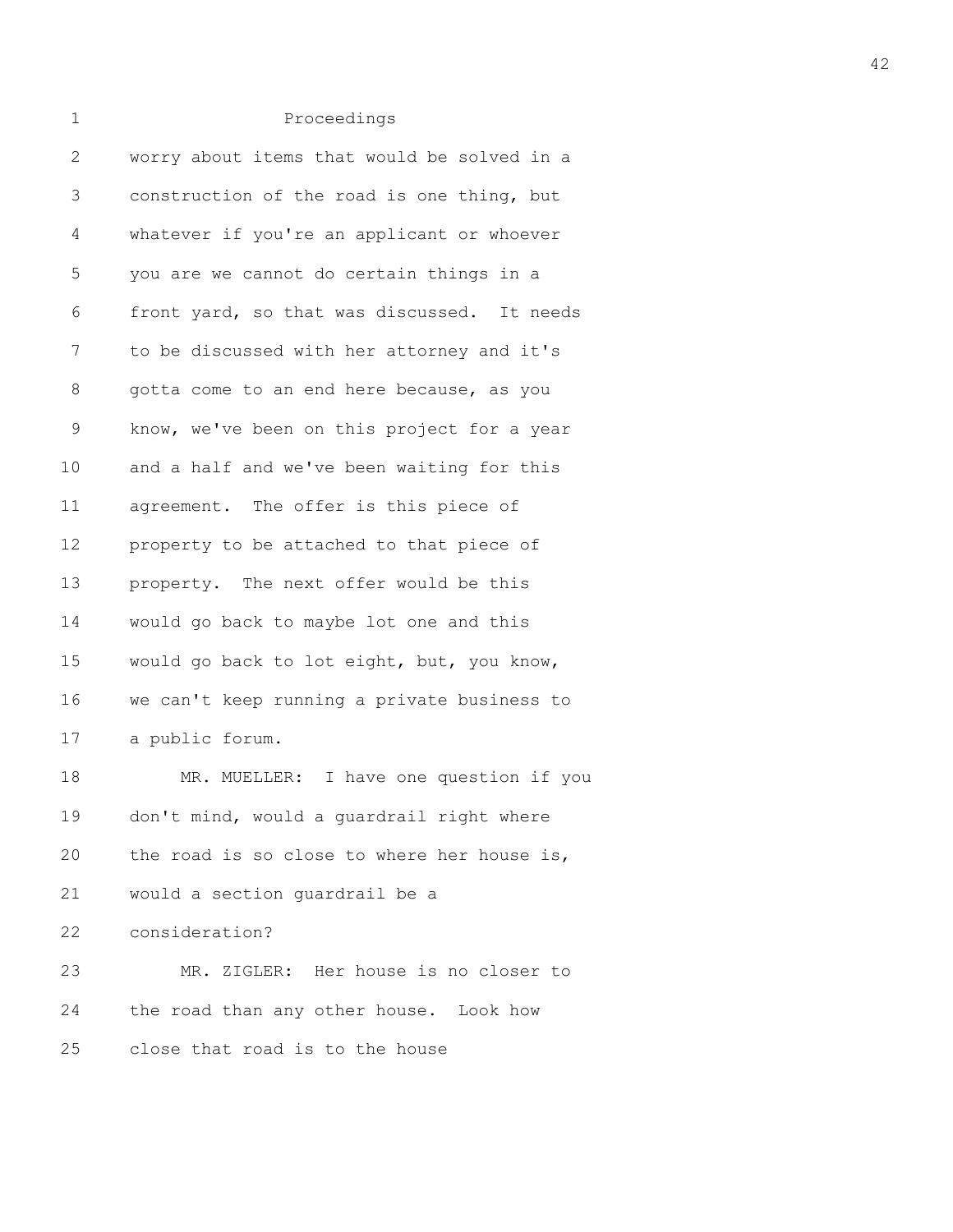| 2           | worry about items that would be solved in a |
|-------------|---------------------------------------------|
| 3           | construction of the road is one thing, but  |
| 4           | whatever if you're an applicant or whoever  |
| 5           | you are we cannot do certain things in a    |
| 6           | front yard, so that was discussed. It needs |
| 7           | to be discussed with her attorney and it's  |
| 8           | gotta come to an end here because, as you   |
| $\mathsf 9$ | know, we've been on this project for a year |
| $10$        | and a half and we've been waiting for this  |
| 11          | agreement. The offer is this piece of       |
| 12          | property to be attached to that piece of    |
| 13          | property. The next offer would be this      |
| 14          | would go back to maybe lot one and this     |
| 15          | would go back to lot eight, but, you know,  |
| 16          | we can't keep running a private business to |
| 17          | a public forum.                             |
| 18          | MR. MUELLER: I have one question if you     |
| 19          | don't mind, would a guardrail right where   |
| 20          | the road is so close to where her house is, |
| 21          | would a section guardrail be a              |
| 22          | consideration?                              |
| 23          | MR. ZIGLER: Her house is no closer to       |
| 24          | the road than any other house. Look how     |
| 25          | close that road is to the house             |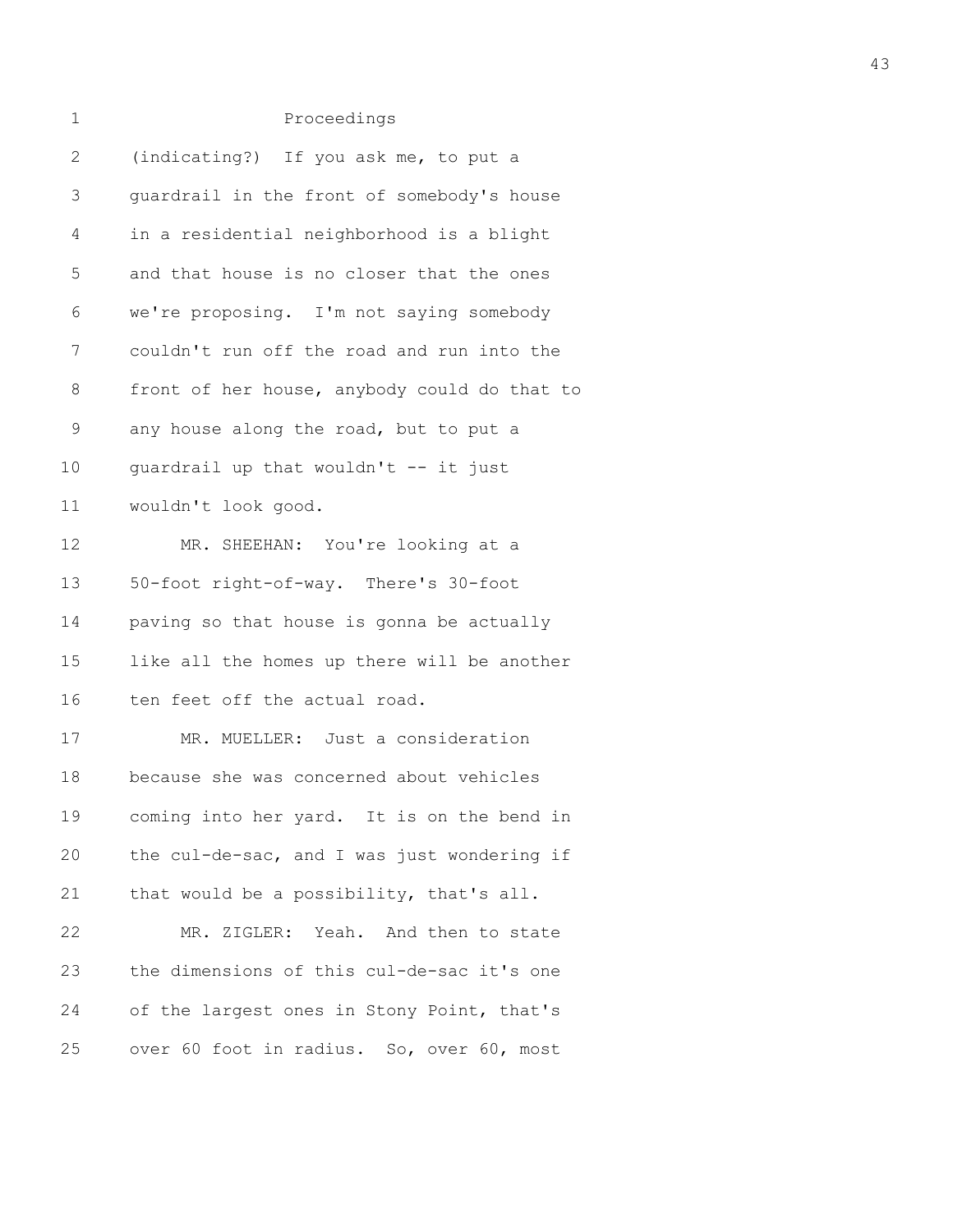| $\mathbf 1$ | Proceedings                                  |
|-------------|----------------------------------------------|
| 2           | (indicating?) If you ask me, to put a        |
| 3           | quardrail in the front of somebody's house   |
| 4           | in a residential neighborhood is a blight    |
| 5           | and that house is no closer that the ones    |
| 6           | we're proposing. I'm not saying somebody     |
| 7           | couldn't run off the road and run into the   |
| 8           | front of her house, anybody could do that to |
| $\mathsf 9$ | any house along the road, but to put a       |
| 10          | quardrail up that wouldn't -- it just        |
| 11          | wouldn't look good.                          |
| 12          | MR. SHEEHAN: You're looking at a             |
| 13          | 50-foot right-of-way. There's 30-foot        |
| 14          | paving so that house is gonna be actually    |
| 15          | like all the homes up there will be another  |
| 16          | ten feet off the actual road.                |
| 17          | MR. MUELLER: Just a consideration            |
| 18          | because she was concerned about vehicles     |
| 19          | coming into her yard. It is on the bend in   |
| 20          | the cul-de-sac, and I was just wondering if  |
| 21          | that would be a possibility, that's all.     |
| 22          | MR. ZIGLER: Yeah. And then to state          |
| 23          | the dimensions of this cul-de-sac it's one   |
| 24          | of the largest ones in Stony Point, that's   |
| 25          | over 60 foot in radius. So, over 60, most    |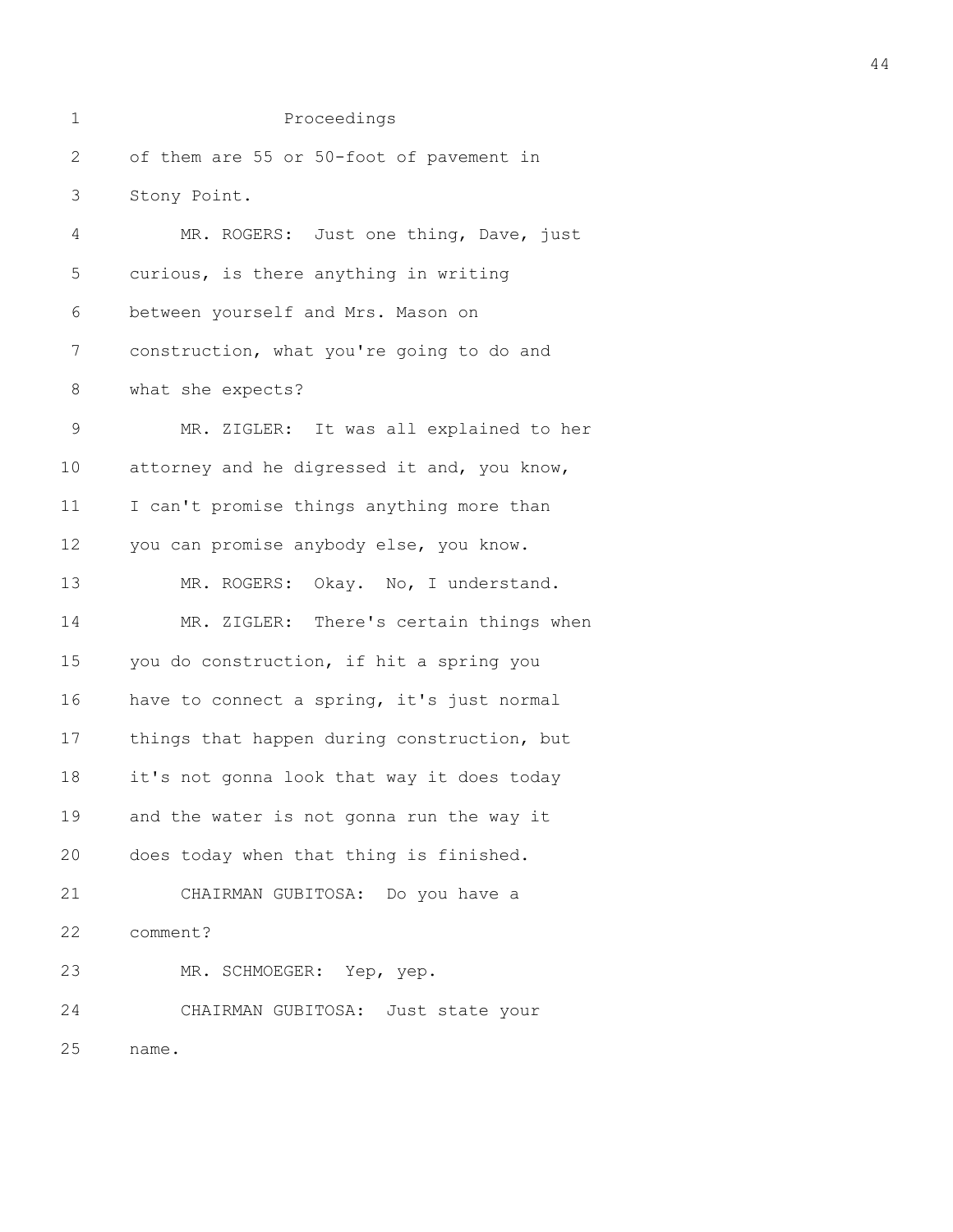| 1            | Proceedings                                 |
|--------------|---------------------------------------------|
| $\mathbf{2}$ | of them are 55 or 50-foot of pavement in    |
| 3            | Stony Point.                                |
| 4            | MR. ROGERS: Just one thing, Dave, just      |
| 5            | curious, is there anything in writing       |
| 6            | between yourself and Mrs. Mason on          |
| 7            | construction, what you're going to do and   |
| $8\,$        | what she expects?                           |
| $\mathsf 9$  | MR. ZIGLER: It was all explained to her     |
| 10           | attorney and he digressed it and, you know, |
| 11           | I can't promise things anything more than   |
| 12           | you can promise anybody else, you know.     |
| 13           | MR. ROGERS: Okay. No, I understand.         |
| 14           | MR. ZIGLER: There's certain things when     |
| 15           | you do construction, if hit a spring you    |
| 16           | have to connect a spring, it's just normal  |
| 17           | things that happen during construction, but |
| 18           | it's not gonna look that way it does today  |
| 19           | and the water is not gonna run the way it   |
| 20           | does today when that thing is finished.     |
| 21           | CHAIRMAN GUBITOSA: Do you have a            |
| 22           | comment?                                    |
| 23           | MR. SCHMOEGER: Yep, yep.                    |
| 24           | CHAIRMAN GUBITOSA: Just state your          |
| 25           | name.                                       |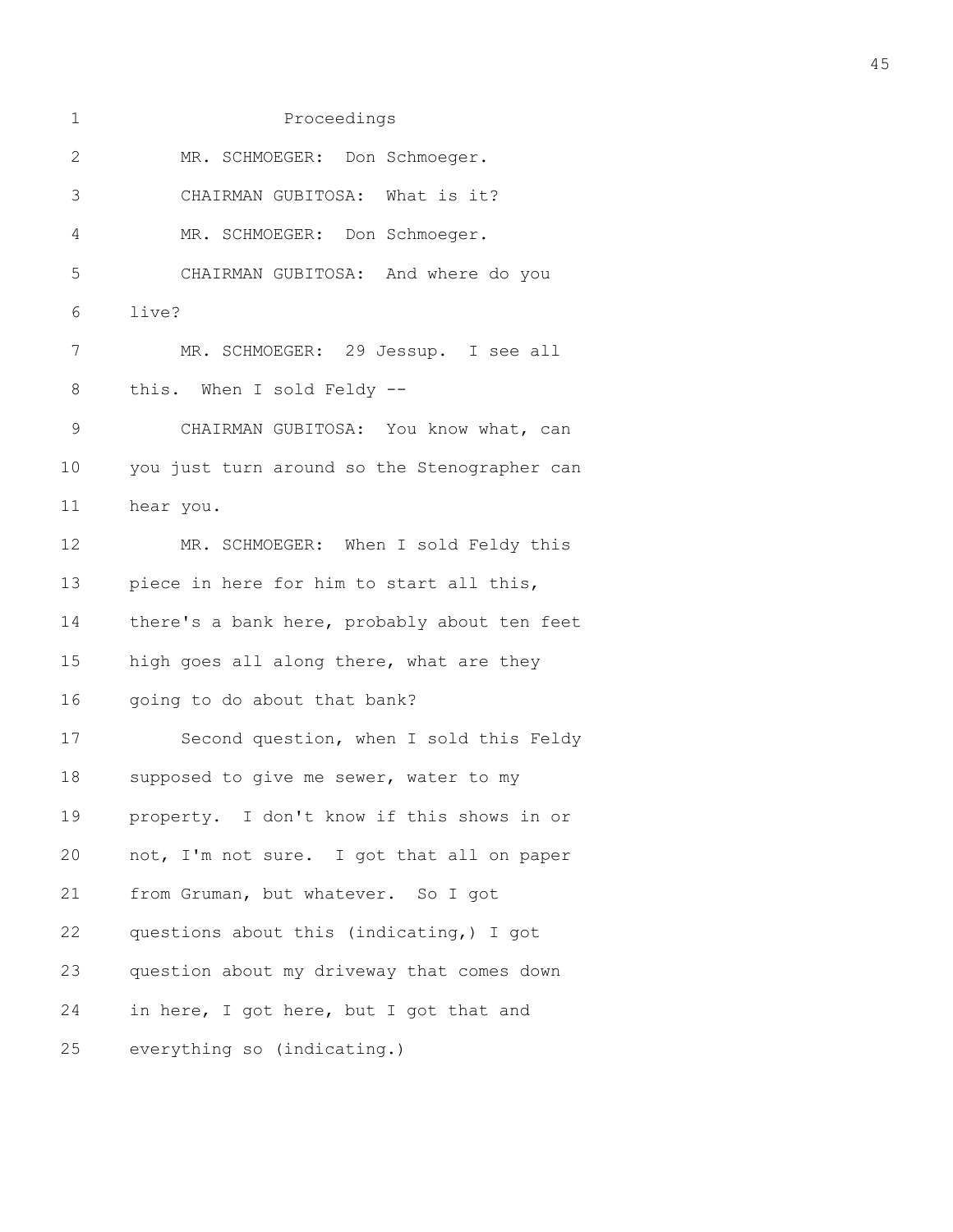| 1            | Proceedings                                  |
|--------------|----------------------------------------------|
| $\mathbf{2}$ | MR. SCHMOEGER: Don Schmoeger.                |
| 3            | CHAIRMAN GUBITOSA: What is it?               |
| 4            | MR. SCHMOEGER: Don Schmoeger.                |
| 5            | CHAIRMAN GUBITOSA: And where do you          |
| 6            | live?                                        |
| 7            | MR. SCHMOEGER: 29 Jessup. I see all          |
| 8            | this. When I sold Feldy --                   |
| $\mathsf 9$  | CHAIRMAN GUBITOSA: You know what, can        |
| 10           | you just turn around so the Stenographer can |
| 11           | hear you.                                    |
| 12           | MR. SCHMOEGER: When I sold Feldy this        |
| 13           | piece in here for him to start all this,     |
| 14           | there's a bank here, probably about ten feet |
| 15           | high goes all along there, what are they     |
| 16           | going to do about that bank?                 |
| 17           | Second question, when I sold this Feldy      |
| 18           | supposed to give me sewer, water to my       |
| 19           | property. I don't know if this shows in or   |
| 20           | not, I'm not sure. I got that all on paper   |
| 21           | from Gruman, but whatever. So I got          |
| 22           | questions about this (indicating,) I got     |
| 23           | question about my driveway that comes down   |
| 24           | in here, I got here, but I got that and      |
| 25           | everything so (indicating.)                  |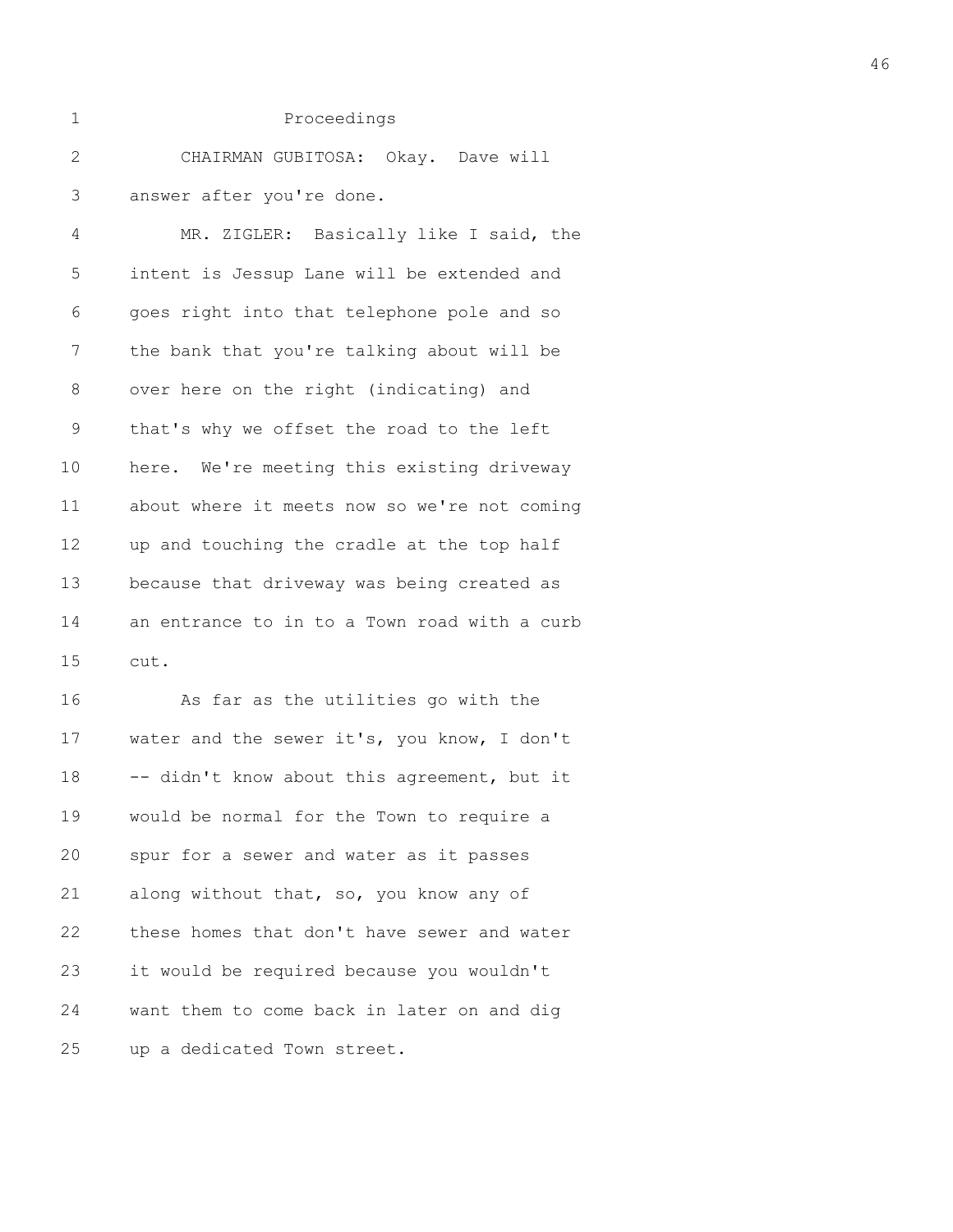| CHAIRMAN GUBITOSA: Okay. Dave will |  |
|------------------------------------|--|
| 3 answer after you're done.        |  |

4 MR. ZIGLER: Basically like I said, the 5 intent is Jessup Lane will be extended and 6 goes right into that telephone pole and so 7 the bank that you're talking about will be 8 over here on the right (indicating) and 9 that's why we offset the road to the left 10 here. We're meeting this existing driveway 11 about where it meets now so we're not coming 12 up and touching the cradle at the top half 13 because that driveway was being created as 14 an entrance to in to a Town road with a curb 15 cut.

16 As far as the utilities go with the 17 water and the sewer it's, you know, I don't 18 -- didn't know about this agreement, but it 19 would be normal for the Town to require a 20 spur for a sewer and water as it passes 21 along without that, so, you know any of 22 these homes that don't have sewer and water 23 it would be required because you wouldn't 24 want them to come back in later on and dig 25 up a dedicated Town street.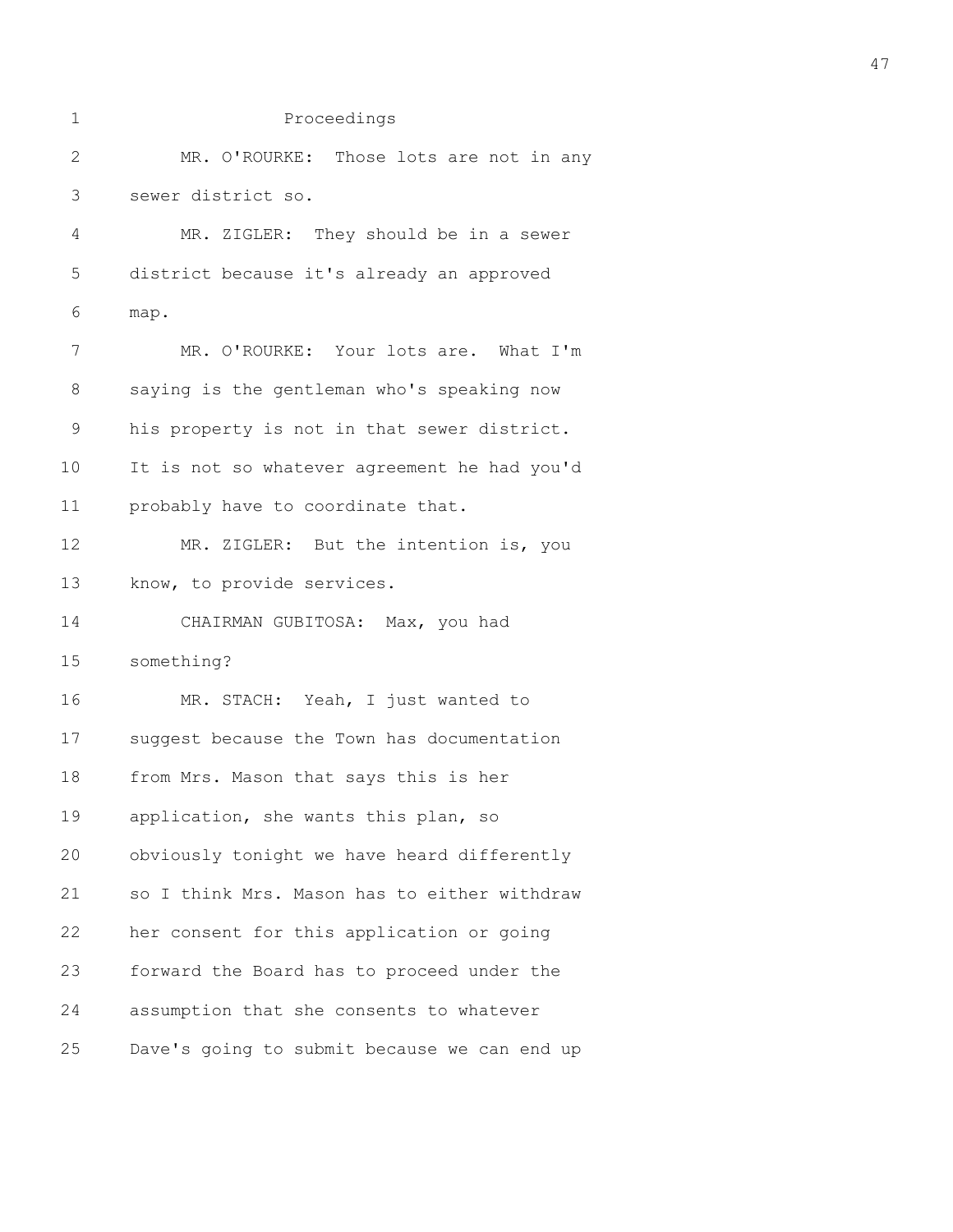| 1            | Proceedings                                  |  |
|--------------|----------------------------------------------|--|
| $\mathbf{2}$ | MR. O'ROURKE: Those lots are not in any      |  |
| 3            | sewer district so.                           |  |
| 4            | MR. ZIGLER: They should be in a sewer        |  |
| 5            | district because it's already an approved    |  |
| 6            | map.                                         |  |
| 7            | MR. O'ROURKE: Your lots are. What I'm        |  |
| $8\,$        | saying is the gentleman who's speaking now   |  |
| $\mathsf 9$  | his property is not in that sewer district.  |  |
| 10           | It is not so whatever agreement he had you'd |  |
| 11           | probably have to coordinate that.            |  |
| 12           | MR. ZIGLER: But the intention is, you        |  |
| 13           | know, to provide services.                   |  |
| 14           | CHAIRMAN GUBITOSA: Max, you had              |  |
| 15           | something?                                   |  |
| 16           | MR. STACH: Yeah, I just wanted to            |  |
| 17           | suggest because the Town has documentation   |  |
| 18           | from Mrs. Mason that says this is her        |  |
| 19           | application, she wants this plan, so         |  |
| 20           | obviously tonight we have heard differently  |  |
| 21           | so I think Mrs. Mason has to either withdraw |  |
| 22           | her consent for this application or going    |  |
| 23           | forward the Board has to proceed under the   |  |
| 24           | assumption that she consents to whatever     |  |
| 25           | Dave's going to submit because we can end up |  |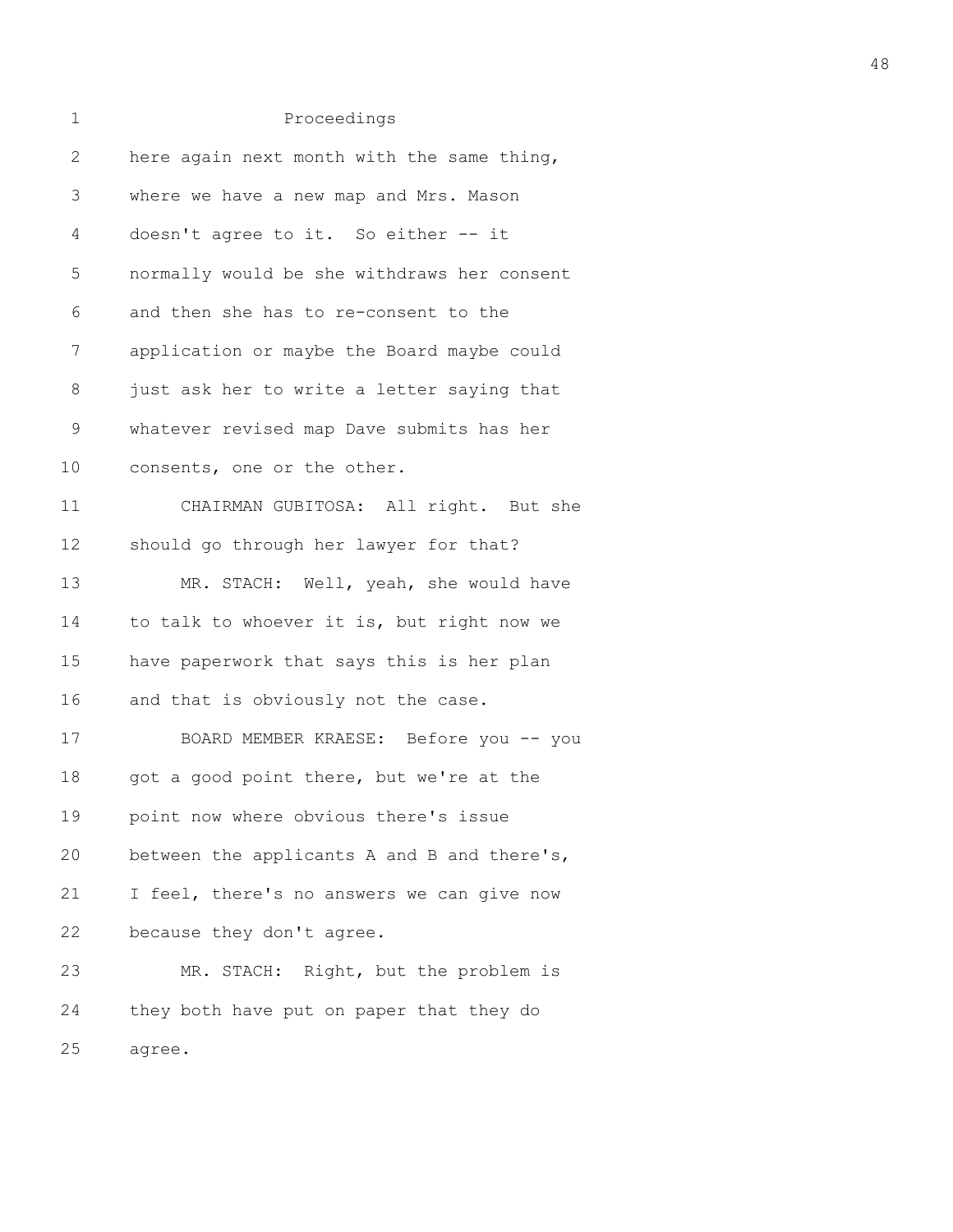| 1               | Proceedings                                 |
|-----------------|---------------------------------------------|
| $\mathbf{2}$    | here again next month with the same thing,  |
| 3               | where we have a new map and Mrs. Mason      |
| 4               | doesn't agree to it. So either -- it        |
| 5               | normally would be she withdraws her consent |
| 6               | and then she has to re-consent to the       |
| 7               | application or maybe the Board maybe could  |
| 8               | just ask her to write a letter saying that  |
| 9               | whatever revised map Dave submits has her   |
| 10 <sub>o</sub> | consents, one or the other.                 |
| 11              | CHAIRMAN GUBITOSA: All right. But she       |
| 12              | should go through her lawyer for that?      |
| 13              | MR. STACH: Well, yeah, she would have       |
| 14              | to talk to whoever it is, but right now we  |
| 15              | have paperwork that says this is her plan   |
| 16              | and that is obviously not the case.         |
| 17              | BOARD MEMBER KRAESE: Before you -- you      |
| 18              | got a good point there, but we're at the    |
| 19              | point now where obvious there's issue       |
| 20              | between the applicants A and B and there's, |
| 21              | I feel, there's no answers we can give now  |
| 22              | because they don't agree.                   |
| 23              | MR. STACH: Right, but the problem is        |
| 24              | they both have put on paper that they do    |
| 25              | agree.                                      |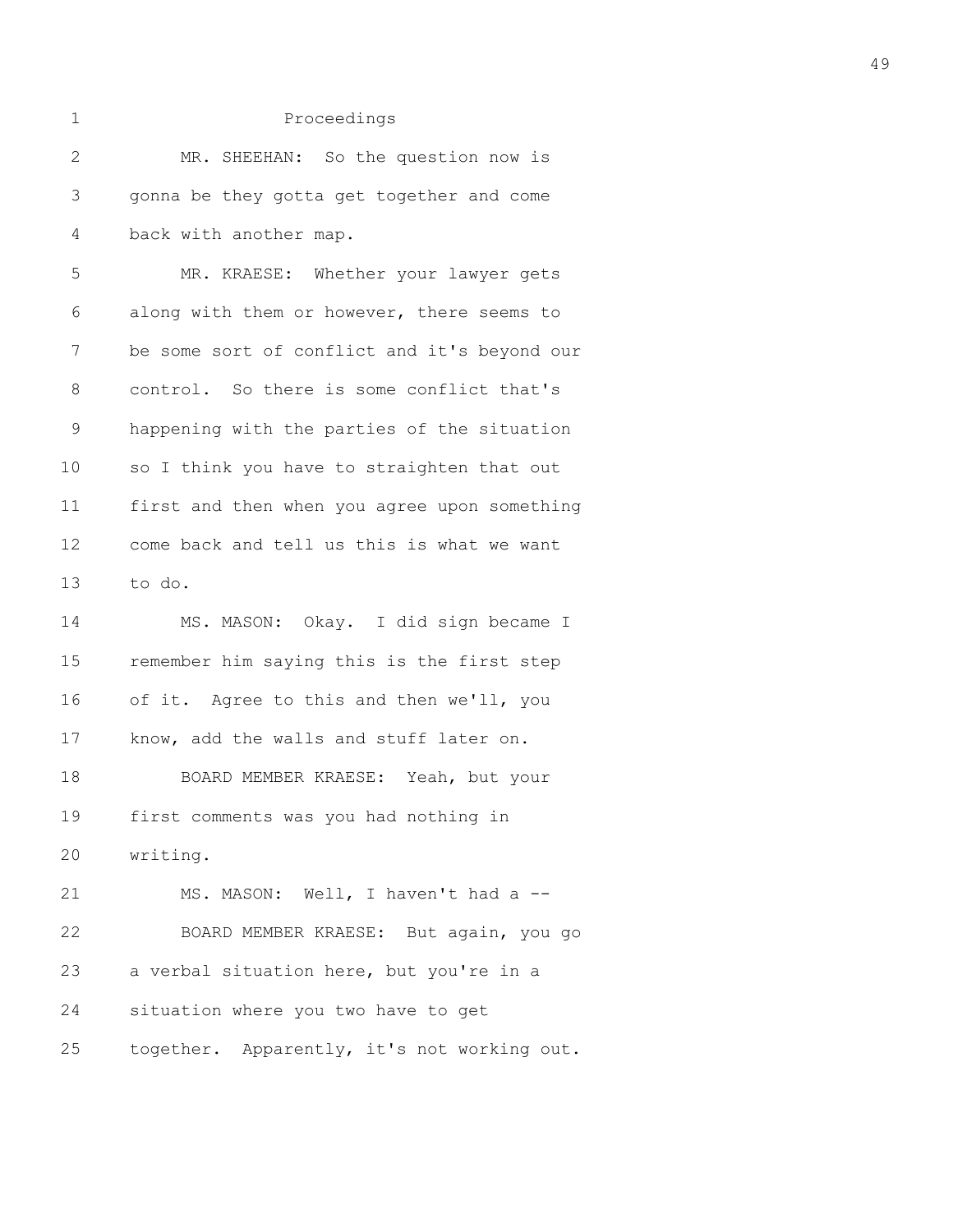| $\mathbf 1$  | Proceedings                                  |
|--------------|----------------------------------------------|
| $\mathbf{2}$ | MR. SHEEHAN: So the question now is          |
| 3            | gonna be they gotta get together and come    |
| 4            | back with another map.                       |
| 5            | MR. KRAESE: Whether your lawyer gets         |
| 6            | along with them or however, there seems to   |
| 7            | be some sort of conflict and it's beyond our |
| 8            | control. So there is some conflict that's    |
| $\mathsf 9$  | happening with the parties of the situation  |
| 10           | so I think you have to straighten that out   |
| 11           | first and then when you agree upon something |
| 12           | come back and tell us this is what we want   |
| 13           | to do.                                       |
| 14           | MS. MASON: Okay. I did sign became I         |
| 15           | remember him saying this is the first step   |
| 16           | of it. Agree to this and then we'll, you     |
| 17           | know, add the walls and stuff later on.      |
| 18           | BOARD MEMBER KRAESE: Yeah, but your          |
| 19           | first comments was you had nothing in        |
| 20           | writing.                                     |
| 21           | MS. MASON: Well, I haven't had a --          |
| 22           | BOARD MEMBER KRAESE: But again, you go       |
| 23           | a verbal situation here, but you're in a     |
| 24           | situation where you two have to get          |

25 together. Apparently, it's not working out.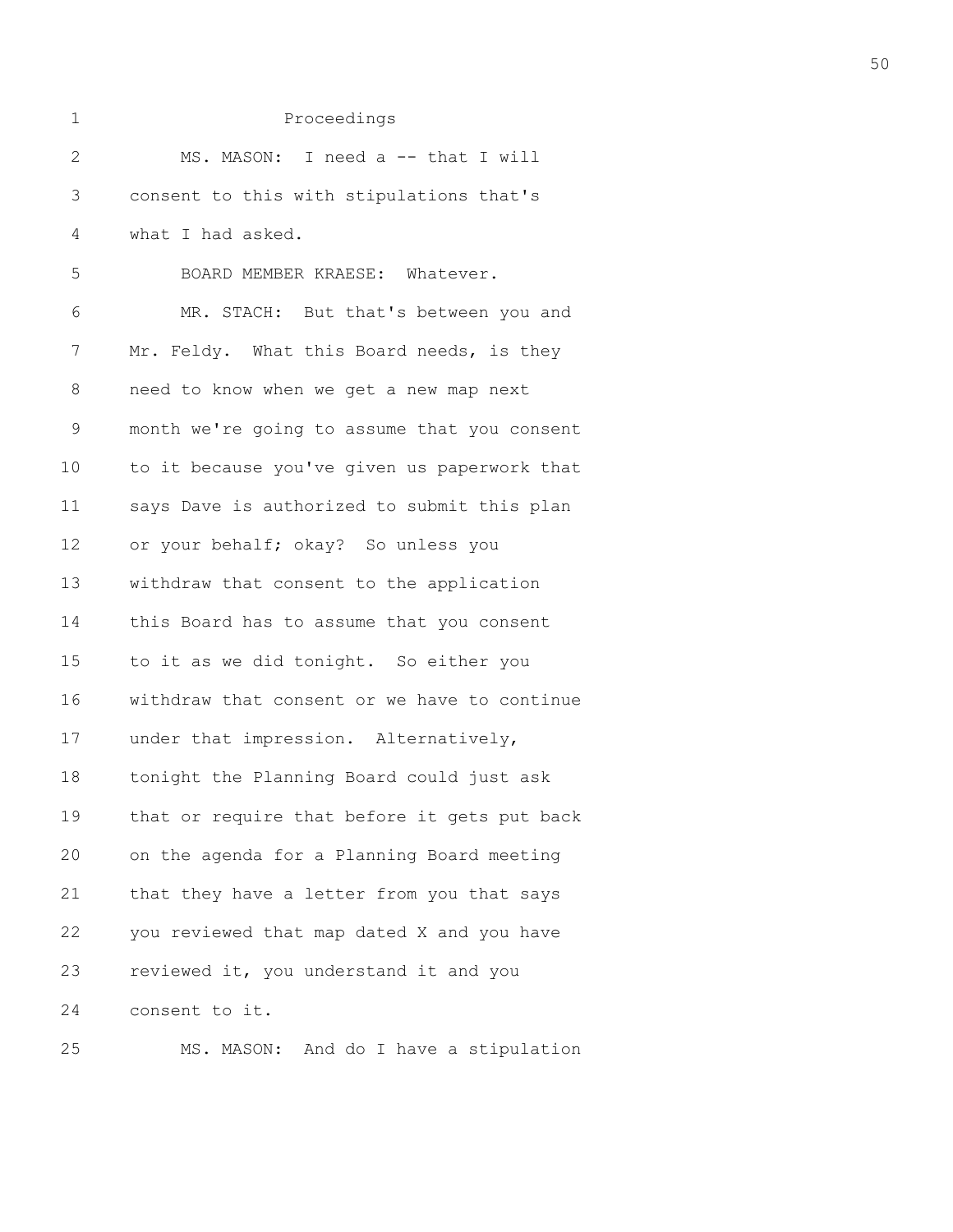|  | ۰. |     |  |
|--|----|-----|--|
|  |    |     |  |
|  |    | . . |  |
|  |    |     |  |

| $\mathbf{2}$   | MS. MASON: I need a -- that I will           |
|----------------|----------------------------------------------|
| $\mathfrak{Z}$ | consent to this with stipulations that's     |
| 4              | what I had asked.                            |
| 5              | BOARD MEMBER KRAESE: Whatever.               |
| 6              | MR. STACH: But that's between you and        |
| 7              | Mr. Feldy. What this Board needs, is they    |
| 8              | need to know when we get a new map next      |
| $\mathsf 9$    | month we're going to assume that you consent |
| 10             | to it because you've given us paperwork that |
| 11             | says Dave is authorized to submit this plan  |
| 12             | or your behalf; okay? So unless you          |
| 13             | withdraw that consent to the application     |
| 14             | this Board has to assume that you consent    |
| 15             | to it as we did tonight. So either you       |
| 16             | withdraw that consent or we have to continue |
| 17             | under that impression. Alternatively,        |
| 18             | tonight the Planning Board could just ask    |
| 19             | that or require that before it gets put back |
| 20             | on the agenda for a Planning Board meeting   |
| 21             | that they have a letter from you that says   |
| 22             | you reviewed that map dated X and you have   |
| 23             | reviewed it, you understand it and you       |
| 24             | consent to it.                               |
|                |                                              |

25 MS. MASON: And do I have a stipulation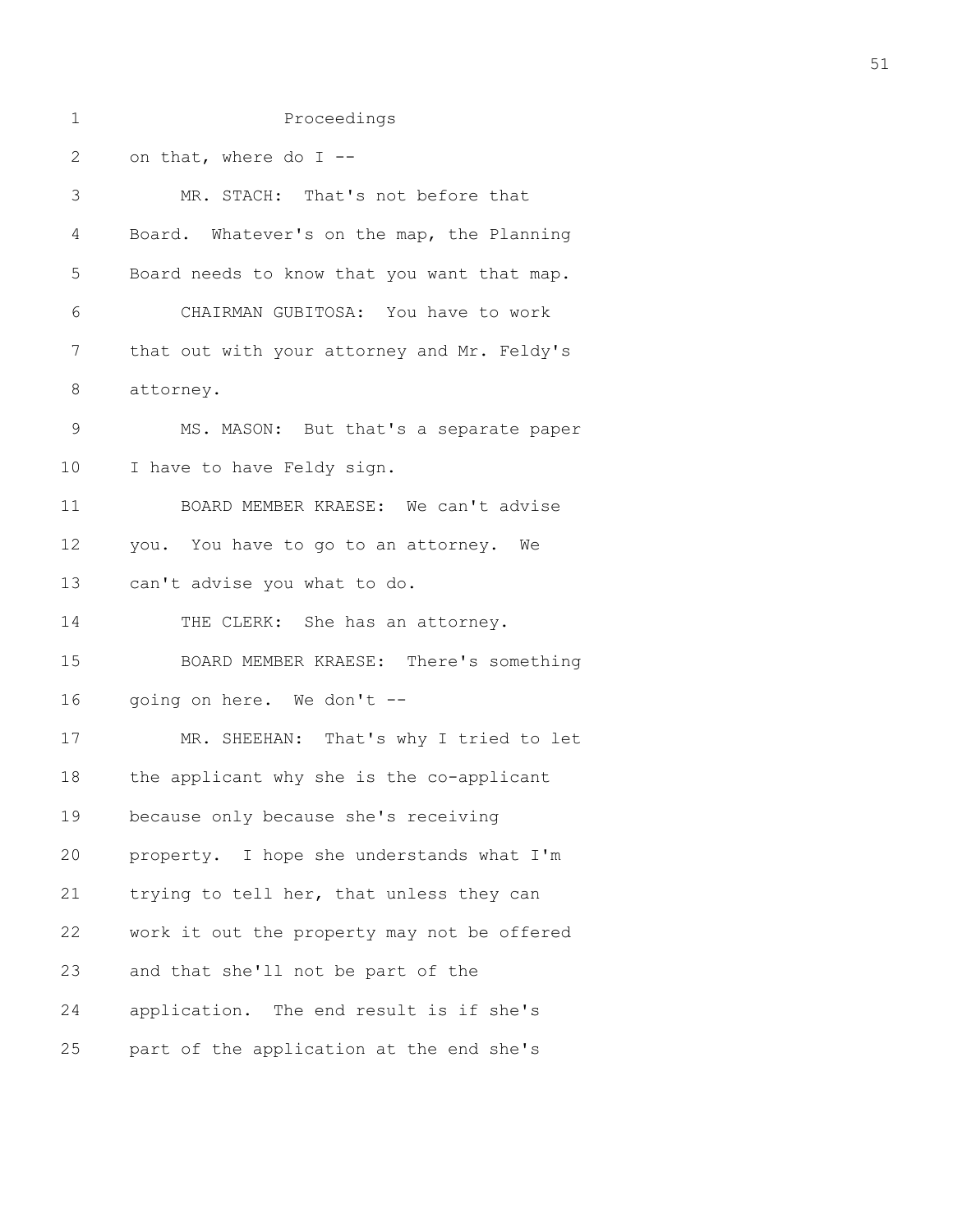| $\mathbf 1$  | Proceedings                                 |
|--------------|---------------------------------------------|
| $\mathbf{2}$ | on that, where do I --                      |
| 3            | MR. STACH: That's not before that           |
| 4            | Board. Whatever's on the map, the Planning  |
| 5            | Board needs to know that you want that map. |
| 6            | CHAIRMAN GUBITOSA: You have to work         |
| 7            | that out with your attorney and Mr. Feldy's |
| 8            | attorney.                                   |
| 9            | MS. MASON: But that's a separate paper      |
| 10           | I have to have Feldy sign.                  |
| 11           | BOARD MEMBER KRAESE: We can't advise        |
| 12           | you. You have to go to an attorney. We      |
| 13           | can't advise you what to do.                |
| 14           | THE CLERK: She has an attorney.             |
| 15           | BOARD MEMBER KRAESE: There's something      |
| 16           | going on here. We don't --                  |
| 17           | MR. SHEEHAN: That's why I tried to let      |
| 18           | the applicant why she is the co-applicant   |
| 19           | because only because she's receiving        |
| 20           | property. I hope she understands what I'm   |
| 21           | trying to tell her, that unless they can    |
| 22           | work it out the property may not be offered |
| 23           | and that she'll not be part of the          |
| 24           | application. The end result is if she's     |
| 25           | part of the application at the end she's    |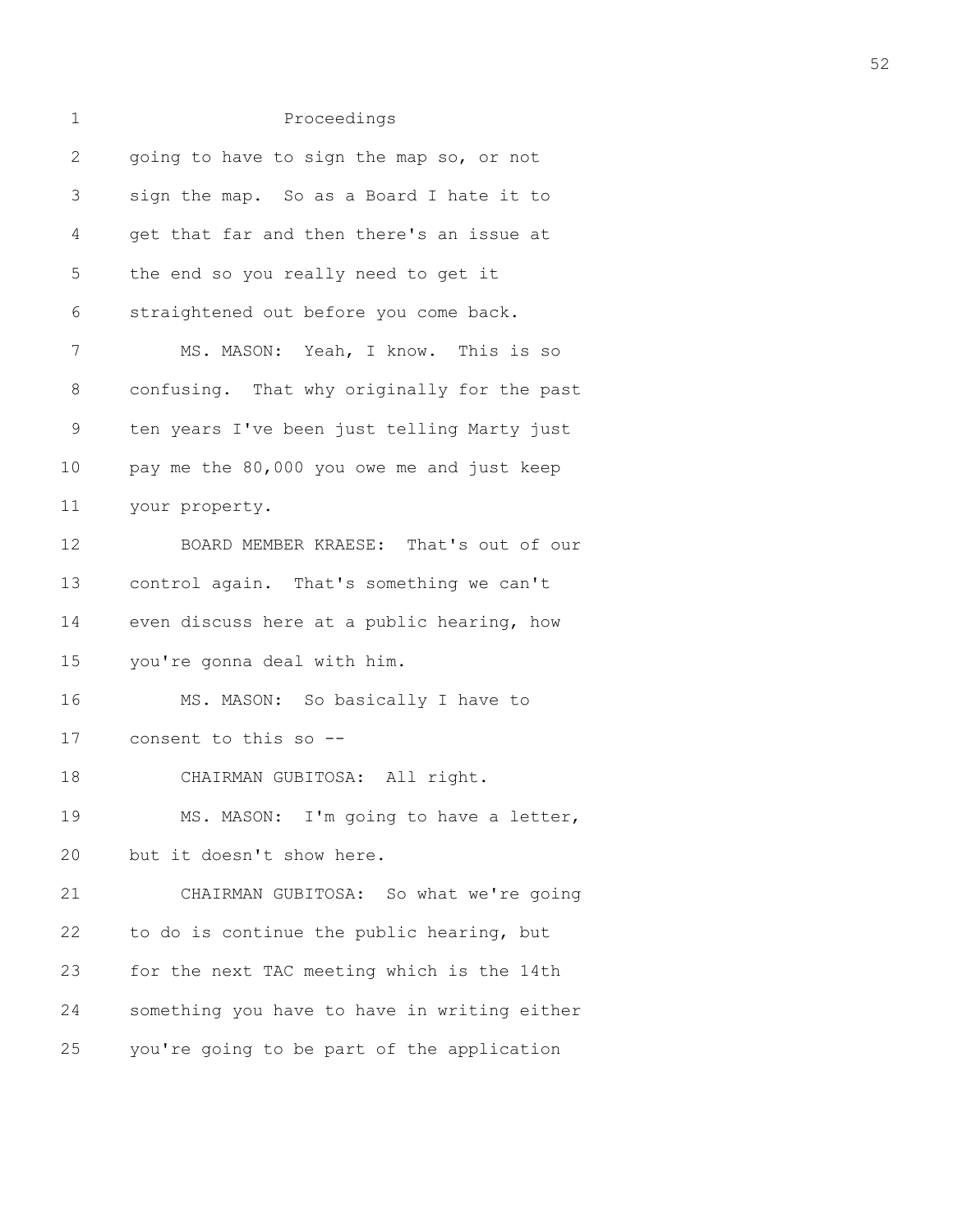| 1            | Proceedings                                  |
|--------------|----------------------------------------------|
| $\mathbf{2}$ | going to have to sign the map so, or not     |
| 3            | sign the map. So as a Board I hate it to     |
| 4            | get that far and then there's an issue at    |
| 5            | the end so you really need to get it         |
| 6            | straightened out before you come back.       |
| 7            | MS. MASON: Yeah, I know. This is so          |
| 8            | confusing. That why originally for the past  |
| $\mathsf 9$  | ten years I've been just telling Marty just  |
| 10           | pay me the 80,000 you owe me and just keep   |
| 11           | your property.                               |
| 12           | BOARD MEMBER KRAESE: That's out of our       |
| 13           | control again. That's something we can't     |
| 14           | even discuss here at a public hearing, how   |
| 15           | you're gonna deal with him.                  |
| 16           | MS. MASON: So basically I have to            |
| 17           | consent to this so --                        |
| 18           | CHAIRMAN GUBITOSA: All right.                |
| 19           | MS. MASON: I'm going to have a letter,       |
| 20           | but it doesn't show here.                    |
| 21           | CHAIRMAN GUBITOSA: So what we're going       |
| 22           | to do is continue the public hearing, but    |
| 23           | for the next TAC meeting which is the 14th   |
| 24           | something you have to have in writing either |
| 25           | you're going to be part of the application   |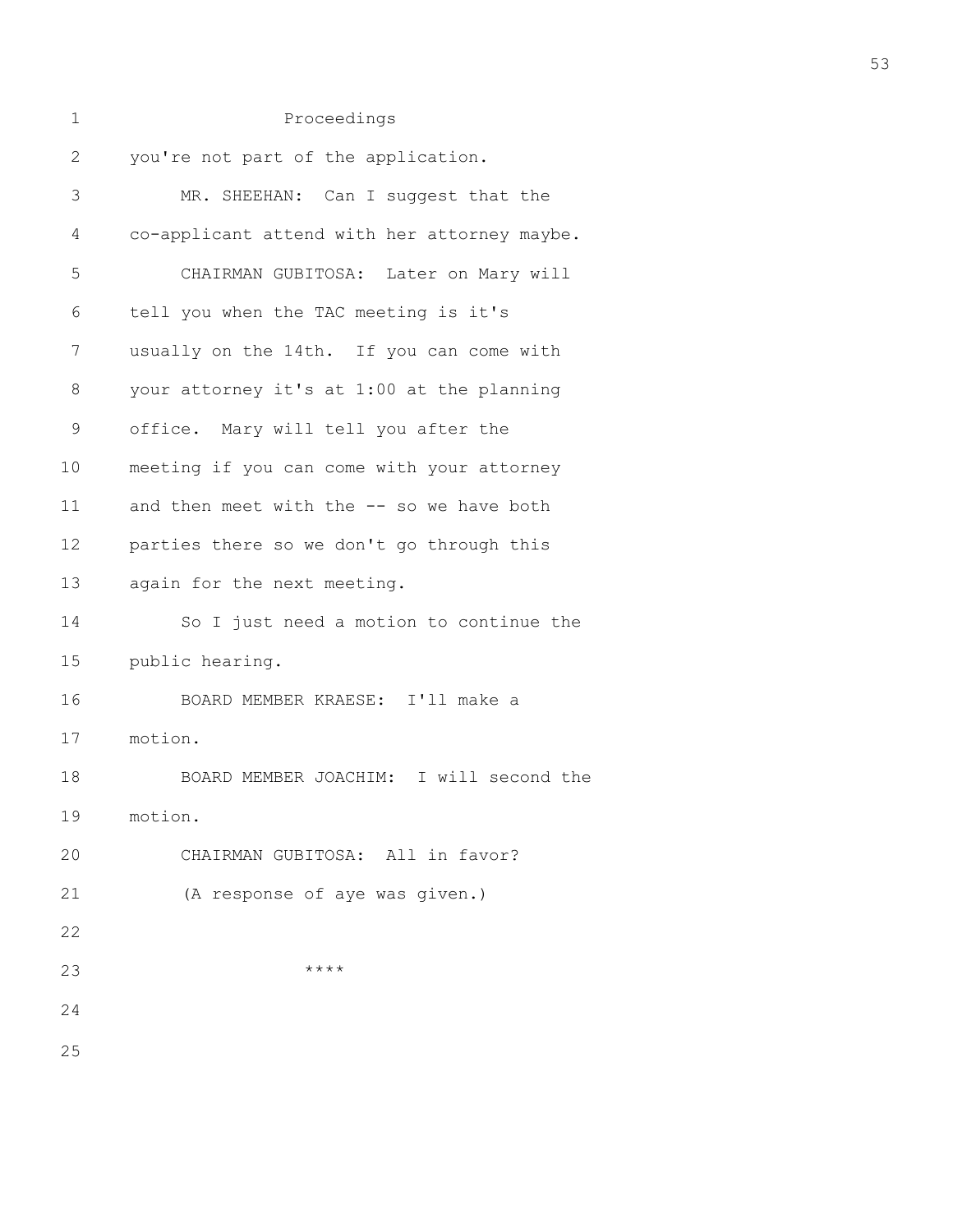| 1            | Proceedings                                  |
|--------------|----------------------------------------------|
| $\mathbf{2}$ | you're not part of the application.          |
| 3            | MR. SHEEHAN: Can I suggest that the          |
| 4            | co-applicant attend with her attorney maybe. |
| 5            | CHAIRMAN GUBITOSA: Later on Mary will        |
| 6            | tell you when the TAC meeting is it's        |
| 7            | usually on the 14th. If you can come with    |
| 8            | your attorney it's at 1:00 at the planning   |
| $\mathsf 9$  | office. Mary will tell you after the         |
| 10           | meeting if you can come with your attorney   |
| 11           | and then meet with the -- so we have both    |
| 12           | parties there so we don't go through this    |
| 13           | again for the next meeting.                  |
| 14           | So I just need a motion to continue the      |
| 15           | public hearing.                              |
| 16           | BOARD MEMBER KRAESE: I'll make a             |
| 17           | motion.                                      |
| 18           | BOARD MEMBER JOACHIM: I will second the      |
| 19           | motion.                                      |
| 20           | CHAIRMAN GUBITOSA: All in favor?             |
| 21           | (A response of aye was given.)               |
| 22           |                                              |
| 23           | $***$ *                                      |
| 24           |                                              |
| 25           |                                              |